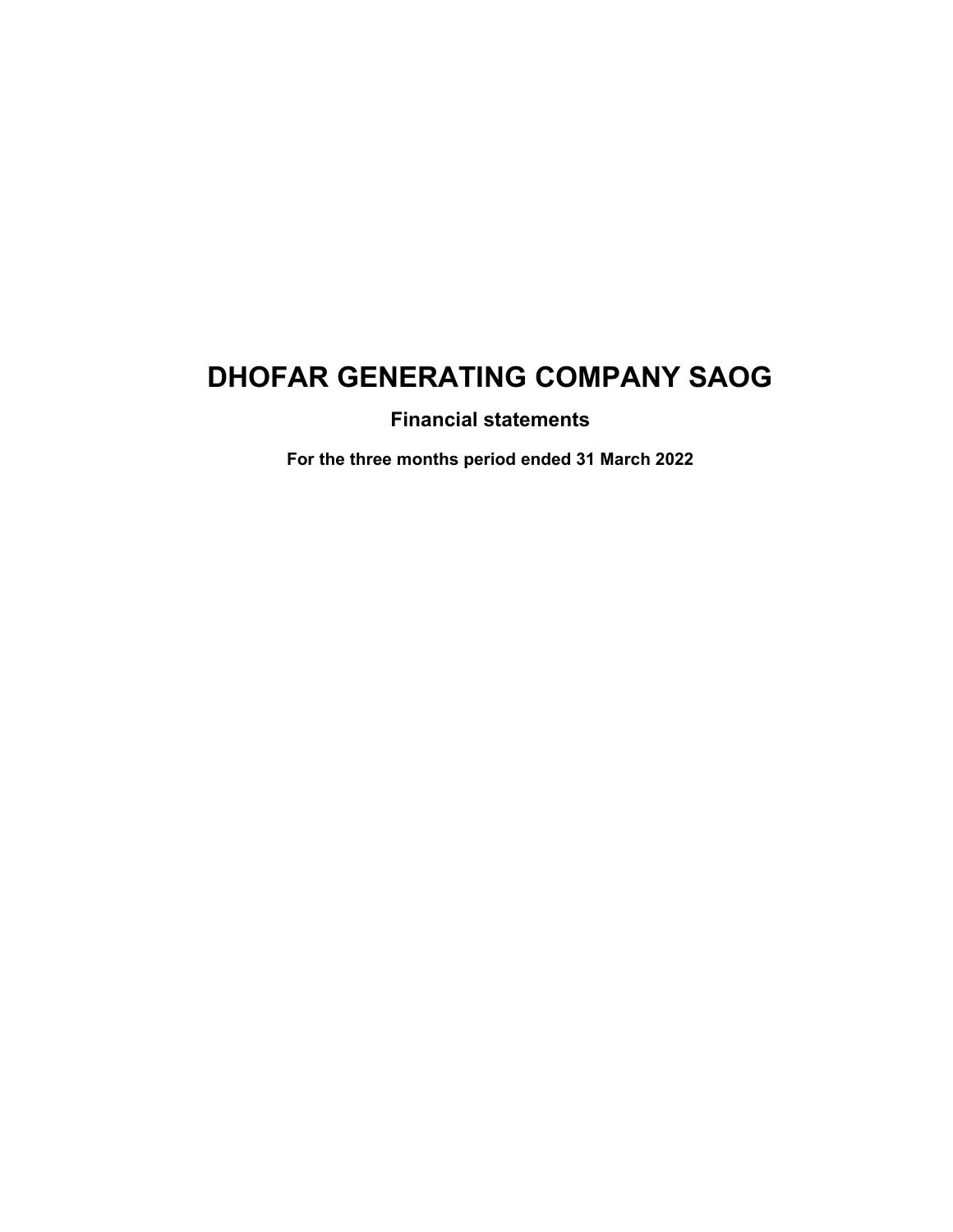**Financial statements**

**For the three months period ended 31 March 2022**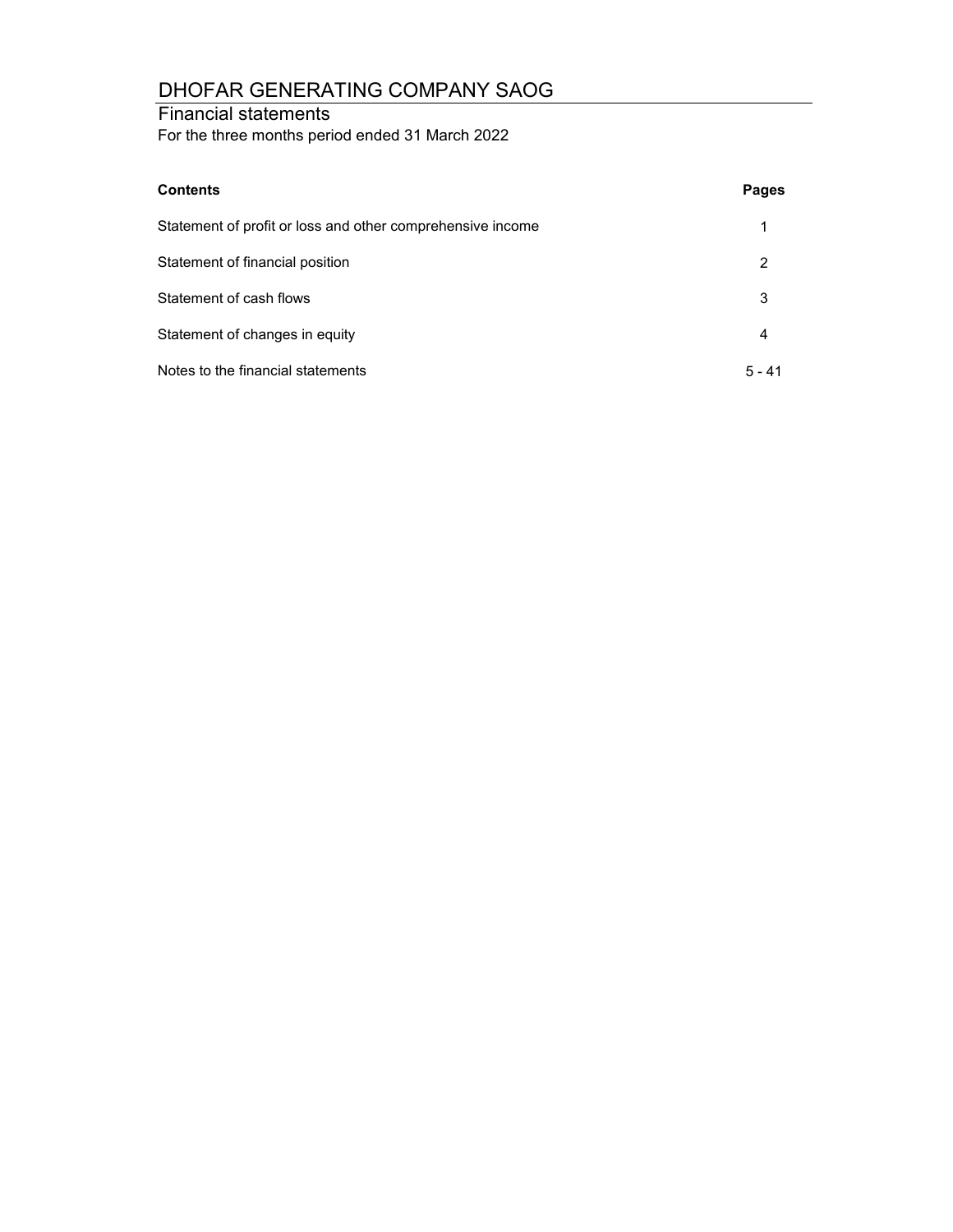## Financial statements

For the three months period ended 31 March 2022

| <b>Contents</b>                                            | <b>Pages</b> |
|------------------------------------------------------------|--------------|
| Statement of profit or loss and other comprehensive income |              |
| Statement of financial position                            | 2            |
| Statement of cash flows                                    | 3            |
| Statement of changes in equity                             | 4            |
| Notes to the financial statements                          | $5 - 41$     |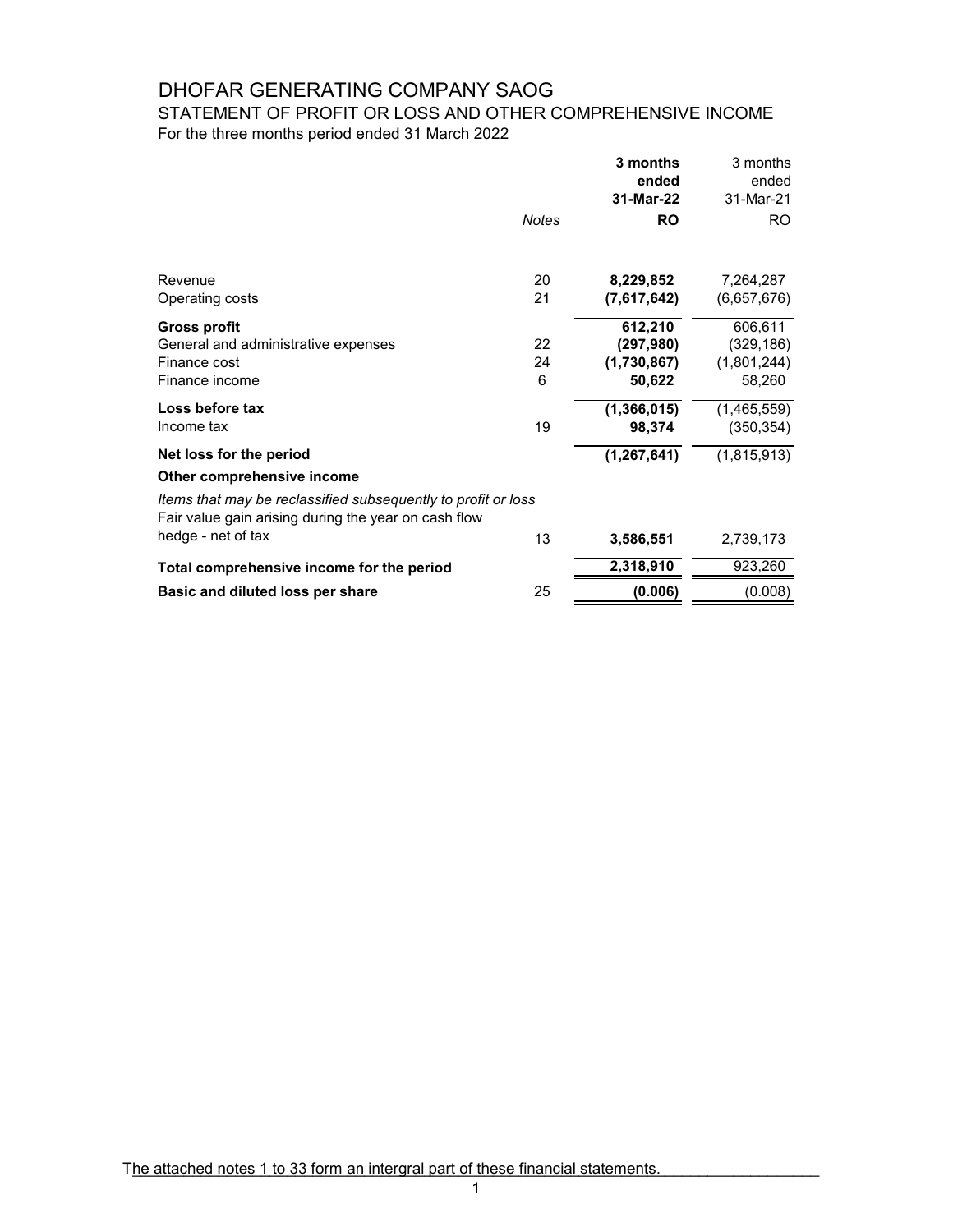### For the three months period ended 31 March 2022 STATEMENT OF PROFIT OR LOSS AND OTHER COMPREHENSIVE INCOME

|                                                                                                                       |         | 3 months<br>ended     | 3 months<br>ended         |
|-----------------------------------------------------------------------------------------------------------------------|---------|-----------------------|---------------------------|
|                                                                                                                       |         | 31-Mar-22             | 31-Mar-21                 |
|                                                                                                                       | Notes   | <b>RO</b>             | RO.                       |
| Revenue                                                                                                               | 20      | 8,229,852             | 7,264,287                 |
| Operating costs                                                                                                       | 21      | (7,617,642)           | (6,657,676)               |
| Gross profit<br>General and administrative expenses                                                                   | 22      | 612,210<br>(297, 980) | 606,611<br>(329, 186)     |
| Finance cost<br>Finance income                                                                                        | 24<br>6 | (1,730,867)<br>50,622 | (1,801,244)<br>58,260     |
| Loss before tax<br>Income tax                                                                                         | 19      | (1,366,015)<br>98,374 | (1,465,559)<br>(350, 354) |
| Net loss for the period                                                                                               |         | (1, 267, 641)         | (1,815,913)               |
| Other comprehensive income                                                                                            |         |                       |                           |
| Items that may be reclassified subsequently to profit or loss<br>Fair value gain arising during the year on cash flow |         |                       |                           |
| hedge - net of tax                                                                                                    | 13      | 3,586,551             | 2,739,173                 |
| Total comprehensive income for the period                                                                             |         | 2,318,910             | 923,260                   |
| Basic and diluted loss per share                                                                                      | 25      | (0.006)               | (0.008)                   |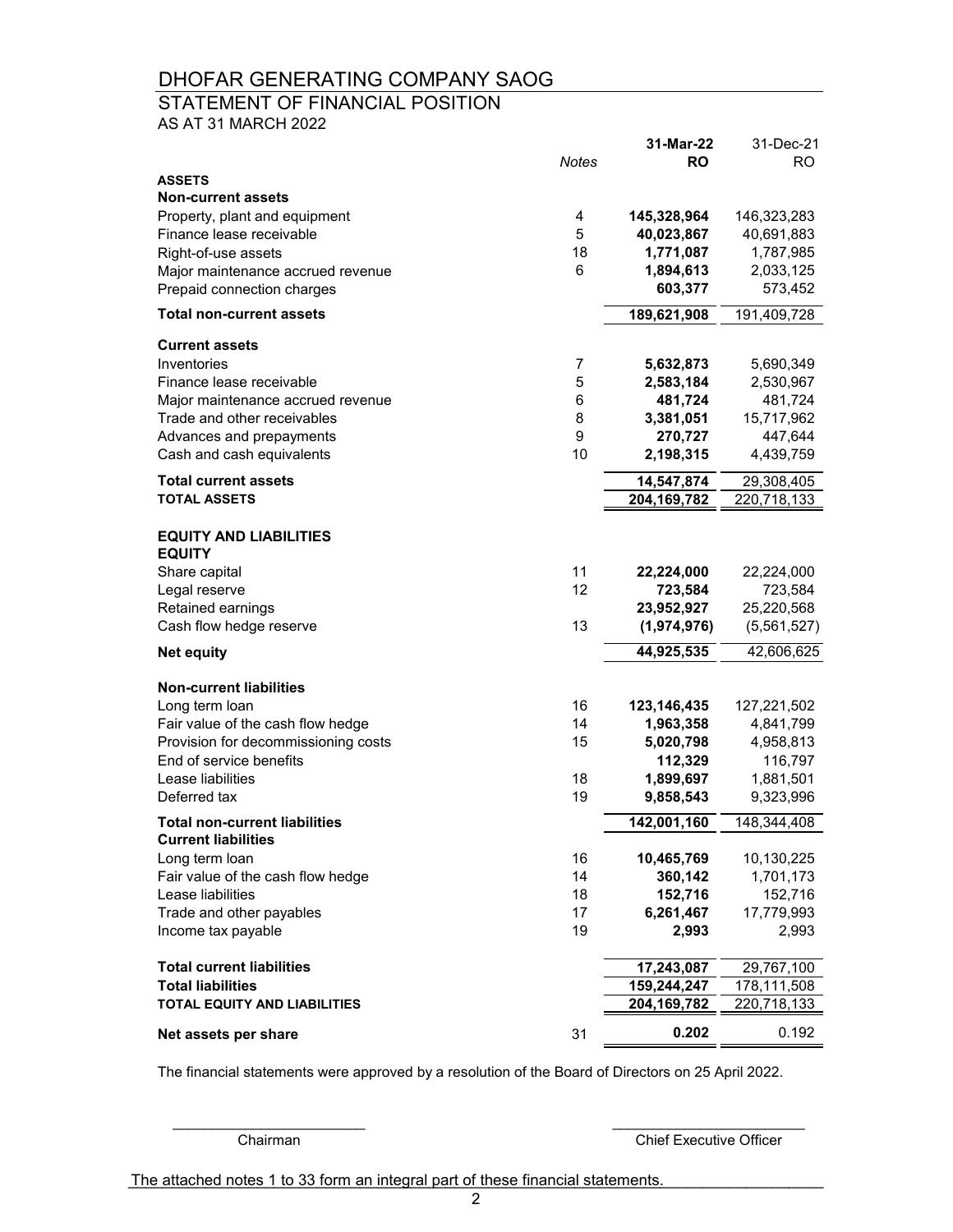## STATEMENT OF FINANCIAL POSITION

AS AT 31 MARCH 2022

|                                                |              | 31-Mar-22              | 31-Dec-21              |
|------------------------------------------------|--------------|------------------------|------------------------|
|                                                | <b>Notes</b> | <b>RO</b>              | <b>RO</b>              |
| <b>ASSETS</b><br><b>Non-current assets</b>     |              |                        |                        |
| Property, plant and equipment                  | 4            | 145,328,964            | 146,323,283            |
| Finance lease receivable                       | 5            | 40,023,867             | 40,691,883             |
| Right-of-use assets                            | 18           | 1,771,087              | 1,787,985              |
| Major maintenance accrued revenue              | 6            | 1,894,613              | 2,033,125              |
| Prepaid connection charges                     |              | 603,377                | 573,452                |
| <b>Total non-current assets</b>                |              | 189,621,908            | 191,409,728            |
|                                                |              |                        |                        |
| <b>Current assets</b>                          |              |                        |                        |
| Inventories<br>Finance lease receivable        | 7<br>5       | 5,632,873<br>2,583,184 | 5,690,349<br>2,530,967 |
| Major maintenance accrued revenue              | 6            | 481,724                | 481,724                |
| Trade and other receivables                    | 8            | 3,381,051              | 15,717,962             |
| Advances and prepayments                       | 9            | 270,727                | 447,644                |
| Cash and cash equivalents                      | 10           | 2,198,315              | 4,439,759              |
| <b>Total current assets</b>                    |              | 14,547,874             | 29,308,405             |
| <b>TOTAL ASSETS</b>                            |              | 204,169,782            | 220,718,133            |
| <b>EQUITY AND LIABILITIES</b>                  |              |                        |                        |
| <b>EQUITY</b>                                  |              |                        |                        |
| Share capital                                  | 11           | 22,224,000             | 22,224,000             |
| Legal reserve                                  | 12           | 723,584                | 723,584                |
| Retained earnings                              |              | 23,952,927             | 25,220,568             |
| Cash flow hedge reserve                        | 13           | (1,974,976)            | (5,561,527)            |
| <b>Net equity</b>                              |              | 44,925,535             | 42,606,625             |
| <b>Non-current liabilities</b>                 |              |                        |                        |
| Long term loan                                 | 16           | 123,146,435            | 127,221,502            |
| Fair value of the cash flow hedge              | 14           | 1,963,358              | 4,841,799              |
| Provision for decommissioning costs            | 15           | 5,020,798              | 4,958,813              |
| End of service benefits                        |              | 112,329                | 116,797                |
| Lease liabilities                              | 18           | 1,899,697              | 1,881,501              |
| Deferred tax                                   | 19           | 9,858,543              | 9,323,996              |
| <b>Total non-current liabilities</b>           |              | 142,001,160            | 148,344,408            |
| <b>Current liabilities</b>                     |              |                        |                        |
| Long term loan                                 | 16           | 10,465,769             | 10,130,225             |
| Fair value of the cash flow hedge              | 14           | 360,142                | 1,701,173              |
| Lease liabilities                              | 18<br>17     | 152,716                | 152,716                |
| Trade and other payables<br>Income tax payable | 19           | 6,261,467<br>2,993     | 17,779,993<br>2,993    |
|                                                |              |                        |                        |
| <b>Total current liabilities</b>               |              | 17,243,087             | 29,767,100             |
| <b>Total liabilities</b>                       |              | 159,244,247            | 178,111,508            |
| <b>TOTAL EQUITY AND LIABILITIES</b>            |              | 204,169,782            | <u>220,718,133</u>     |
| Net assets per share                           | 31           | 0.202                  | 0.192                  |

The financial statements were approved by a resolution of the Board of Directors on 25 April 2022.

**Chairman** Chief Executive Officer

The attached notes 1 to 33 form an integral part of these financial statements.

\_\_\_\_\_\_\_\_\_\_\_\_\_\_\_\_\_\_\_\_\_\_\_\_ \_\_\_\_\_\_\_\_\_\_\_\_\_\_\_\_\_\_\_\_\_\_\_\_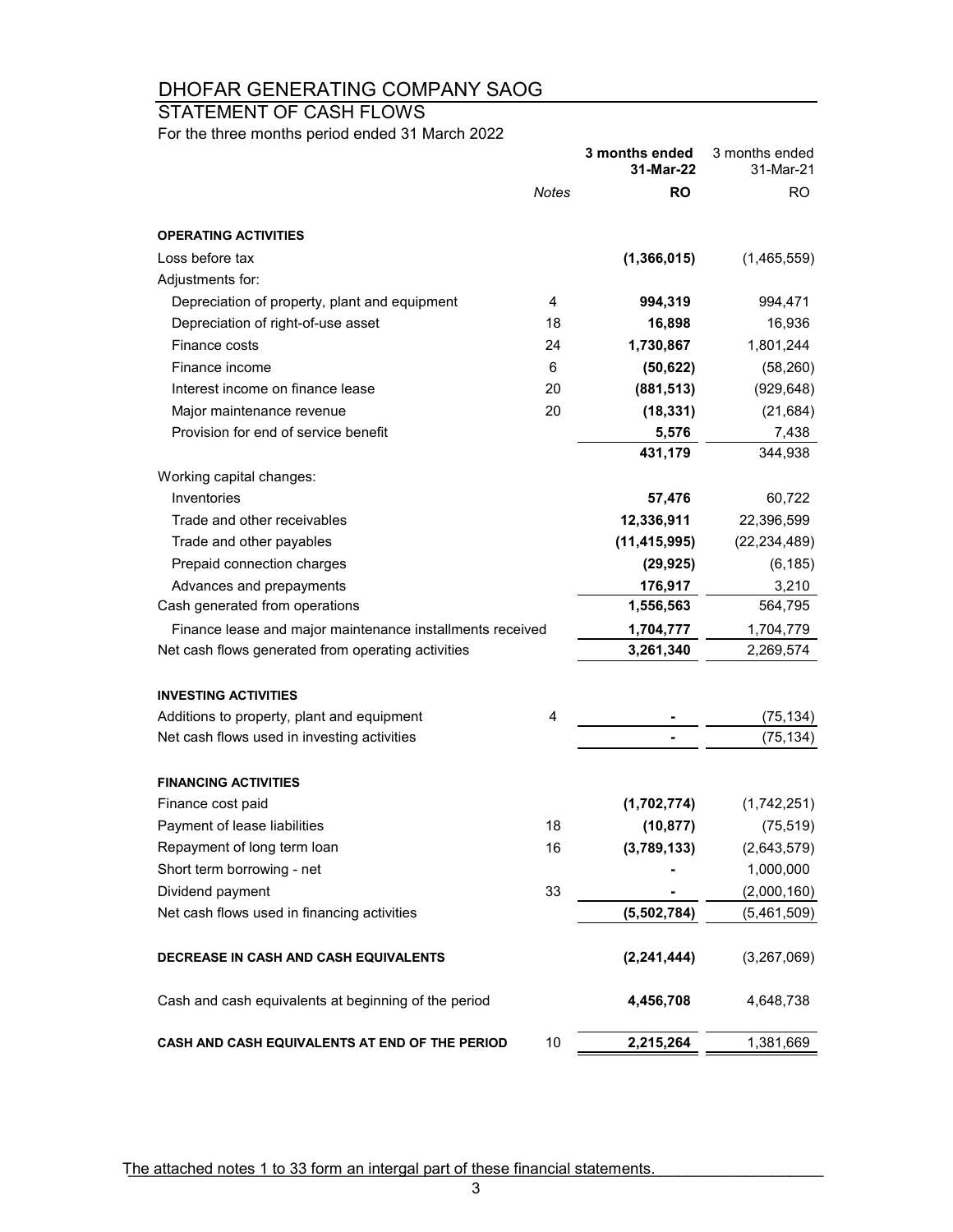STATEMENT OF CASH FLOWS

For the three months period ended 31 March 2022

|                                                           |       | 3 months ended<br>31-Mar-22 | 3 months ended<br>31-Mar-21 |
|-----------------------------------------------------------|-------|-----------------------------|-----------------------------|
|                                                           | Notes | <b>RO</b>                   | RO.                         |
| <b>OPERATING ACTIVITIES</b>                               |       |                             |                             |
| Loss before tax                                           |       | (1, 366, 015)               | (1,465,559)                 |
| Adjustments for:                                          |       |                             |                             |
| Depreciation of property, plant and equipment             | 4     | 994,319                     | 994,471                     |
| Depreciation of right-of-use asset                        | 18    | 16,898                      | 16,936                      |
| Finance costs                                             | 24    | 1,730,867                   | 1,801,244                   |
| Finance income                                            | 6     | (50, 622)                   | (58, 260)                   |
| Interest income on finance lease                          | 20    | (881, 513)                  | (929, 648)                  |
| Major maintenance revenue                                 | 20    | (18, 331)                   | (21, 684)                   |
| Provision for end of service benefit                      |       | 5,576                       | 7,438                       |
|                                                           |       | 431,179                     | 344,938                     |
| Working capital changes:                                  |       |                             |                             |
| Inventories                                               |       | 57,476                      | 60,722                      |
| Trade and other receivables                               |       | 12,336,911                  | 22,396,599                  |
| Trade and other payables                                  |       | (11, 415, 995)              | (22, 234, 489)              |
| Prepaid connection charges                                |       | (29, 925)                   | (6, 185)                    |
| Advances and prepayments                                  |       | 176,917                     | 3,210                       |
| Cash generated from operations                            |       | 1,556,563                   | 564,795                     |
| Finance lease and major maintenance installments received |       | 1,704,777                   | 1,704,779                   |
| Net cash flows generated from operating activities        |       | 3,261,340                   | 2,269,574                   |
| <b>INVESTING ACTIVITIES</b>                               |       |                             |                             |
| Additions to property, plant and equipment                | 4     |                             | (75, 134)                   |
| Net cash flows used in investing activities               |       |                             | (75, 134)                   |
| <b>FINANCING ACTIVITIES</b>                               |       |                             |                             |
| Finance cost paid                                         |       | (1,702,774)                 | (1,742,251)                 |
| Payment of lease liabilities                              | 18    | (10, 877)                   | (75, 519)                   |
| Repayment of long term loan                               | 16    | (3,789,133)                 | (2,643,579)                 |
| Short term borrowing - net                                |       |                             | 1,000,000                   |
| Dividend payment                                          | 33    |                             | (2,000,160)                 |
| Net cash flows used in financing activities               |       | (5,502,784)                 | (5,461,509)                 |
| DECREASE IN CASH AND CASH EQUIVALENTS                     |       | (2, 241, 444)               | (3,267,069)                 |
| Cash and cash equivalents at beginning of the period      |       | 4,456,708                   | 4,648,738                   |
| CASH AND CASH EQUIVALENTS AT END OF THE PERIOD            | 10    | 2,215,264                   | 1,381,669                   |

The attached notes 1 to 33 form an intergal part of these financial statements.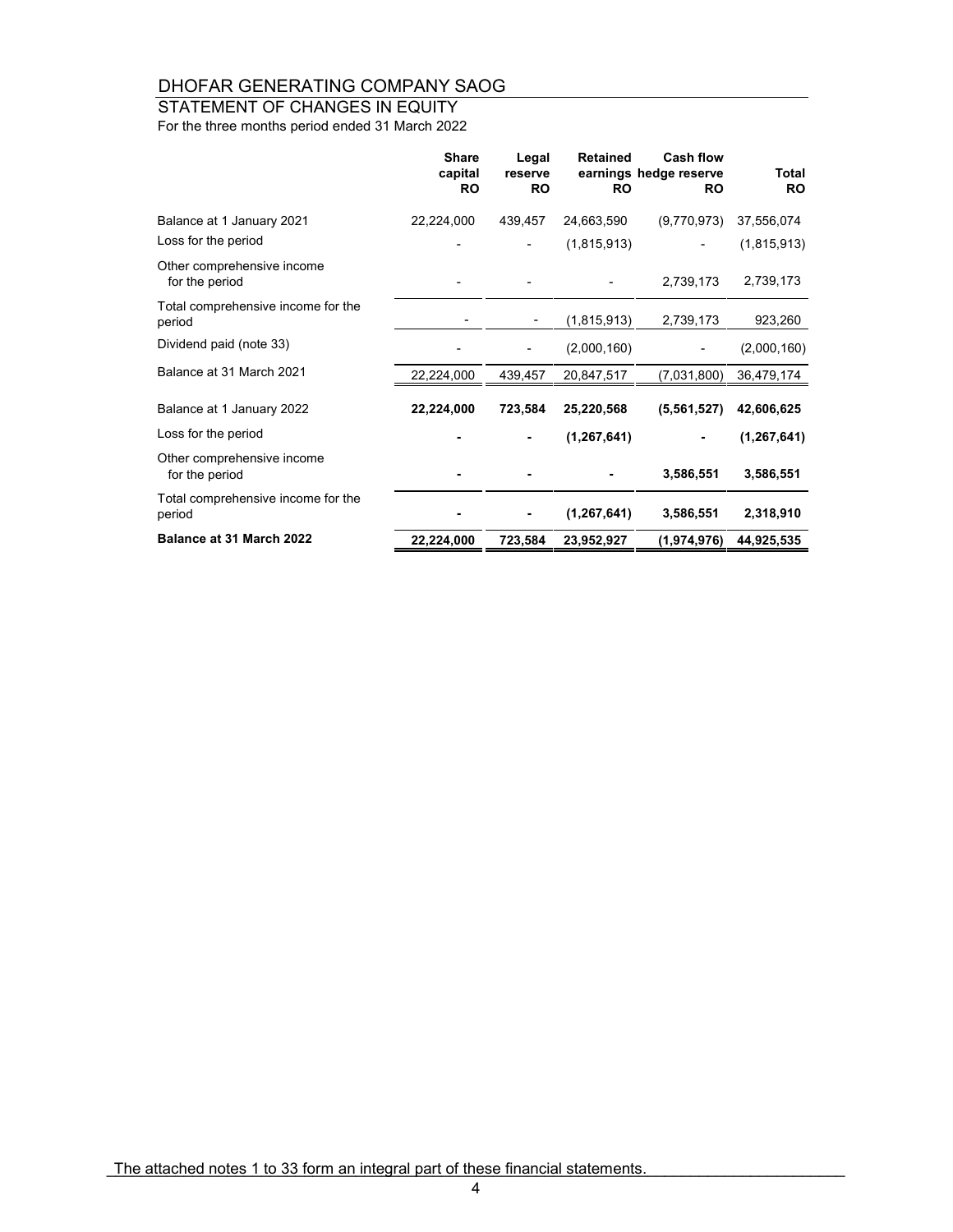## STATEMENT OF CHANGES IN EQUITY

For the three months period ended 31 March 2022

|                                              | <b>Share</b><br>capital<br><b>RO</b> | Legal<br>reserve<br><b>RO</b> | <b>Retained</b><br><b>RO</b> | <b>Cash flow</b><br>earnings hedge reserve<br><b>RO</b> | <b>Total</b><br><b>RO</b> |
|----------------------------------------------|--------------------------------------|-------------------------------|------------------------------|---------------------------------------------------------|---------------------------|
| Balance at 1 January 2021                    | 22,224,000                           | 439,457                       | 24,663,590                   | (9,770,973)                                             | 37,556,074                |
| Loss for the period                          |                                      |                               | (1,815,913)                  |                                                         | (1,815,913)               |
| Other comprehensive income<br>for the period |                                      |                               |                              | 2,739,173                                               | 2,739,173                 |
| Total comprehensive income for the<br>period |                                      | $\overline{a}$                | (1,815,913)                  | 2,739,173                                               | 923,260                   |
| Dividend paid (note 33)                      |                                      |                               | (2,000,160)                  |                                                         | (2,000,160)               |
| Balance at 31 March 2021                     | 22,224,000                           | 439,457                       | 20,847,517                   | (7,031,800)                                             | 36,479,174                |
| Balance at 1 January 2022                    | 22,224,000                           | 723,584                       | 25,220,568                   | (5,561,527)                                             | 42,606,625                |
| Loss for the period                          |                                      |                               | (1, 267, 641)                |                                                         | (1, 267, 641)             |
| Other comprehensive income<br>for the period |                                      |                               |                              | 3,586,551                                               | 3,586,551                 |
| Total comprehensive income for the<br>period |                                      |                               | (1, 267, 641)                | 3,586,551                                               | 2,318,910                 |
| Balance at 31 March 2022                     | 22,224,000                           | 723,584                       | 23,952,927                   | (1,974,976)                                             | 44,925,535                |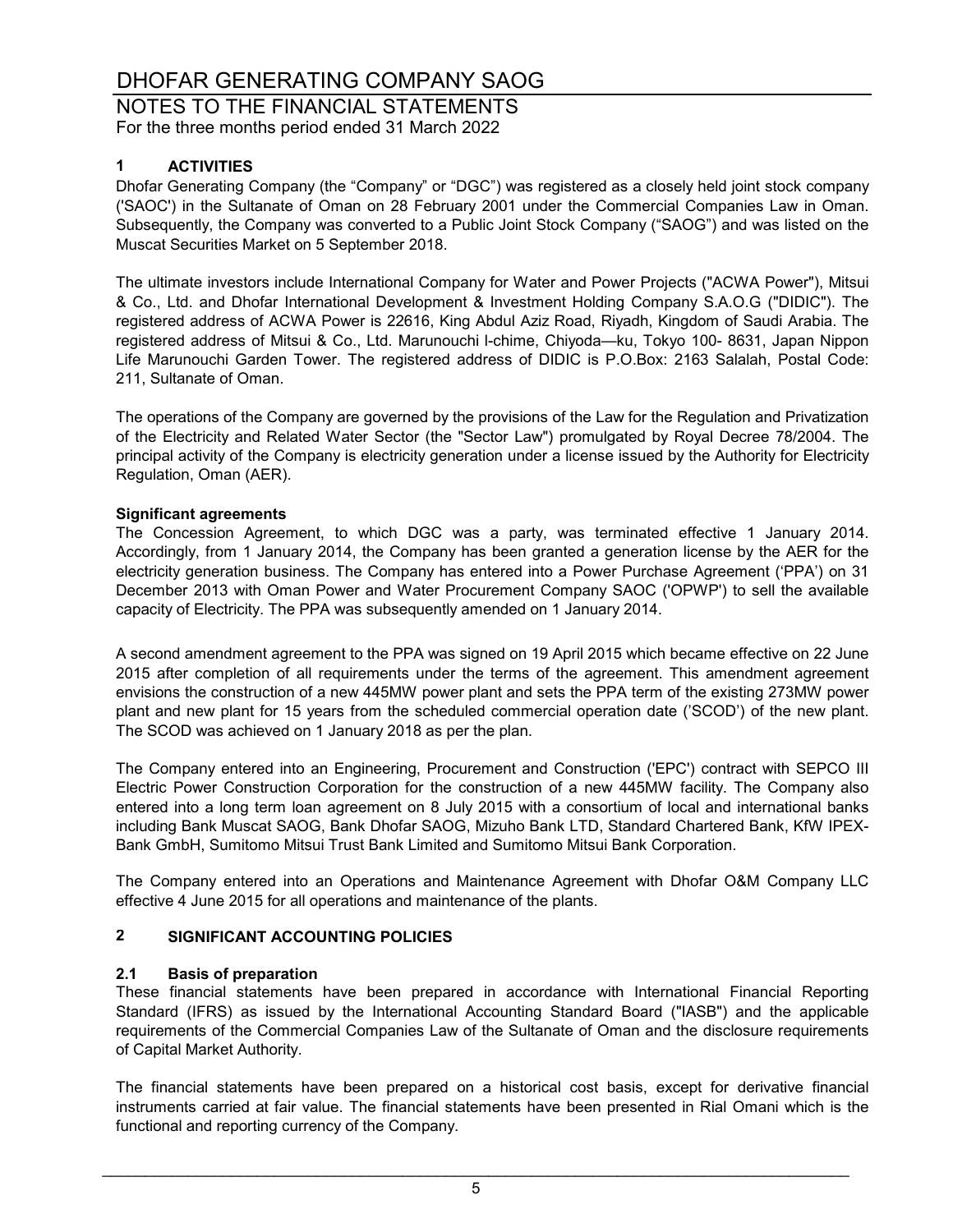NOTES TO THE FINANCIAL STATEMENTS For the three months period ended 31 March 2022

#### **1 ACTIVITIES**

Dhofar Generating Company (the "Company" or "DGC") was registered as a closely held joint stock company ('SAOC') in the Sultanate of Oman on 28 February 2001 under the Commercial Companies Law in Oman. Subsequently, the Company was converted to a Public Joint Stock Company ("SAOG") and was listed on the Muscat Securities Market on 5 September 2018.

The ultimate investors include International Company for Water and Power Projects ("ACWA Power"), Mitsui & Co., Ltd. and Dhofar International Development & Investment Holding Company S.A.O.G ("DIDIC"). The registered address of ACWA Power is 22616, King Abdul Aziz Road, Riyadh, Kingdom of Saudi Arabia. The registered address of Mitsui & Co., Ltd. Marunouchi l-chime, Chiyoda—ku, Tokyo 100- 8631, Japan Nippon Life Marunouchi Garden Tower. The registered address of DIDIC is P.O.Box: 2163 Salalah, Postal Code: 211, Sultanate of Oman.

The operations of the Company are governed by the provisions of the Law for the Regulation and Privatization of the Electricity and Related Water Sector (the "Sector Law") promulgated by Royal Decree 78/2004. The principal activity of the Company is electricity generation under a license issued by the Authority for Electricity Regulation, Oman (AER).

#### **Significant agreements**

The Concession Agreement, to which DGC was a party, was terminated effective 1 January 2014. Accordingly, from 1 January 2014, the Company has been granted a generation license by the AER for the electricity generation business. The Company has entered into a Power Purchase Agreement ('PPA') on 31 December 2013 with Oman Power and Water Procurement Company SAOC ('OPWP') to sell the available capacity of Electricity. The PPA was subsequently amended on 1 January 2014.

A second amendment agreement to the PPA was signed on 19 April 2015 which became effective on 22 June 2015 after completion of all requirements under the terms of the agreement. This amendment agreement envisions the construction of a new 445MW power plant and sets the PPA term of the existing 273MW power plant and new plant for 15 years from the scheduled commercial operation date ('SCOD') of the new plant. The SCOD was achieved on 1 January 2018 as per the plan.

The Company entered into an Engineering, Procurement and Construction ('EPC') contract with SEPCO III Electric Power Construction Corporation for the construction of a new 445MW facility. The Company also entered into a long term loan agreement on 8 July 2015 with a consortium of local and international banks including Bank Muscat SAOG, Bank Dhofar SAOG, Mizuho Bank LTD, Standard Chartered Bank, KfW IPEX-Bank GmbH, Sumitomo Mitsui Trust Bank Limited and Sumitomo Mitsui Bank Corporation.

The Company entered into an Operations and Maintenance Agreement with Dhofar O&M Company LLC effective 4 June 2015 for all operations and maintenance of the plants.

### **2 SIGNIFICANT ACCOUNTING POLICIES**

#### **2.1 Basis of preparation**

These financial statements have been prepared in accordance with International Financial Reporting Standard (IFRS) as issued by the International Accounting Standard Board ("IASB") and the applicable requirements of the Commercial Companies Law of the Sultanate of Oman and the disclosure requirements of Capital Market Authority.

The financial statements have been prepared on a historical cost basis, except for derivative financial instruments carried at fair value. The financial statements have been presented in Rial Omani which is the functional and reporting currency of the Company.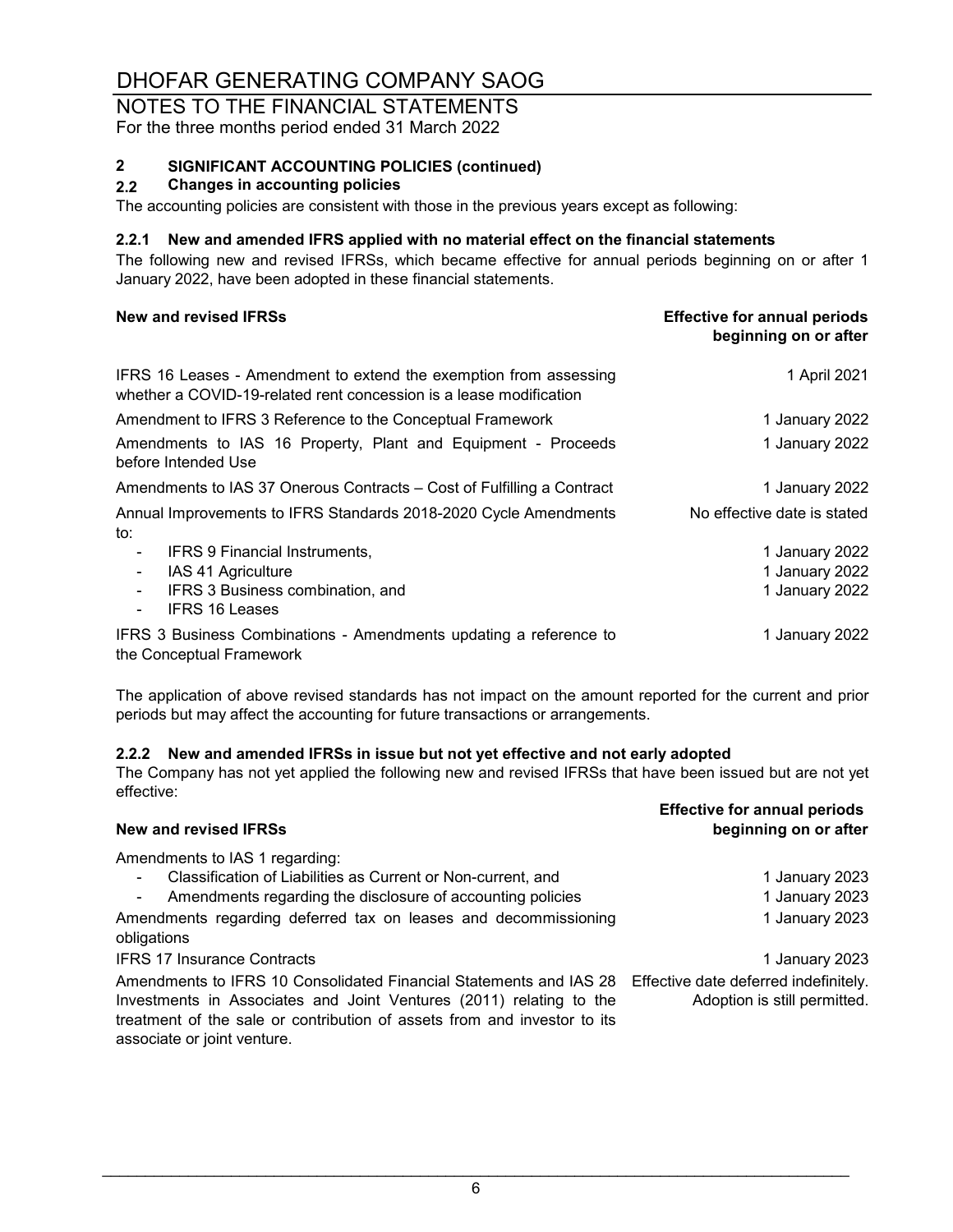#### NOTES TO THE FINANCIAL STATEMENTS For the three months period ended 31 March 2022

# **2 SIGNIFICANT ACCOUNTING POLICIES (continued)**

#### **2.2 Changes in accounting policies**

The accounting policies are consistent with those in the previous years except as following:

#### **2.2.1 New and amended IFRS applied with no material effect on the financial statements**

The following new and revised IFRSs, which became effective for annual periods beginning on or after 1 January 2022, have been adopted in these financial statements.

| New and revised IFRSs                                                                                                                   | <b>Effective for annual periods</b><br>beginning on or after |
|-----------------------------------------------------------------------------------------------------------------------------------------|--------------------------------------------------------------|
| IFRS 16 Leases - Amendment to extend the exemption from assessing<br>whether a COVID-19-related rent concession is a lease modification | 1 April 2021                                                 |
| Amendment to IFRS 3 Reference to the Conceptual Framework                                                                               | 1 January 2022                                               |
| Amendments to IAS 16 Property, Plant and Equipment - Proceeds<br>before Intended Use                                                    | 1 January 2022                                               |
| Amendments to IAS 37 Onerous Contracts - Cost of Fulfilling a Contract                                                                  | 1 January 2022                                               |
| Annual Improvements to IFRS Standards 2018-2020 Cycle Amendments<br>to:                                                                 | No effective date is stated                                  |
| IFRS 9 Financial Instruments,<br>-                                                                                                      | 1 January 2022                                               |
| IAS 41 Agriculture                                                                                                                      | 1 January 2022                                               |
| IFRS 3 Business combination, and<br><b>IFRS 16 Leases</b>                                                                               | 1 January 2022                                               |
| IFRS 3 Business Combinations - Amendments updating a reference to<br>the Conceptual Framework                                           | 1 January 2022                                               |

The application of above revised standards has not impact on the amount reported for the current and prior periods but may affect the accounting for future transactions or arrangements.

#### **2.2.2 New and amended IFRSs in issue but not yet effective and not early adopted**

The Company has not yet applied the following new and revised IFRSs that have been issued but are not yet effective:

| New and revised IFRSs                                                                                                                                                                                                                                | <b>Effective for annual periods</b><br>beginning on or after          |
|------------------------------------------------------------------------------------------------------------------------------------------------------------------------------------------------------------------------------------------------------|-----------------------------------------------------------------------|
| Amendments to IAS 1 regarding:<br>Classification of Liabilities as Current or Non-current, and<br>Amendments regarding the disclosure of accounting policies<br>$\blacksquare$                                                                       | 1 January 2023<br>1 January 2023                                      |
| Amendments regarding deferred tax on leases and decommissioning<br>obligations                                                                                                                                                                       | 1 January 2023                                                        |
| <b>IFRS 17 Insurance Contracts</b>                                                                                                                                                                                                                   | 1 January 2023                                                        |
| Amendments to IFRS 10 Consolidated Financial Statements and IAS 28<br>Investments in Associates and Joint Ventures (2011) relating to the<br>treatment of the sale or contribution of assets from and investor to its<br>associate or joint venture. | Effective date deferred indefinitely.<br>Adoption is still permitted. |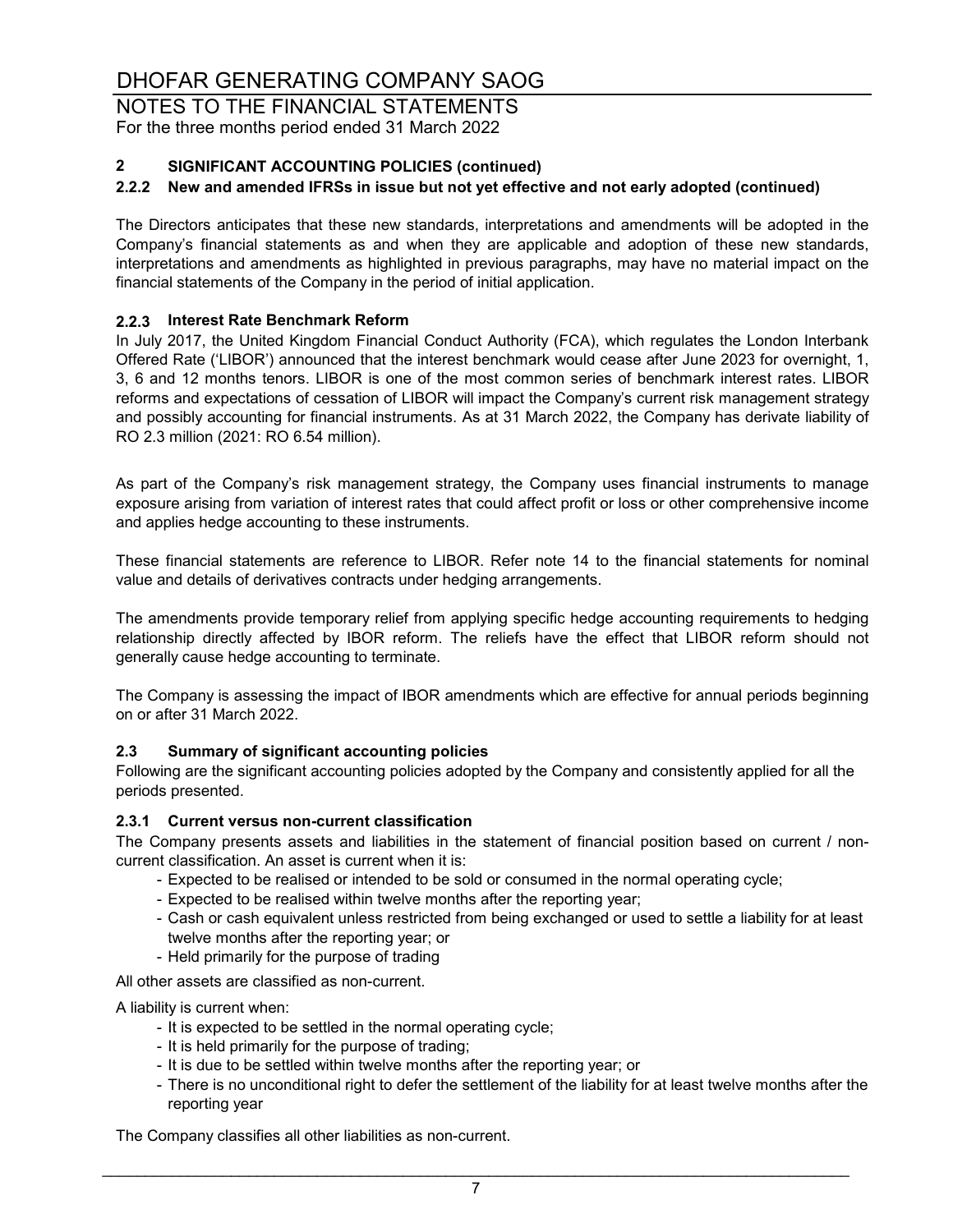NOTES TO THE FINANCIAL STATEMENTS For the three months period ended 31 March 2022

### **2 SIGNIFICANT ACCOUNTING POLICIES (continued)**

#### **2.2.2 New and amended IFRSs in issue but not yet effective and not early adopted (continued)**

The Directors anticipates that these new standards, interpretations and amendments will be adopted in the Company's financial statements as and when they are applicable and adoption of these new standards, interpretations and amendments as highlighted in previous paragraphs, may have no material impact on the financial statements of the Company in the period of initial application.

#### **2.2.3 Interest Rate Benchmark Reform**

In July 2017, the United Kingdom Financial Conduct Authority (FCA), which regulates the London Interbank Offered Rate ('LIBOR') announced that the interest benchmark would cease after June 2023 for overnight, 1, 3, 6 and 12 months tenors. LIBOR is one of the most common series of benchmark interest rates. LIBOR reforms and expectations of cessation of LIBOR will impact the Company's current risk management strategy and possibly accounting for financial instruments. As at 31 March 2022, the Company has derivate liability of RO 2.3 million (2021: RO 6.54 million).

As part of the Company's risk management strategy, the Company uses financial instruments to manage exposure arising from variation of interest rates that could affect profit or loss or other comprehensive income and applies hedge accounting to these instruments.

These financial statements are reference to LIBOR. Refer note 14 to the financial statements for nominal value and details of derivatives contracts under hedging arrangements.

The amendments provide temporary relief from applying specific hedge accounting requirements to hedging relationship directly affected by IBOR reform. The reliefs have the effect that LIBOR reform should not generally cause hedge accounting to terminate.

The Company is assessing the impact of IBOR amendments which are effective for annual periods beginning on or after 31 March 2022.

#### **2.3 Summary of significant accounting policies**

Following are the significant accounting policies adopted by the Company and consistently applied for all the periods presented.

#### **2.3.1 Current versus non-current classification**

The Company presents assets and liabilities in the statement of financial position based on current / noncurrent classification. An asset is current when it is:

- Expected to be realised or intended to be sold or consumed in the normal operating cycle;
- Expected to be realised within twelve months after the reporting year;
- Cash or cash equivalent unless restricted from being exchanged or used to settle a liability for at least twelve months after the reporting year; or
- Held primarily for the purpose of trading

All other assets are classified as non-current.

A liability is current when:

- It is expected to be settled in the normal operating cycle;
- It is held primarily for the purpose of trading;
- It is due to be settled within twelve months after the reporting year; or
- There is no unconditional right to defer the settlement of the liability for at least twelve months after the reporting year

The Company classifies all other liabilities as non-current.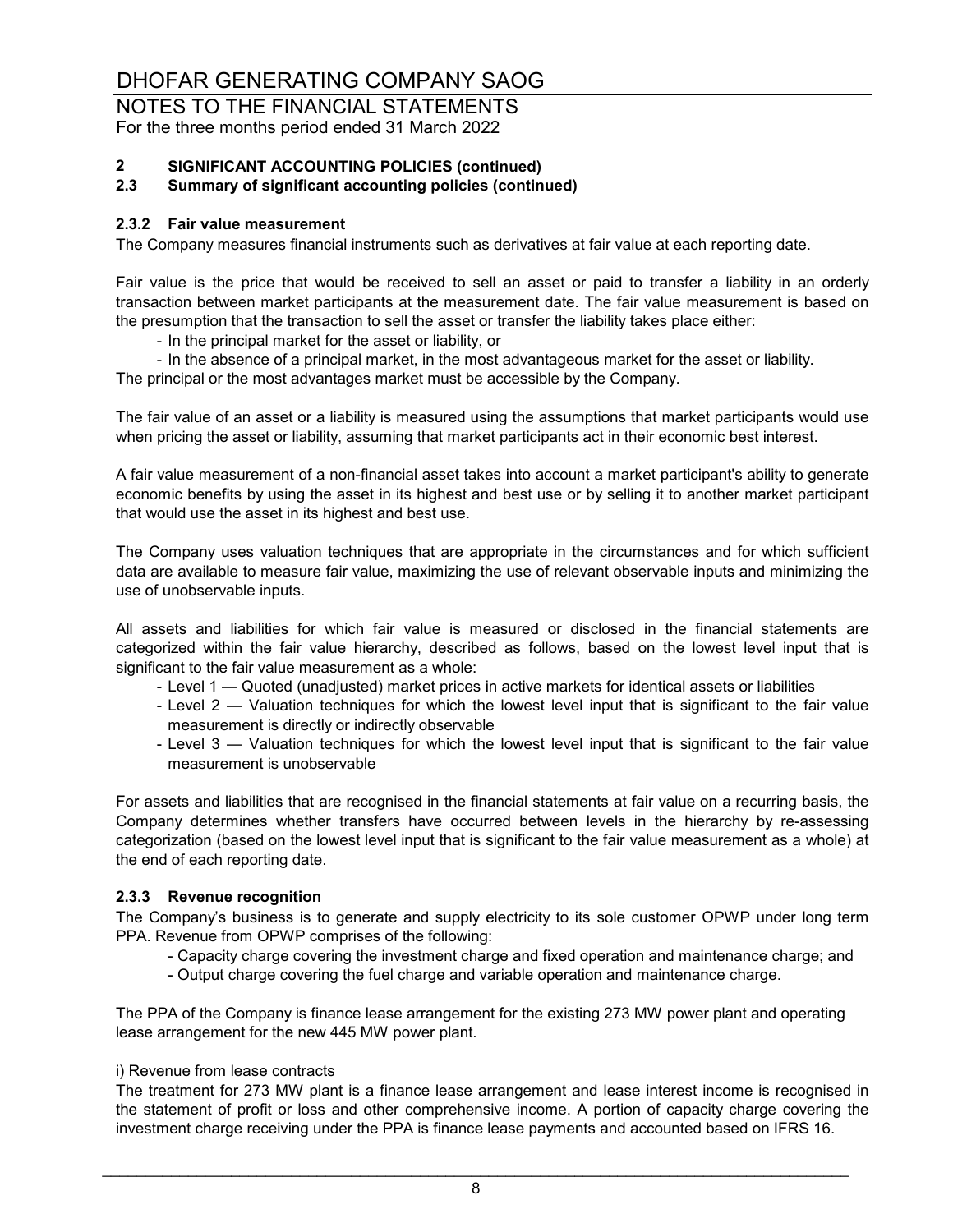NOTES TO THE FINANCIAL STATEMENTS For the three months period ended 31 March 2022

# **2 SIGNIFICANT ACCOUNTING POLICIES (continued)**

#### **2.3 Summary of significant accounting policies (continued)**

#### **2.3.2 Fair value measurement**

The Company measures financial instruments such as derivatives at fair value at each reporting date.

Fair value is the price that would be received to sell an asset or paid to transfer a liability in an orderly transaction between market participants at the measurement date. The fair value measurement is based on the presumption that the transaction to sell the asset or transfer the liability takes place either:

- In the principal market for the asset or liability, or
- In the absence of a principal market, in the most advantageous market for the asset or liability. The principal or the most advantages market must be accessible by the Company.

The fair value of an asset or a liability is measured using the assumptions that market participants would use when pricing the asset or liability, assuming that market participants act in their economic best interest.

A fair value measurement of a non-financial asset takes into account a market participant's ability to generate economic benefits by using the asset in its highest and best use or by selling it to another market participant that would use the asset in its highest and best use.

The Company uses valuation techniques that are appropriate in the circumstances and for which sufficient data are available to measure fair value, maximizing the use of relevant observable inputs and minimizing the use of unobservable inputs.

All assets and liabilities for which fair value is measured or disclosed in the financial statements are categorized within the fair value hierarchy, described as follows, based on the lowest level input that is significant to the fair value measurement as a whole:

- Level 1 Quoted (unadjusted) market prices in active markets for identical assets or liabilities
- Level 2 Valuation techniques for which the lowest level input that is significant to the fair value measurement is directly or indirectly observable
- Level 3 Valuation techniques for which the lowest level input that is significant to the fair value measurement is unobservable

For assets and liabilities that are recognised in the financial statements at fair value on a recurring basis, the Company determines whether transfers have occurred between levels in the hierarchy by re-assessing categorization (based on the lowest level input that is significant to the fair value measurement as a whole) at the end of each reporting date.

#### **2.3.3 Revenue recognition**

The Company's business is to generate and supply electricity to its sole customer OPWP under long term PPA. Revenue from OPWP comprises of the following:

- Capacity charge covering the investment charge and fixed operation and maintenance charge; and
- Output charge covering the fuel charge and variable operation and maintenance charge.

The PPA of the Company is finance lease arrangement for the existing 273 MW power plant and operating lease arrangement for the new 445 MW power plant.

#### i) Revenue from lease contracts

The treatment for 273 MW plant is a finance lease arrangement and lease interest income is recognised in the statement of profit or loss and other comprehensive income. A portion of capacity charge covering the investment charge receiving under the PPA is finance lease payments and accounted based on IFRS 16.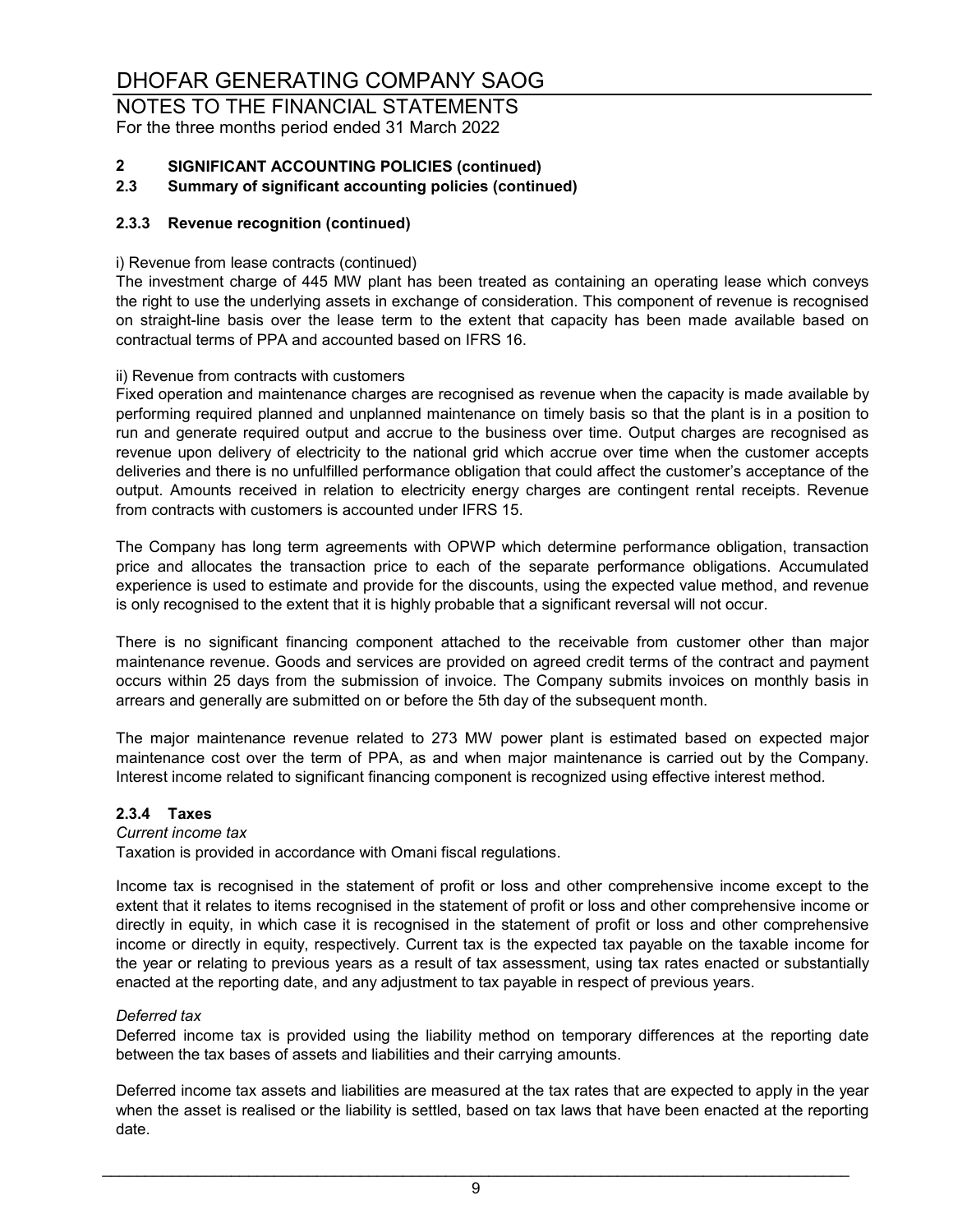NOTES TO THE FINANCIAL STATEMENTS For the three months period ended 31 March 2022

# **2 SIGNIFICANT ACCOUNTING POLICIES (continued)**

#### **2.3 Summary of significant accounting policies (continued)**

#### **2.3.3 Revenue recognition (continued)**

#### i) Revenue from lease contracts (continued)

The investment charge of 445 MW plant has been treated as containing an operating lease which conveys the right to use the underlying assets in exchange of consideration. This component of revenue is recognised on straight-line basis over the lease term to the extent that capacity has been made available based on contractual terms of PPA and accounted based on IFRS 16.

#### ii) Revenue from contracts with customers

Fixed operation and maintenance charges are recognised as revenue when the capacity is made available by performing required planned and unplanned maintenance on timely basis so that the plant is in a position to run and generate required output and accrue to the business over time. Output charges are recognised as revenue upon delivery of electricity to the national grid which accrue over time when the customer accepts deliveries and there is no unfulfilled performance obligation that could affect the customer's acceptance of the output. Amounts received in relation to electricity energy charges are contingent rental receipts. Revenue from contracts with customers is accounted under IFRS 15.

The Company has long term agreements with OPWP which determine performance obligation, transaction price and allocates the transaction price to each of the separate performance obligations. Accumulated experience is used to estimate and provide for the discounts, using the expected value method, and revenue is only recognised to the extent that it is highly probable that a significant reversal will not occur.

There is no significant financing component attached to the receivable from customer other than major maintenance revenue. Goods and services are provided on agreed credit terms of the contract and payment occurs within 25 days from the submission of invoice. The Company submits invoices on monthly basis in arrears and generally are submitted on or before the 5th day of the subsequent month.

The major maintenance revenue related to 273 MW power plant is estimated based on expected major maintenance cost over the term of PPA, as and when major maintenance is carried out by the Company. Interest income related to significant financing component is recognized using effective interest method.

#### **2.3.4 Taxes**

#### *Current income tax*

Taxation is provided in accordance with Omani fiscal regulations.

Income tax is recognised in the statement of profit or loss and other comprehensive income except to the extent that it relates to items recognised in the statement of profit or loss and other comprehensive income or directly in equity, in which case it is recognised in the statement of profit or loss and other comprehensive income or directly in equity, respectively. Current tax is the expected tax payable on the taxable income for the year or relating to previous years as a result of tax assessment, using tax rates enacted or substantially enacted at the reporting date, and any adjustment to tax payable in respect of previous years.

#### *Deferred tax*

Deferred income tax is provided using the liability method on temporary differences at the reporting date between the tax bases of assets and liabilities and their carrying amounts.

Deferred income tax assets and liabilities are measured at the tax rates that are expected to apply in the year when the asset is realised or the liability is settled, based on tax laws that have been enacted at the reporting date.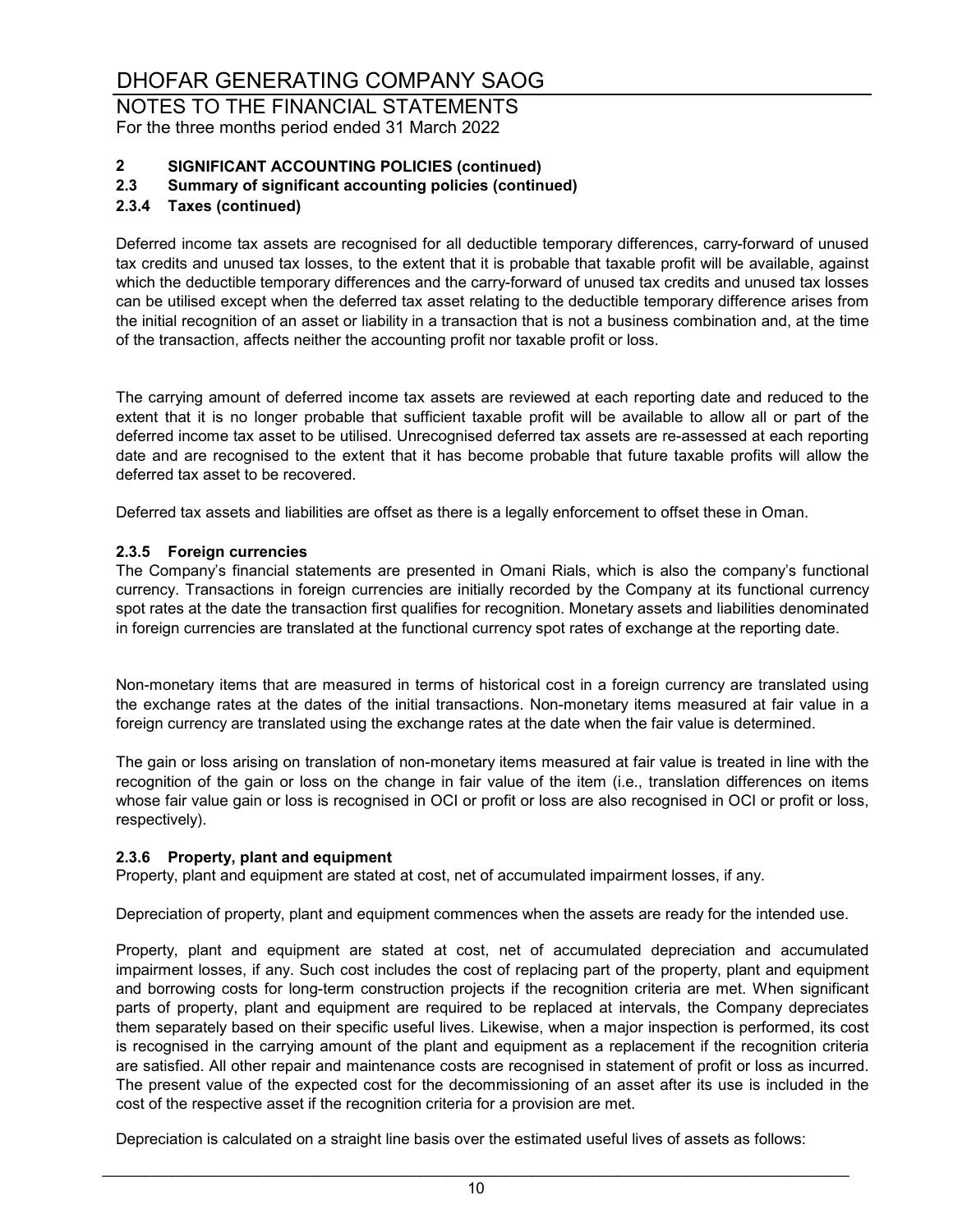NOTES TO THE FINANCIAL STATEMENTS For the three months period ended 31 March 2022

# **2 SIGNIFICANT ACCOUNTING POLICIES (continued)**

#### **2.3 Summary of significant accounting policies (continued)**

#### **2.3.4 Taxes (continued)**

Deferred income tax assets are recognised for all deductible temporary differences, carry-forward of unused tax credits and unused tax losses, to the extent that it is probable that taxable profit will be available, against which the deductible temporary differences and the carry-forward of unused tax credits and unused tax losses can be utilised except when the deferred tax asset relating to the deductible temporary difference arises from the initial recognition of an asset or liability in a transaction that is not a business combination and, at the time of the transaction, affects neither the accounting profit nor taxable profit or loss.

The carrying amount of deferred income tax assets are reviewed at each reporting date and reduced to the extent that it is no longer probable that sufficient taxable profit will be available to allow all or part of the deferred income tax asset to be utilised. Unrecognised deferred tax assets are re-assessed at each reporting date and are recognised to the extent that it has become probable that future taxable profits will allow the deferred tax asset to be recovered.

Deferred tax assets and liabilities are offset as there is a legally enforcement to offset these in Oman.

#### **2.3.5 Foreign currencies**

The Company's financial statements are presented in Omani Rials, which is also the company's functional currency. Transactions in foreign currencies are initially recorded by the Company at its functional currency spot rates at the date the transaction first qualifies for recognition. Monetary assets and liabilities denominated in foreign currencies are translated at the functional currency spot rates of exchange at the reporting date.

Non-monetary items that are measured in terms of historical cost in a foreign currency are translated using the exchange rates at the dates of the initial transactions. Non-monetary items measured at fair value in a foreign currency are translated using the exchange rates at the date when the fair value is determined.

The gain or loss arising on translation of non-monetary items measured at fair value is treated in line with the recognition of the gain or loss on the change in fair value of the item (i.e., translation differences on items whose fair value gain or loss is recognised in OCI or profit or loss are also recognised in OCI or profit or loss, respectively).

#### **2.3.6 Property, plant and equipment**

Property, plant and equipment are stated at cost, net of accumulated impairment losses, if any.

Depreciation of property, plant and equipment commences when the assets are ready for the intended use.

Property, plant and equipment are stated at cost, net of accumulated depreciation and accumulated impairment losses, if any. Such cost includes the cost of replacing part of the property, plant and equipment and borrowing costs for long-term construction projects if the recognition criteria are met. When significant parts of property, plant and equipment are required to be replaced at intervals, the Company depreciates them separately based on their specific useful lives. Likewise, when a major inspection is performed, its cost is recognised in the carrying amount of the plant and equipment as a replacement if the recognition criteria are satisfied. All other repair and maintenance costs are recognised in statement of profit or loss as incurred. The present value of the expected cost for the decommissioning of an asset after its use is included in the cost of the respective asset if the recognition criteria for a provision are met.

Depreciation is calculated on a straight line basis over the estimated useful lives of assets as follows: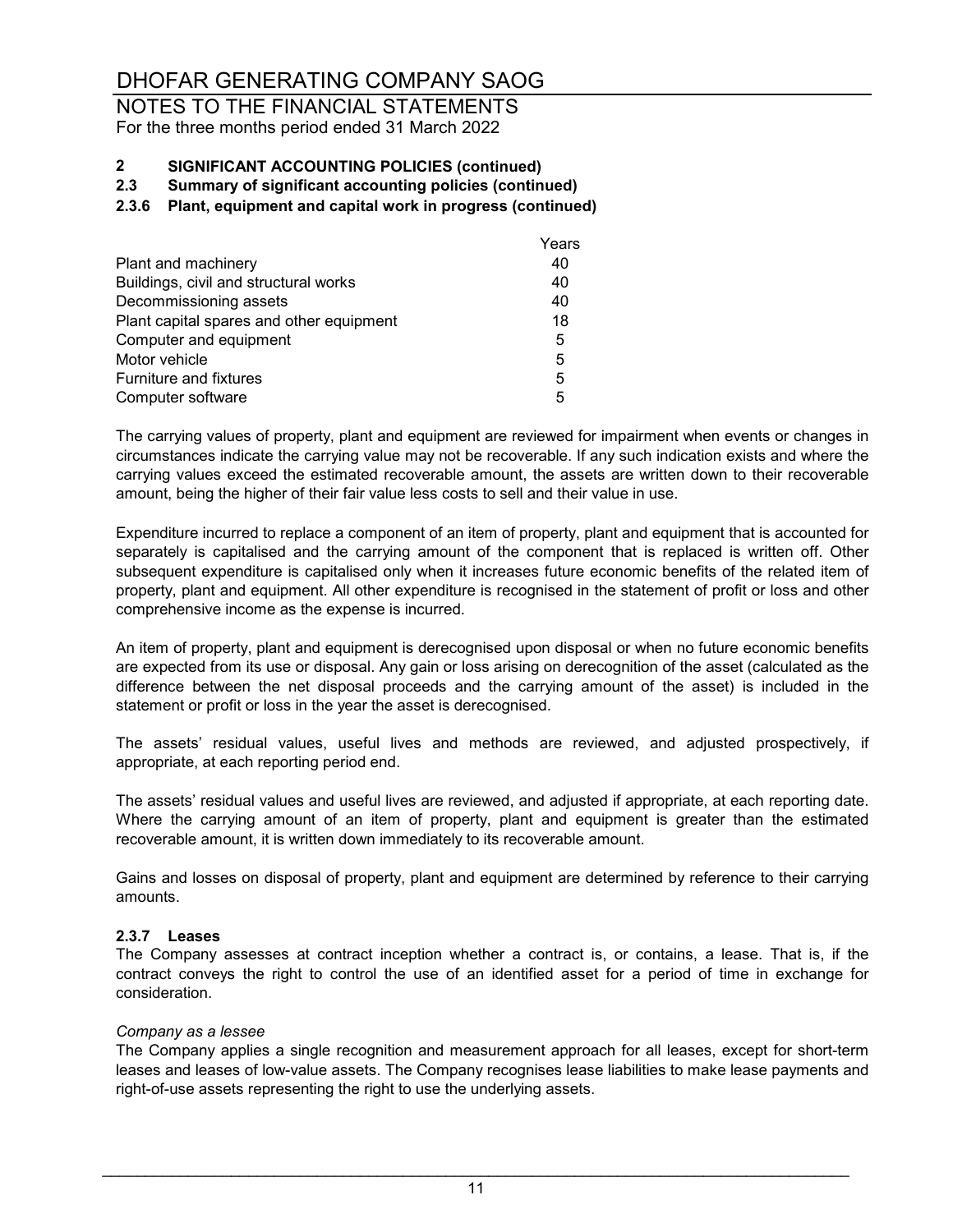### NOTES TO THE FINANCIAL STATEMENTS For the three months period ended 31 March 2022

# **2 SIGNIFICANT ACCOUNTING POLICIES (continued)**

**2.3 Summary of significant accounting policies (continued)**

#### **2.3.6 Plant, equipment and capital work in progress (continued)**

|                                          | Years |
|------------------------------------------|-------|
| Plant and machinery                      | 40    |
| Buildings, civil and structural works    | 40    |
| Decommissioning assets                   | 40    |
| Plant capital spares and other equipment | 18    |
| Computer and equipment                   | 5     |
| Motor vehicle                            | 5     |
| <b>Furniture and fixtures</b>            | 5     |
| Computer software                        | 5     |

The carrying values of property, plant and equipment are reviewed for impairment when events or changes in circumstances indicate the carrying value may not be recoverable. If any such indication exists and where the carrying values exceed the estimated recoverable amount, the assets are written down to their recoverable amount, being the higher of their fair value less costs to sell and their value in use.

Expenditure incurred to replace a component of an item of property, plant and equipment that is accounted for separately is capitalised and the carrying amount of the component that is replaced is written off. Other subsequent expenditure is capitalised only when it increases future economic benefits of the related item of property, plant and equipment. All other expenditure is recognised in the statement of profit or loss and other comprehensive income as the expense is incurred.

An item of property, plant and equipment is derecognised upon disposal or when no future economic benefits are expected from its use or disposal. Any gain or loss arising on derecognition of the asset (calculated as the difference between the net disposal proceeds and the carrying amount of the asset) is included in the statement or profit or loss in the year the asset is derecognised.

The assets' residual values, useful lives and methods are reviewed, and adjusted prospectively, if appropriate, at each reporting period end.

The assets' residual values and useful lives are reviewed, and adjusted if appropriate, at each reporting date. Where the carrying amount of an item of property, plant and equipment is greater than the estimated recoverable amount, it is written down immediately to its recoverable amount.

Gains and losses on disposal of property, plant and equipment are determined by reference to their carrying amounts.

#### **2.3.7 Leases**

The Company assesses at contract inception whether a contract is, or contains, a lease. That is, if the contract conveys the right to control the use of an identified asset for a period of time in exchange for consideration.

#### *Company as a lessee*

The Company applies a single recognition and measurement approach for all leases, except for short-term leases and leases of low-value assets. The Company recognises lease liabilities to make lease payments and right-of-use assets representing the right to use the underlying assets.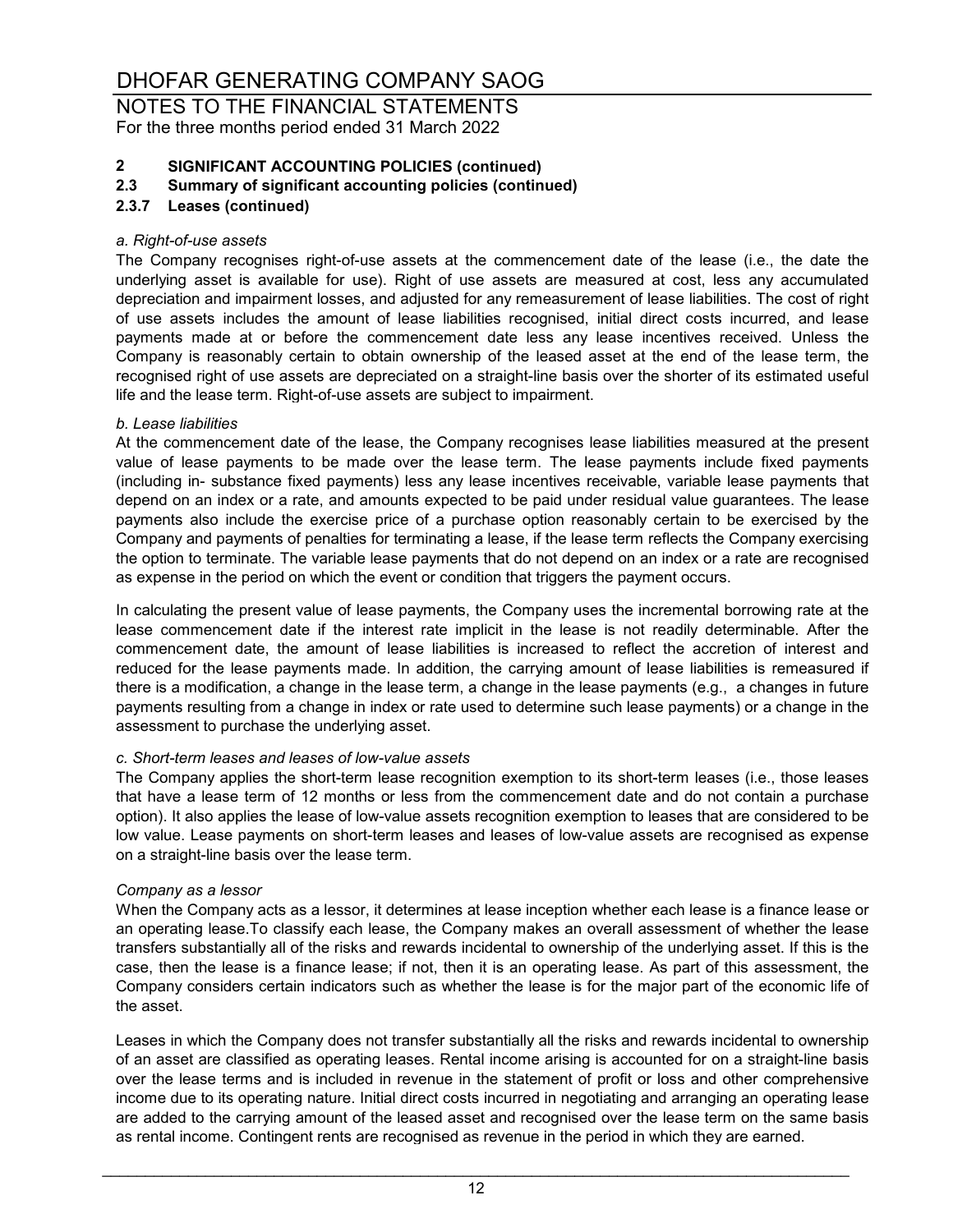NOTES TO THE FINANCIAL STATEMENTS For the three months period ended 31 March 2022

# **2 SIGNIFICANT ACCOUNTING POLICIES (continued)**

#### **2.3 Summary of significant accounting policies (continued)**

#### **2.3.7 Leases (continued)**

#### *a. Right-of-use assets*

The Company recognises right-of-use assets at the commencement date of the lease (i.e., the date the underlying asset is available for use). Right of use assets are measured at cost, less any accumulated depreciation and impairment losses, and adjusted for any remeasurement of lease liabilities. The cost of right of use assets includes the amount of lease liabilities recognised, initial direct costs incurred, and lease payments made at or before the commencement date less any lease incentives received. Unless the Company is reasonably certain to obtain ownership of the leased asset at the end of the lease term, the recognised right of use assets are depreciated on a straight-line basis over the shorter of its estimated useful life and the lease term. Right-of-use assets are subject to impairment.

#### *b. Lease liabilities*

At the commencement date of the lease, the Company recognises lease liabilities measured at the present value of lease payments to be made over the lease term. The lease payments include fixed payments (including in- substance fixed payments) less any lease incentives receivable, variable lease payments that depend on an index or a rate, and amounts expected to be paid under residual value guarantees. The lease payments also include the exercise price of a purchase option reasonably certain to be exercised by the Company and payments of penalties for terminating a lease, if the lease term reflects the Company exercising the option to terminate. The variable lease payments that do not depend on an index or a rate are recognised as expense in the period on which the event or condition that triggers the payment occurs.

In calculating the present value of lease payments, the Company uses the incremental borrowing rate at the lease commencement date if the interest rate implicit in the lease is not readily determinable. After the commencement date, the amount of lease liabilities is increased to reflect the accretion of interest and reduced for the lease payments made. In addition, the carrying amount of lease liabilities is remeasured if there is a modification, a change in the lease term, a change in the lease payments (e.g., a changes in future payments resulting from a change in index or rate used to determine such lease payments) or a change in the assessment to purchase the underlying asset.

#### *c. Short-term leases and leases of low-value assets*

The Company applies the short-term lease recognition exemption to its short-term leases (i.e., those leases that have a lease term of 12 months or less from the commencement date and do not contain a purchase option). It also applies the lease of low-value assets recognition exemption to leases that are considered to be low value. Lease payments on short-term leases and leases of low-value assets are recognised as expense on a straight-line basis over the lease term.

#### *Company as a lessor*

When the Company acts as a lessor, it determines at lease inception whether each lease is a finance lease or an operating lease.To classify each lease, the Company makes an overall assessment of whether the lease transfers substantially all of the risks and rewards incidental to ownership of the underlying asset. If this is the case, then the lease is a finance lease; if not, then it is an operating lease. As part of this assessment, the Company considers certain indicators such as whether the lease is for the major part of the economic life of the asset.

Leases in which the Company does not transfer substantially all the risks and rewards incidental to ownership of an asset are classified as operating leases. Rental income arising is accounted for on a straight-line basis over the lease terms and is included in revenue in the statement of profit or loss and other comprehensive income due to its operating nature. Initial direct costs incurred in negotiating and arranging an operating lease are added to the carrying amount of the leased asset and recognised over the lease term on the same basis as rental income. Contingent rents are recognised as revenue in the period in which they are earned.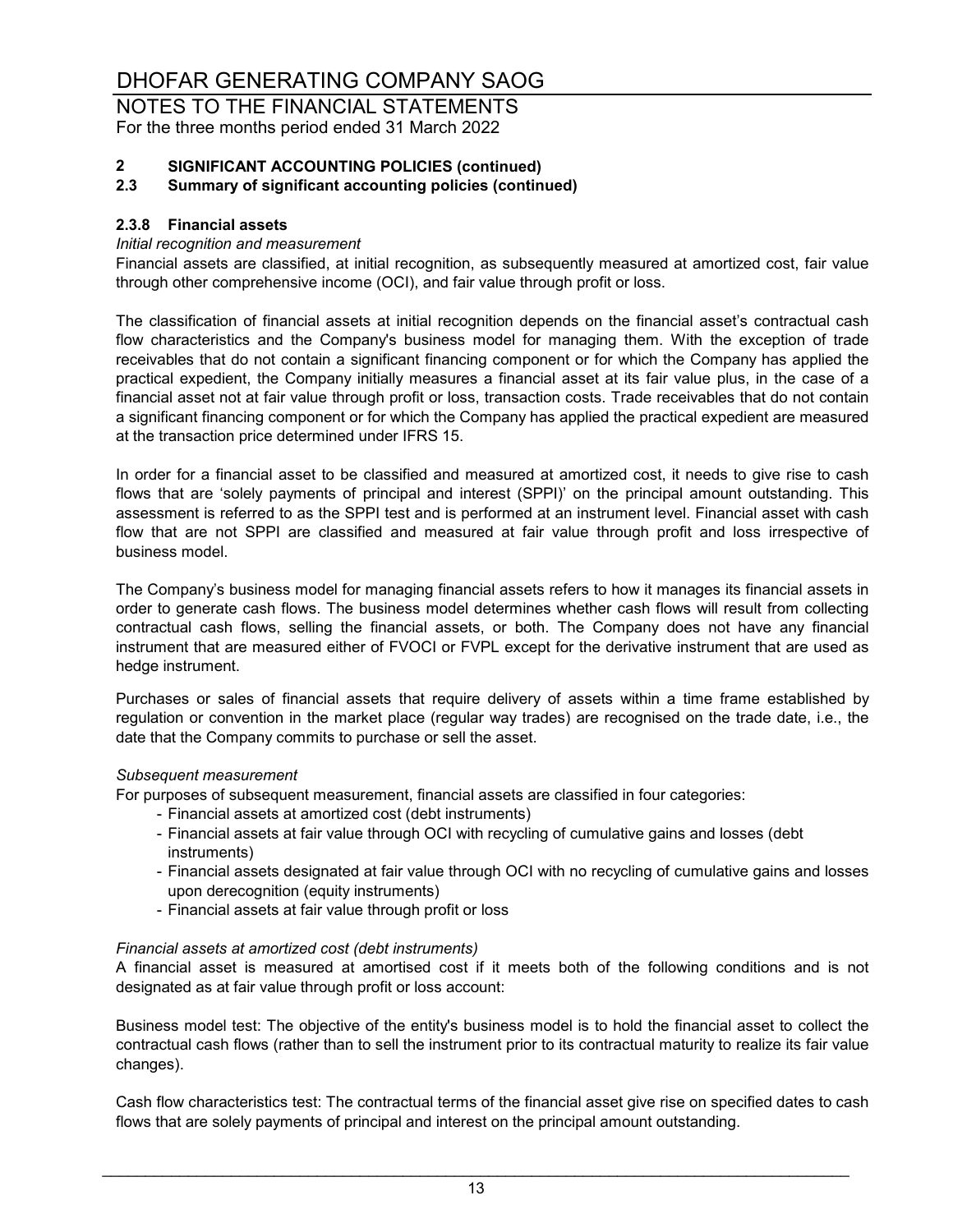NOTES TO THE FINANCIAL STATEMENTS For the three months period ended 31 March 2022

# **2 SIGNIFICANT ACCOUNTING POLICIES (continued)**

#### **2.3 Summary of significant accounting policies (continued)**

#### **2.3.8 Financial assets**

#### *Initial recognition and measurement*

Financial assets are classified, at initial recognition, as subsequently measured at amortized cost, fair value through other comprehensive income (OCI), and fair value through profit or loss.

The classification of financial assets at initial recognition depends on the financial asset's contractual cash flow characteristics and the Company's business model for managing them. With the exception of trade receivables that do not contain a significant financing component or for which the Company has applied the practical expedient, the Company initially measures a financial asset at its fair value plus, in the case of a financial asset not at fair value through profit or loss, transaction costs. Trade receivables that do not contain a significant financing component or for which the Company has applied the practical expedient are measured at the transaction price determined under IFRS 15.

In order for a financial asset to be classified and measured at amortized cost, it needs to give rise to cash flows that are 'solely payments of principal and interest (SPPI)' on the principal amount outstanding. This assessment is referred to as the SPPI test and is performed at an instrument level. Financial asset with cash flow that are not SPPI are classified and measured at fair value through profit and loss irrespective of business model.

The Company's business model for managing financial assets refers to how it manages its financial assets in order to generate cash flows. The business model determines whether cash flows will result from collecting contractual cash flows, selling the financial assets, or both. The Company does not have any financial instrument that are measured either of FVOCI or FVPL except for the derivative instrument that are used as hedge instrument.

Purchases or sales of financial assets that require delivery of assets within a time frame established by regulation or convention in the market place (regular way trades) are recognised on the trade date, i.e., the date that the Company commits to purchase or sell the asset.

#### *Subsequent measurement*

For purposes of subsequent measurement, financial assets are classified in four categories:

- Financial assets at amortized cost (debt instruments)
- Financial assets at fair value through OCI with recycling of cumulative gains and losses (debt instruments)
- Financial assets designated at fair value through OCI with no recycling of cumulative gains and losses upon derecognition (equity instruments)
- Financial assets at fair value through profit or loss

#### *Financial assets at amortized cost (debt instruments)*

A financial asset is measured at amortised cost if it meets both of the following conditions and is not designated as at fair value through profit or loss account:

Business model test: The objective of the entity's business model is to hold the financial asset to collect the contractual cash flows (rather than to sell the instrument prior to its contractual maturity to realize its fair value changes).

Cash flow characteristics test: The contractual terms of the financial asset give rise on specified dates to cash flows that are solely payments of principal and interest on the principal amount outstanding.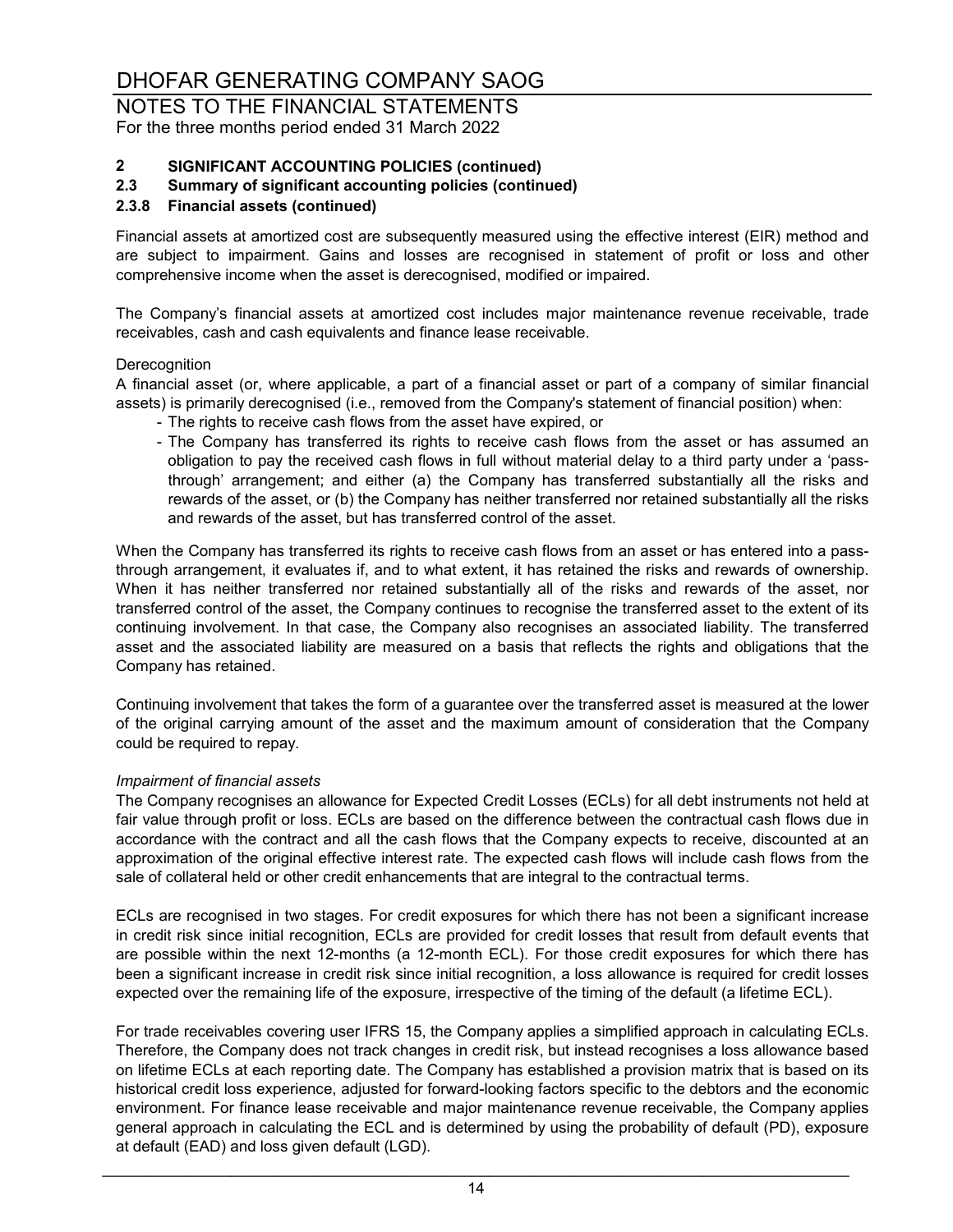NOTES TO THE FINANCIAL STATEMENTS For the three months period ended 31 March 2022

# **2 SIGNIFICANT ACCOUNTING POLICIES (continued)**

#### **2.3 Summary of significant accounting policies (continued)**

#### **2.3.8 Financial assets (continued)**

Financial assets at amortized cost are subsequently measured using the effective interest (EIR) method and are subject to impairment. Gains and losses are recognised in statement of profit or loss and other comprehensive income when the asset is derecognised, modified or impaired.

The Company's financial assets at amortized cost includes major maintenance revenue receivable, trade receivables, cash and cash equivalents and finance lease receivable.

#### **Derecognition**

A financial asset (or, where applicable, a part of a financial asset or part of a company of similar financial assets) is primarily derecognised (i.e., removed from the Company's statement of financial position) when:

- The rights to receive cash flows from the asset have expired, or
- The Company has transferred its rights to receive cash flows from the asset or has assumed an obligation to pay the received cash flows in full without material delay to a third party under a 'passthrough' arrangement; and either (a) the Company has transferred substantially all the risks and rewards of the asset, or (b) the Company has neither transferred nor retained substantially all the risks and rewards of the asset, but has transferred control of the asset.

When the Company has transferred its rights to receive cash flows from an asset or has entered into a passthrough arrangement, it evaluates if, and to what extent, it has retained the risks and rewards of ownership. When it has neither transferred nor retained substantially all of the risks and rewards of the asset, nor transferred control of the asset, the Company continues to recognise the transferred asset to the extent of its continuing involvement. In that case, the Company also recognises an associated liability. The transferred asset and the associated liability are measured on a basis that reflects the rights and obligations that the Company has retained.

Continuing involvement that takes the form of a guarantee over the transferred asset is measured at the lower of the original carrying amount of the asset and the maximum amount of consideration that the Company could be required to repay.

#### *Impairment of financial assets*

The Company recognises an allowance for Expected Credit Losses (ECLs) for all debt instruments not held at fair value through profit or loss. ECLs are based on the difference between the contractual cash flows due in accordance with the contract and all the cash flows that the Company expects to receive, discounted at an approximation of the original effective interest rate. The expected cash flows will include cash flows from the sale of collateral held or other credit enhancements that are integral to the contractual terms.

ECLs are recognised in two stages. For credit exposures for which there has not been a significant increase in credit risk since initial recognition, ECLs are provided for credit losses that result from default events that are possible within the next 12-months (a 12-month ECL). For those credit exposures for which there has been a significant increase in credit risk since initial recognition, a loss allowance is required for credit losses expected over the remaining life of the exposure, irrespective of the timing of the default (a lifetime ECL).

For trade receivables covering user IFRS 15, the Company applies a simplified approach in calculating ECLs. Therefore, the Company does not track changes in credit risk, but instead recognises a loss allowance based on lifetime ECLs at each reporting date. The Company has established a provision matrix that is based on its historical credit loss experience, adjusted for forward-looking factors specific to the debtors and the economic environment. For finance lease receivable and major maintenance revenue receivable, the Company applies general approach in calculating the ECL and is determined by using the probability of default (PD), exposure at default (EAD) and loss given default (LGD).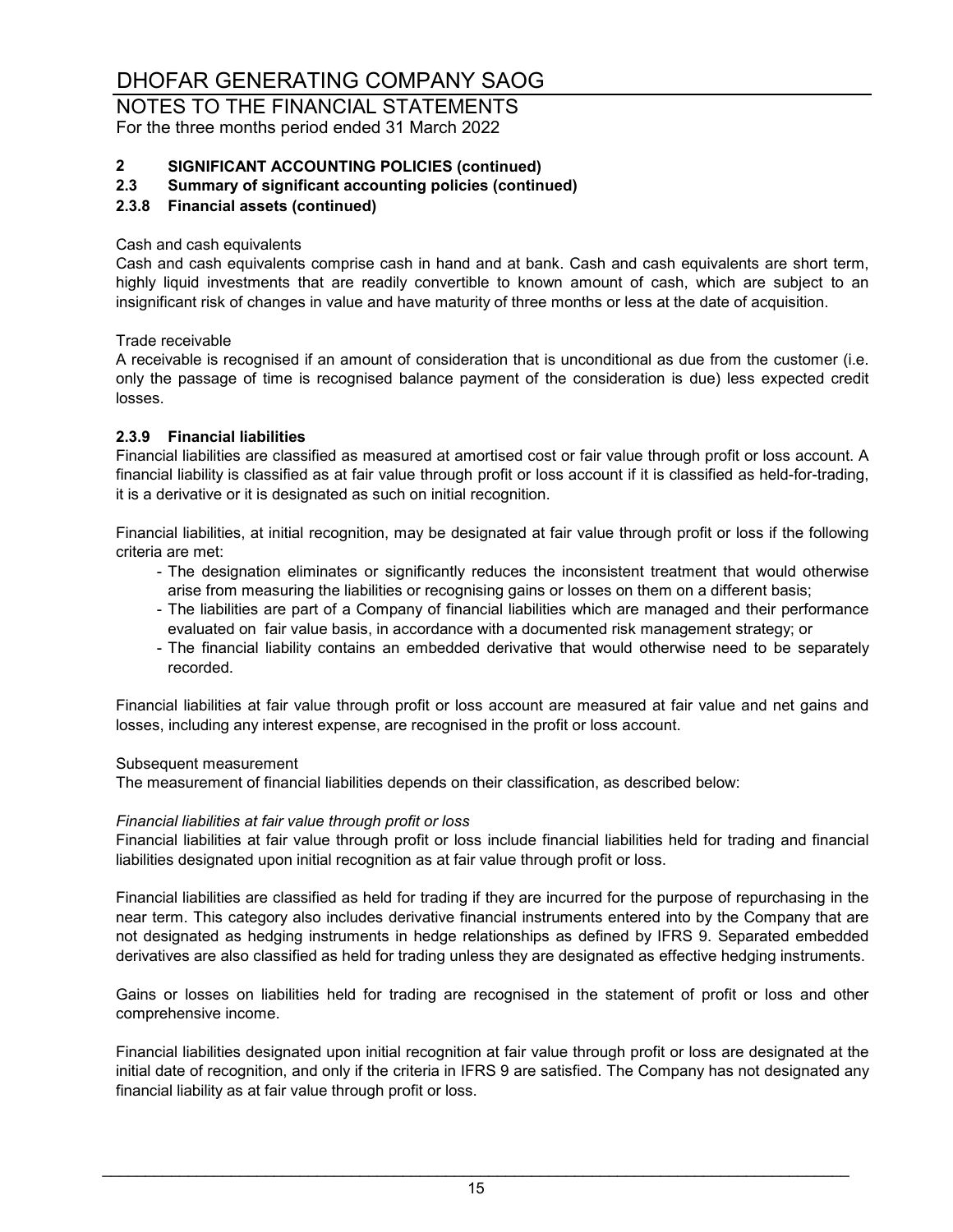### NOTES TO THE FINANCIAL STATEMENTS For the three months period ended 31 March 2022

# **2 SIGNIFICANT ACCOUNTING POLICIES (continued)**

#### **2.3 Summary of significant accounting policies (continued)**

#### **2.3.8 Financial assets (continued)**

#### Cash and cash equivalents

Cash and cash equivalents comprise cash in hand and at bank. Cash and cash equivalents are short term, highly liquid investments that are readily convertible to known amount of cash, which are subject to an insignificant risk of changes in value and have maturity of three months or less at the date of acquisition.

Trade receivable

A receivable is recognised if an amount of consideration that is unconditional as due from the customer (i.e. only the passage of time is recognised balance payment of the consideration is due) less expected credit losses.

#### **2.3.9 Financial liabilities**

Financial liabilities are classified as measured at amortised cost or fair value through profit or loss account. A financial liability is classified as at fair value through profit or loss account if it is classified as held-for-trading, it is a derivative or it is designated as such on initial recognition.

Financial liabilities, at initial recognition, may be designated at fair value through profit or loss if the following criteria are met:

- The designation eliminates or significantly reduces the inconsistent treatment that would otherwise arise from measuring the liabilities or recognising gains or losses on them on a different basis;
- The liabilities are part of a Company of financial liabilities which are managed and their performance evaluated on fair value basis, in accordance with a documented risk management strategy; or
- The financial liability contains an embedded derivative that would otherwise need to be separately recorded.

Financial liabilities at fair value through profit or loss account are measured at fair value and net gains and losses, including any interest expense, are recognised in the profit or loss account.

#### Subsequent measurement

The measurement of financial liabilities depends on their classification, as described below:

#### *Financial liabilities at fair value through profit or loss*

Financial liabilities at fair value through profit or loss include financial liabilities held for trading and financial liabilities designated upon initial recognition as at fair value through profit or loss.

Financial liabilities are classified as held for trading if they are incurred for the purpose of repurchasing in the near term. This category also includes derivative financial instruments entered into by the Company that are not designated as hedging instruments in hedge relationships as defined by IFRS 9. Separated embedded derivatives are also classified as held for trading unless they are designated as effective hedging instruments.

Gains or losses on liabilities held for trading are recognised in the statement of profit or loss and other comprehensive income.

Financial liabilities designated upon initial recognition at fair value through profit or loss are designated at the initial date of recognition, and only if the criteria in IFRS 9 are satisfied. The Company has not designated any financial liability as at fair value through profit or loss.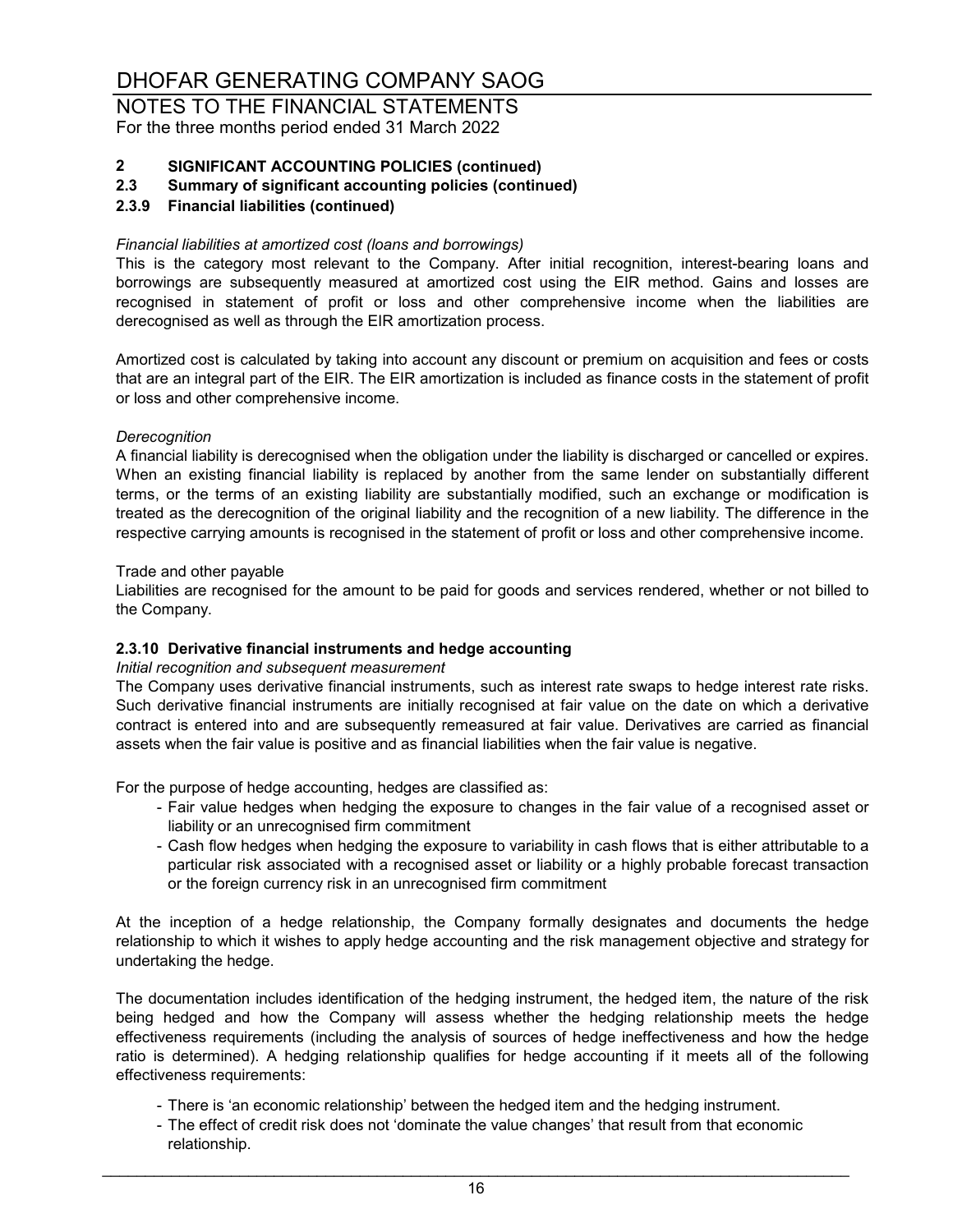NOTES TO THE FINANCIAL STATEMENTS For the three months period ended 31 March 2022

# **2 SIGNIFICANT ACCOUNTING POLICIES (continued)**

**2.3 Summary of significant accounting policies (continued)**

#### **2.3.9 Financial liabilities (continued)**

#### *Financial liabilities at amortized cost (loans and borrowings)*

This is the category most relevant to the Company. After initial recognition, interest-bearing loans and borrowings are subsequently measured at amortized cost using the EIR method. Gains and losses are recognised in statement of profit or loss and other comprehensive income when the liabilities are derecognised as well as through the EIR amortization process.

Amortized cost is calculated by taking into account any discount or premium on acquisition and fees or costs that are an integral part of the EIR. The EIR amortization is included as finance costs in the statement of profit or loss and other comprehensive income.

#### *Derecognition*

A financial liability is derecognised when the obligation under the liability is discharged or cancelled or expires. When an existing financial liability is replaced by another from the same lender on substantially different terms, or the terms of an existing liability are substantially modified, such an exchange or modification is treated as the derecognition of the original liability and the recognition of a new liability. The difference in the respective carrying amounts is recognised in the statement of profit or loss and other comprehensive income.

#### Trade and other payable

Liabilities are recognised for the amount to be paid for goods and services rendered, whether or not billed to the Company.

#### **2.3.10 Derivative financial instruments and hedge accounting**

#### *Initial recognition and subsequent measurement*

The Company uses derivative financial instruments, such as interest rate swaps to hedge interest rate risks. Such derivative financial instruments are initially recognised at fair value on the date on which a derivative contract is entered into and are subsequently remeasured at fair value. Derivatives are carried as financial assets when the fair value is positive and as financial liabilities when the fair value is negative.

For the purpose of hedge accounting, hedges are classified as:

- Fair value hedges when hedging the exposure to changes in the fair value of a recognised asset or liability or an unrecognised firm commitment
- Cash flow hedges when hedging the exposure to variability in cash flows that is either attributable to a particular risk associated with a recognised asset or liability or a highly probable forecast transaction or the foreign currency risk in an unrecognised firm commitment

At the inception of a hedge relationship, the Company formally designates and documents the hedge relationship to which it wishes to apply hedge accounting and the risk management objective and strategy for undertaking the hedge.

The documentation includes identification of the hedging instrument, the hedged item, the nature of the risk being hedged and how the Company will assess whether the hedging relationship meets the hedge effectiveness requirements (including the analysis of sources of hedge ineffectiveness and how the hedge ratio is determined). A hedging relationship qualifies for hedge accounting if it meets all of the following effectiveness requirements:

- There is 'an economic relationship' between the hedged item and the hedging instrument.
- The effect of credit risk does not 'dominate the value changes' that result from that economic relationship.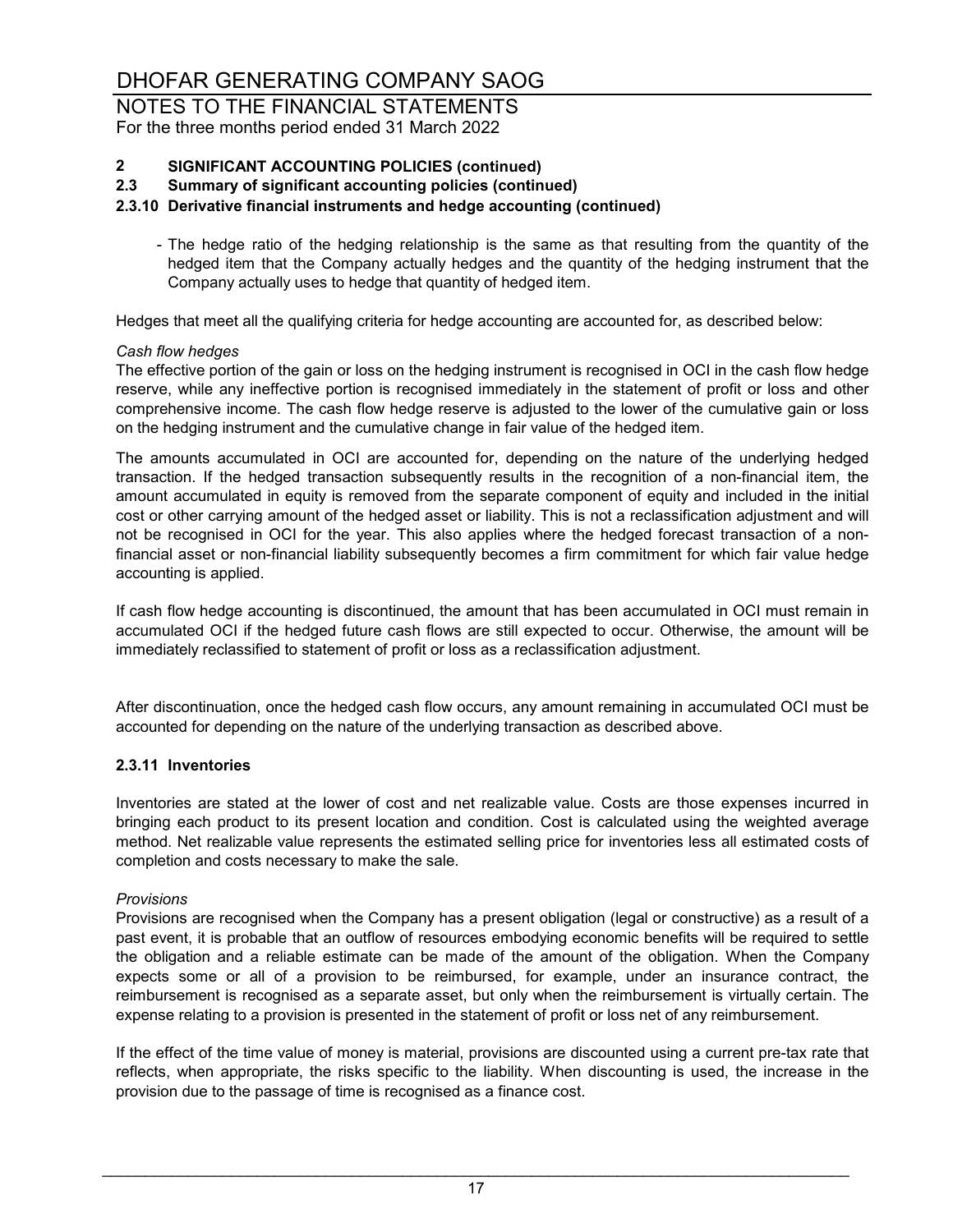NOTES TO THE FINANCIAL STATEMENTS For the three months period ended 31 March 2022

# **2 SIGNIFICANT ACCOUNTING POLICIES (continued)**

**2.3 Summary of significant accounting policies (continued)**

#### **2.3.10 Derivative financial instruments and hedge accounting (continued)**

- The hedge ratio of the hedging relationship is the same as that resulting from the quantity of the hedged item that the Company actually hedges and the quantity of the hedging instrument that the Company actually uses to hedge that quantity of hedged item.

Hedges that meet all the qualifying criteria for hedge accounting are accounted for, as described below:

#### *Cash flow hedges*

The effective portion of the gain or loss on the hedging instrument is recognised in OCI in the cash flow hedge reserve, while any ineffective portion is recognised immediately in the statement of profit or loss and other comprehensive income. The cash flow hedge reserve is adjusted to the lower of the cumulative gain or loss on the hedging instrument and the cumulative change in fair value of the hedged item.

The amounts accumulated in OCI are accounted for, depending on the nature of the underlying hedged transaction. If the hedged transaction subsequently results in the recognition of a non-financial item, the amount accumulated in equity is removed from the separate component of equity and included in the initial cost or other carrying amount of the hedged asset or liability. This is not a reclassification adjustment and will not be recognised in OCI for the year. This also applies where the hedged forecast transaction of a nonfinancial asset or non-financial liability subsequently becomes a firm commitment for which fair value hedge accounting is applied.

If cash flow hedge accounting is discontinued, the amount that has been accumulated in OCI must remain in accumulated OCI if the hedged future cash flows are still expected to occur. Otherwise, the amount will be immediately reclassified to statement of profit or loss as a reclassification adjustment.

After discontinuation, once the hedged cash flow occurs, any amount remaining in accumulated OCI must be accounted for depending on the nature of the underlying transaction as described above.

#### **2.3.11 Inventories**

Inventories are stated at the lower of cost and net realizable value. Costs are those expenses incurred in bringing each product to its present location and condition. Cost is calculated using the weighted average method. Net realizable value represents the estimated selling price for inventories less all estimated costs of completion and costs necessary to make the sale.

#### *Provisions*

Provisions are recognised when the Company has a present obligation (legal or constructive) as a result of a past event, it is probable that an outflow of resources embodying economic benefits will be required to settle the obligation and a reliable estimate can be made of the amount of the obligation. When the Company expects some or all of a provision to be reimbursed, for example, under an insurance contract, the reimbursement is recognised as a separate asset, but only when the reimbursement is virtually certain. The expense relating to a provision is presented in the statement of profit or loss net of any reimbursement.

If the effect of the time value of money is material, provisions are discounted using a current pre-tax rate that reflects, when appropriate, the risks specific to the liability. When discounting is used, the increase in the provision due to the passage of time is recognised as a finance cost.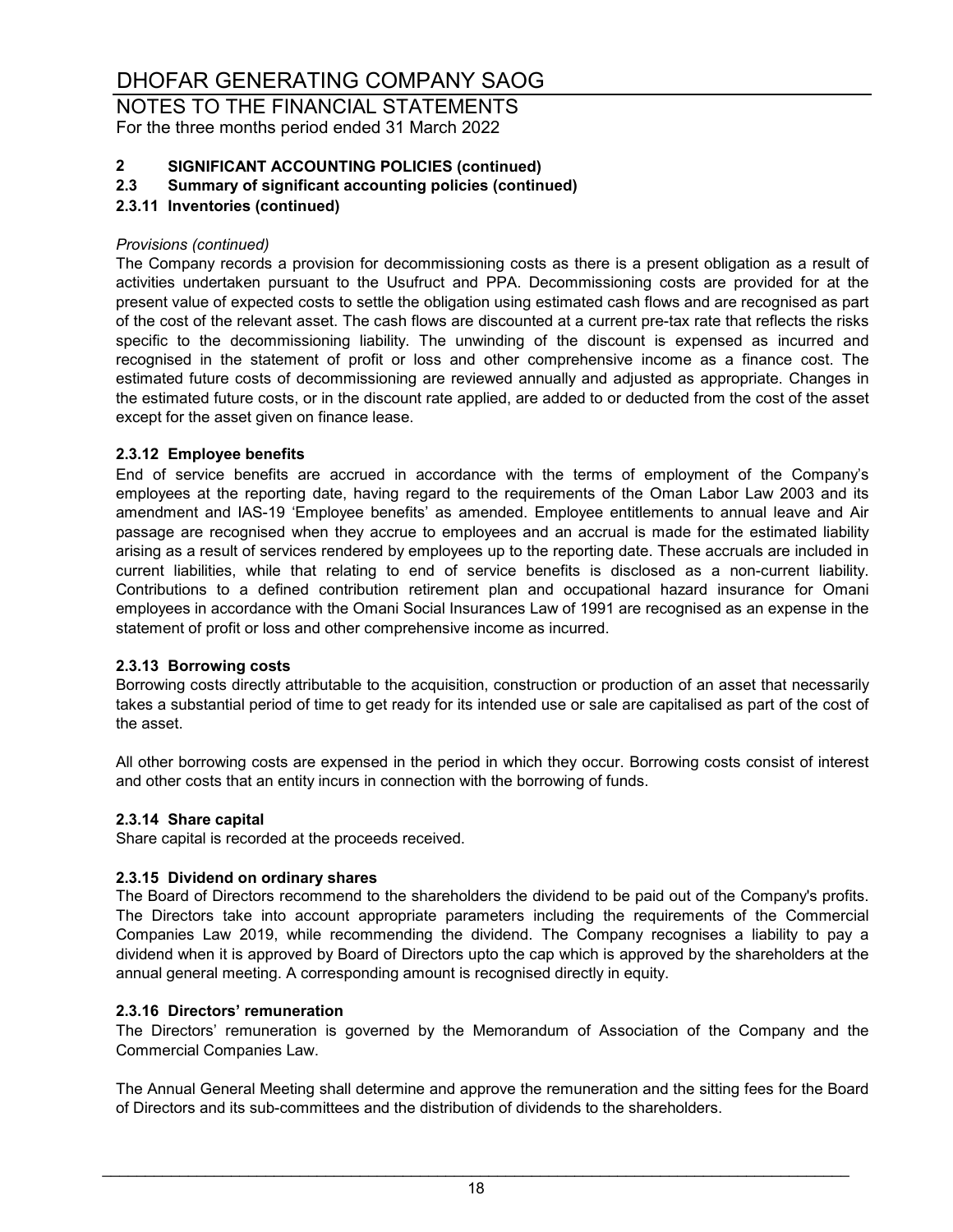NOTES TO THE FINANCIAL STATEMENTS For the three months period ended 31 March 2022

# **2 SIGNIFICANT ACCOUNTING POLICIES (continued)**

**2.3 Summary of significant accounting policies (continued)**

#### **2.3.11 Inventories (continued)**

#### *Provisions (continued)*

The Company records a provision for decommissioning costs as there is a present obligation as a result of activities undertaken pursuant to the Usufruct and PPA. Decommissioning costs are provided for at the present value of expected costs to settle the obligation using estimated cash flows and are recognised as part of the cost of the relevant asset. The cash flows are discounted at a current pre-tax rate that reflects the risks specific to the decommissioning liability. The unwinding of the discount is expensed as incurred and recognised in the statement of profit or loss and other comprehensive income as a finance cost. The estimated future costs of decommissioning are reviewed annually and adjusted as appropriate. Changes in the estimated future costs, or in the discount rate applied, are added to or deducted from the cost of the asset except for the asset given on finance lease.

#### **2.3.12 Employee benefits**

End of service benefits are accrued in accordance with the terms of employment of the Company's employees at the reporting date, having regard to the requirements of the Oman Labor Law 2003 and its amendment and IAS-19 'Employee benefits' as amended. Employee entitlements to annual leave and Air passage are recognised when they accrue to employees and an accrual is made for the estimated liability arising as a result of services rendered by employees up to the reporting date. These accruals are included in current liabilities, while that relating to end of service benefits is disclosed as a non-current liability. Contributions to a defined contribution retirement plan and occupational hazard insurance for Omani employees in accordance with the Omani Social Insurances Law of 1991 are recognised as an expense in the statement of profit or loss and other comprehensive income as incurred.

#### **2.3.13 Borrowing costs**

Borrowing costs directly attributable to the acquisition, construction or production of an asset that necessarily takes a substantial period of time to get ready for its intended use or sale are capitalised as part of the cost of the asset.

All other borrowing costs are expensed in the period in which they occur. Borrowing costs consist of interest and other costs that an entity incurs in connection with the borrowing of funds.

#### **2.3.14 Share capital**

Share capital is recorded at the proceeds received.

#### **2.3.15 Dividend on ordinary shares**

The Board of Directors recommend to the shareholders the dividend to be paid out of the Company's profits. The Directors take into account appropriate parameters including the requirements of the Commercial Companies Law 2019, while recommending the dividend. The Company recognises a liability to pay a dividend when it is approved by Board of Directors upto the cap which is approved by the shareholders at the annual general meeting. A corresponding amount is recognised directly in equity.

#### **2.3.16 Directors' remuneration**

The Directors' remuneration is governed by the Memorandum of Association of the Company and the Commercial Companies Law.

The Annual General Meeting shall determine and approve the remuneration and the sitting fees for the Board of Directors and its sub-committees and the distribution of dividends to the shareholders.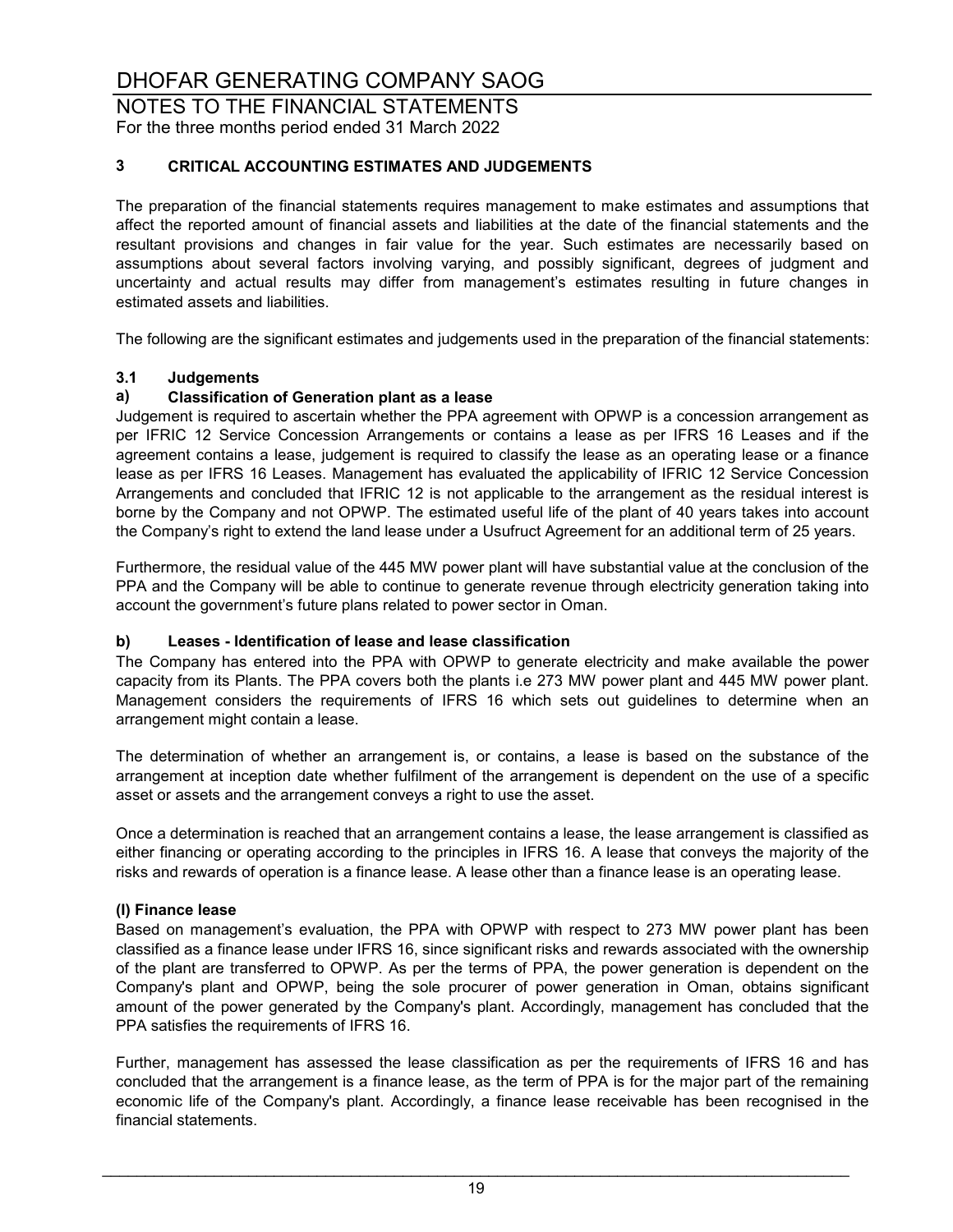NOTES TO THE FINANCIAL STATEMENTS For the three months period ended 31 March 2022

#### **3 CRITICAL ACCOUNTING ESTIMATES AND JUDGEMENTS**

The preparation of the financial statements requires management to make estimates and assumptions that affect the reported amount of financial assets and liabilities at the date of the financial statements and the resultant provisions and changes in fair value for the year. Such estimates are necessarily based on assumptions about several factors involving varying, and possibly significant, degrees of judgment and uncertainty and actual results may differ from management's estimates resulting in future changes in estimated assets and liabilities.

The following are the significant estimates and judgements used in the preparation of the financial statements:

## **3.1 Judgements**

#### **a) Classification of Generation plant as a lease**

Judgement is required to ascertain whether the PPA agreement with OPWP is a concession arrangement as per IFRIC 12 Service Concession Arrangements or contains a lease as per IFRS 16 Leases and if the agreement contains a lease, judgement is required to classify the lease as an operating lease or a finance lease as per IFRS 16 Leases. Management has evaluated the applicability of IFRIC 12 Service Concession Arrangements and concluded that IFRIC 12 is not applicable to the arrangement as the residual interest is borne by the Company and not OPWP. The estimated useful life of the plant of 40 years takes into account the Company's right to extend the land lease under a Usufruct Agreement for an additional term of 25 years.

Furthermore, the residual value of the 445 MW power plant will have substantial value at the conclusion of the PPA and the Company will be able to continue to generate revenue through electricity generation taking into account the government's future plans related to power sector in Oman.

#### **b) Leases - Identification of lease and lease classification**

The Company has entered into the PPA with OPWP to generate electricity and make available the power capacity from its Plants. The PPA covers both the plants i.e 273 MW power plant and 445 MW power plant. Management considers the requirements of IFRS 16 which sets out guidelines to determine when an arrangement might contain a lease.

The determination of whether an arrangement is, or contains, a lease is based on the substance of the arrangement at inception date whether fulfilment of the arrangement is dependent on the use of a specific asset or assets and the arrangement conveys a right to use the asset.

Once a determination is reached that an arrangement contains a lease, the lease arrangement is classified as either financing or operating according to the principles in IFRS 16. A lease that conveys the majority of the risks and rewards of operation is a finance lease. A lease other than a finance lease is an operating lease.

#### **(I) Finance lease**

Based on management's evaluation, the PPA with OPWP with respect to 273 MW power plant has been classified as a finance lease under IFRS 16, since significant risks and rewards associated with the ownership of the plant are transferred to OPWP. As per the terms of PPA, the power generation is dependent on the Company's plant and OPWP, being the sole procurer of power generation in Oman, obtains significant amount of the power generated by the Company's plant. Accordingly, management has concluded that the PPA satisfies the requirements of IFRS 16.

Further, management has assessed the lease classification as per the requirements of IFRS 16 and has concluded that the arrangement is a finance lease, as the term of PPA is for the major part of the remaining economic life of the Company's plant. Accordingly, a finance lease receivable has been recognised in the financial statements.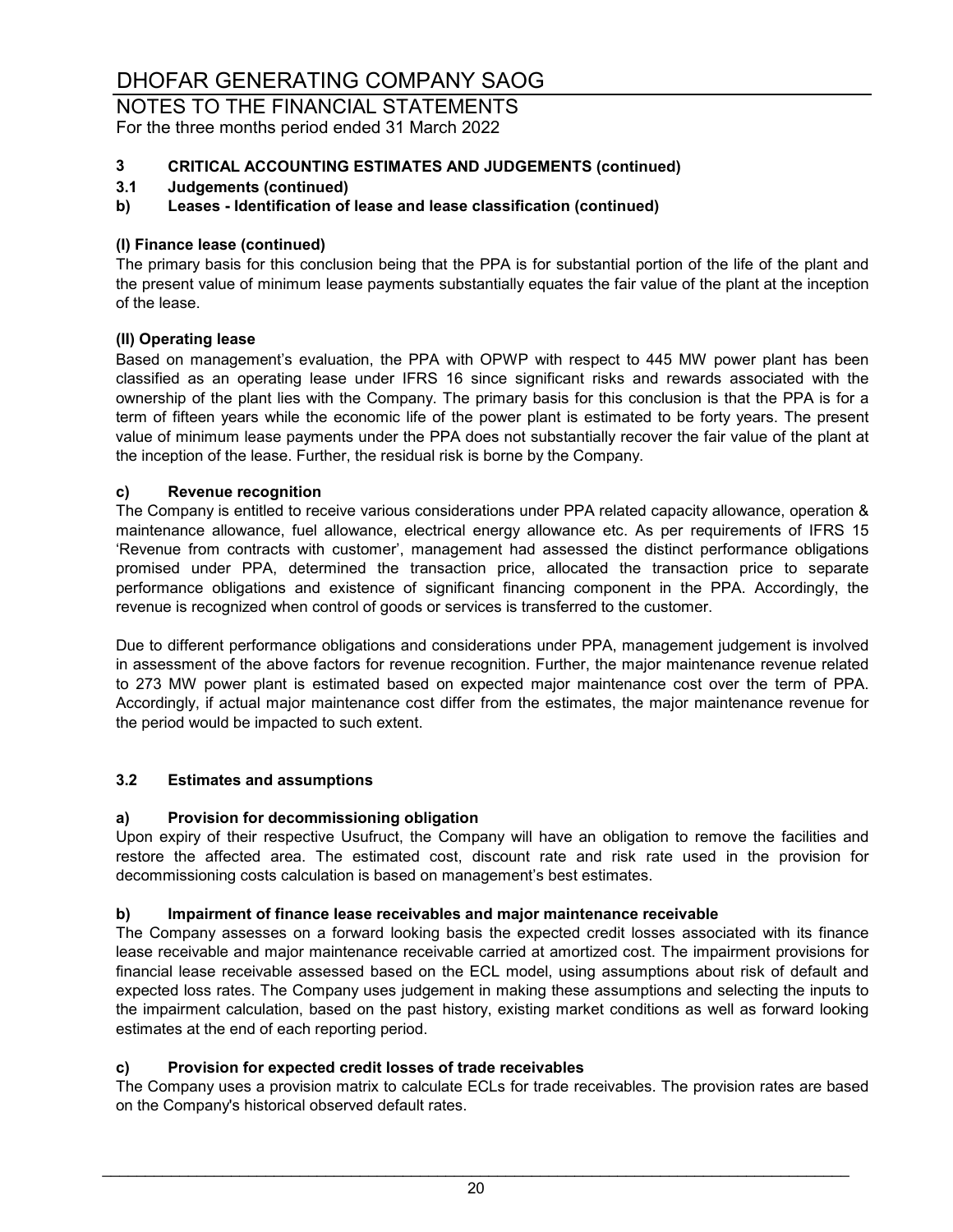NOTES TO THE FINANCIAL STATEMENTS For the three months period ended 31 March 2022

#### **3 CRITICAL ACCOUNTING ESTIMATES AND JUDGEMENTS (continued)**

## **3.1 Judgements (continued)**

#### **b) Leases - Identification of lease and lease classification (continued)**

#### **(I) Finance lease (continued)**

The primary basis for this conclusion being that the PPA is for substantial portion of the life of the plant and the present value of minimum lease payments substantially equates the fair value of the plant at the inception of the lease.

#### **(II) Operating lease**

Based on management's evaluation, the PPA with OPWP with respect to 445 MW power plant has been classified as an operating lease under IFRS 16 since significant risks and rewards associated with the ownership of the plant lies with the Company. The primary basis for this conclusion is that the PPA is for a term of fifteen years while the economic life of the power plant is estimated to be forty years. The present value of minimum lease payments under the PPA does not substantially recover the fair value of the plant at the inception of the lease. Further, the residual risk is borne by the Company.

#### **c) Revenue recognition**

The Company is entitled to receive various considerations under PPA related capacity allowance, operation & maintenance allowance, fuel allowance, electrical energy allowance etc. As per requirements of IFRS 15 'Revenue from contracts with customer', management had assessed the distinct performance obligations promised under PPA, determined the transaction price, allocated the transaction price to separate performance obligations and existence of significant financing component in the PPA. Accordingly, the revenue is recognized when control of goods or services is transferred to the customer.

Due to different performance obligations and considerations under PPA, management judgement is involved in assessment of the above factors for revenue recognition. Further, the major maintenance revenue related to 273 MW power plant is estimated based on expected major maintenance cost over the term of PPA. Accordingly, if actual major maintenance cost differ from the estimates, the major maintenance revenue for the period would be impacted to such extent.

#### **3.2 Estimates and assumptions**

#### **a) Provision for decommissioning obligation**

Upon expiry of their respective Usufruct, the Company will have an obligation to remove the facilities and restore the affected area. The estimated cost, discount rate and risk rate used in the provision for decommissioning costs calculation is based on management's best estimates.

#### **b) Impairment of finance lease receivables and major maintenance receivable**

The Company assesses on a forward looking basis the expected credit losses associated with its finance lease receivable and major maintenance receivable carried at amortized cost. The impairment provisions for financial lease receivable assessed based on the ECL model, using assumptions about risk of default and expected loss rates. The Company uses judgement in making these assumptions and selecting the inputs to the impairment calculation, based on the past history, existing market conditions as well as forward looking estimates at the end of each reporting period.

#### **c) Provision for expected credit losses of trade receivables**

The Company uses a provision matrix to calculate ECLs for trade receivables. The provision rates are based on the Company's historical observed default rates.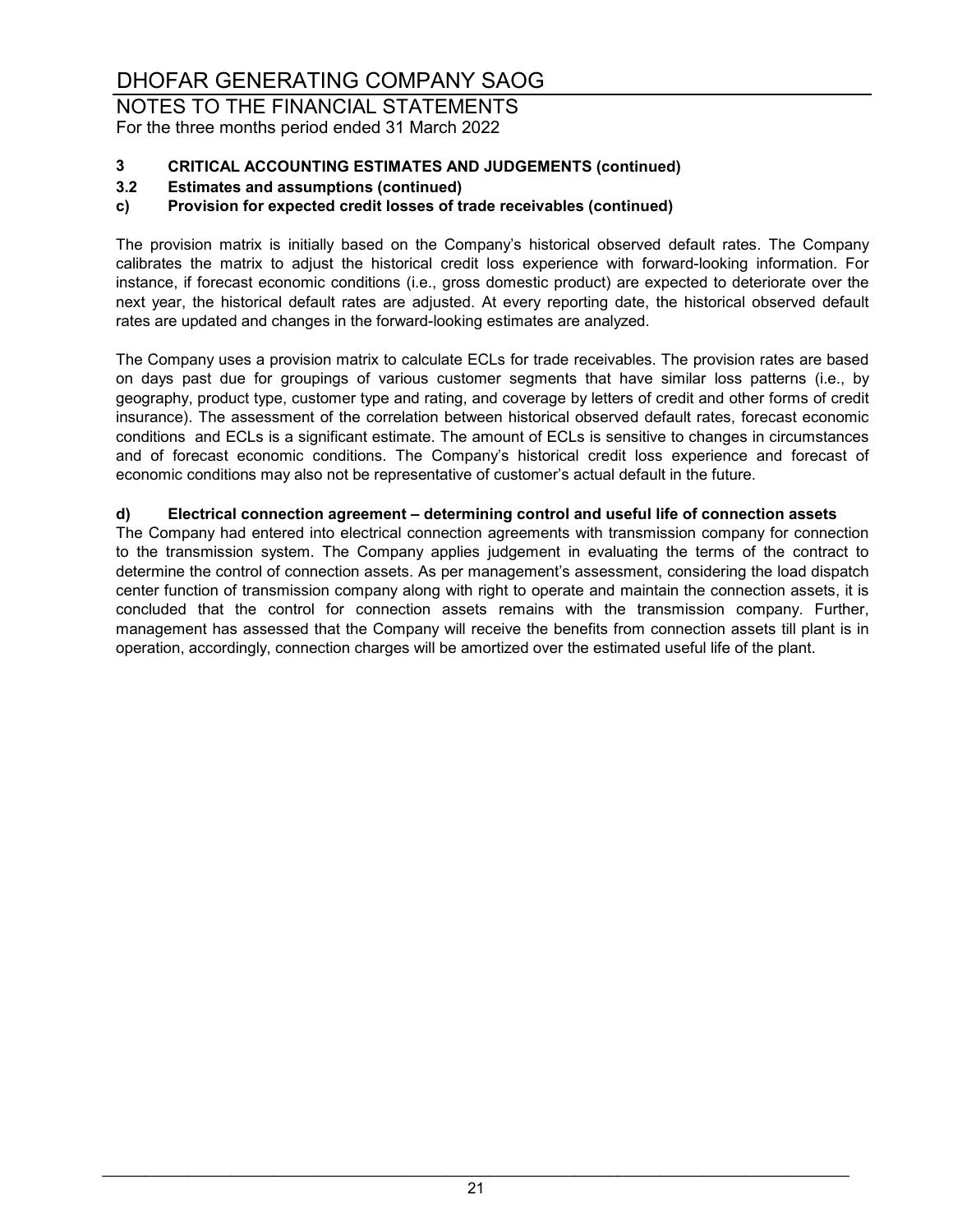NOTES TO THE FINANCIAL STATEMENTS For the three months period ended 31 March 2022

# **3 CRITICAL ACCOUNTING ESTIMATES AND JUDGEMENTS (continued)**

### **3.2 Estimates and assumptions (continued)**

#### **c) Provision for expected credit losses of trade receivables (continued)**

The provision matrix is initially based on the Company's historical observed default rates. The Company calibrates the matrix to adjust the historical credit loss experience with forward-looking information. For instance, if forecast economic conditions (i.e., gross domestic product) are expected to deteriorate over the next year, the historical default rates are adjusted. At every reporting date, the historical observed default rates are updated and changes in the forward-looking estimates are analyzed.

The Company uses a provision matrix to calculate ECLs for trade receivables. The provision rates are based on days past due for groupings of various customer segments that have similar loss patterns (i.e., by geography, product type, customer type and rating, and coverage by letters of credit and other forms of credit insurance). The assessment of the correlation between historical observed default rates, forecast economic conditions and ECLs is a significant estimate. The amount of ECLs is sensitive to changes in circumstances and of forecast economic conditions. The Company's historical credit loss experience and forecast of economic conditions may also not be representative of customer's actual default in the future.

#### **d) Electrical connection agreement – determining control and useful life of connection assets**

The Company had entered into electrical connection agreements with transmission company for connection to the transmission system. The Company applies judgement in evaluating the terms of the contract to determine the control of connection assets. As per management's assessment, considering the load dispatch center function of transmission company along with right to operate and maintain the connection assets, it is concluded that the control for connection assets remains with the transmission company. Further, management has assessed that the Company will receive the benefits from connection assets till plant is in operation, accordingly, connection charges will be amortized over the estimated useful life of the plant.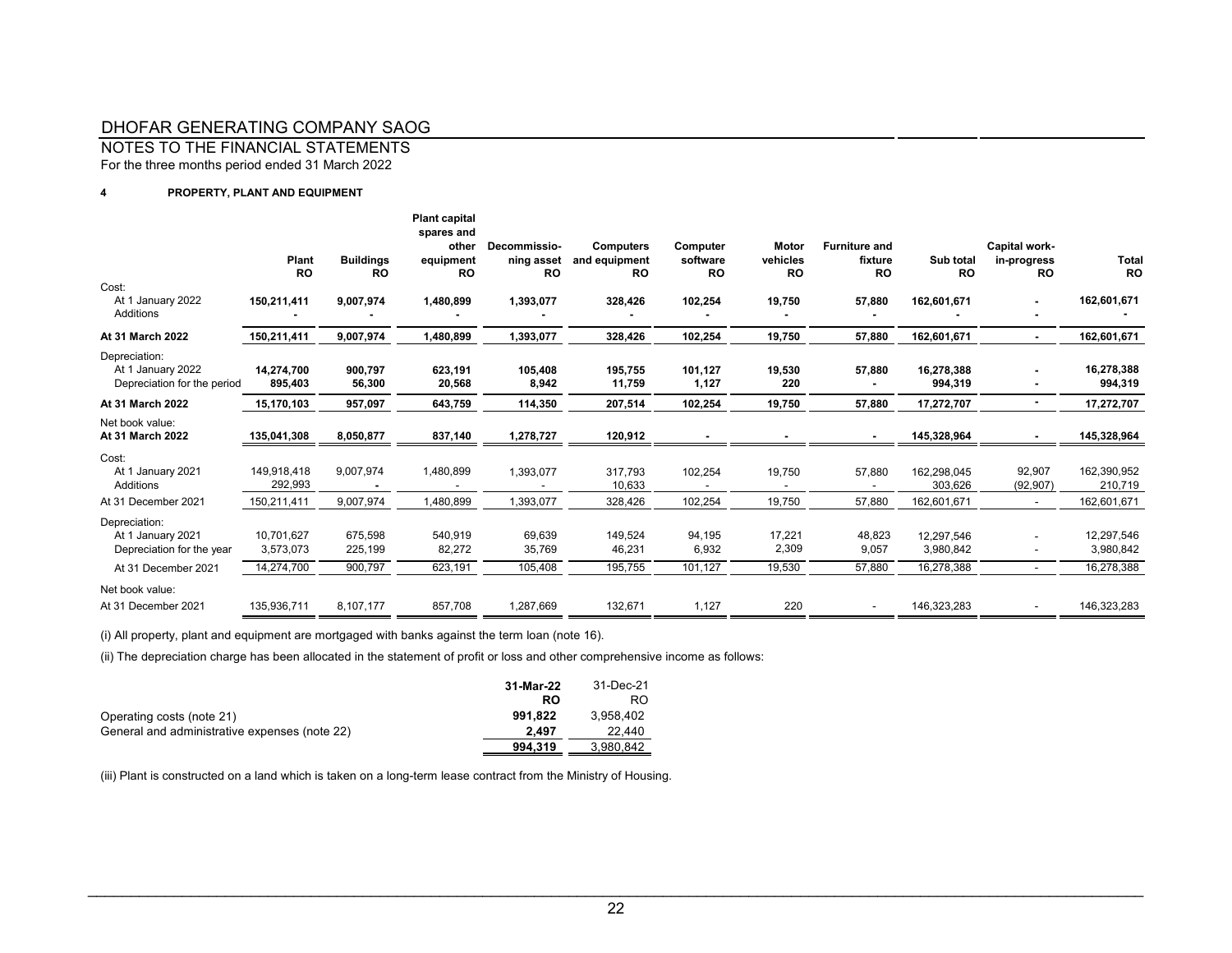NOTES TO THE FINANCIAL STATEMENTS

For the three months period ended 31 March 2022

#### **4 PROPERTY, PLANT AND EQUIPMENT**

| Cost:<br>At 1 January 2022                                        | Plant<br><b>RO</b><br>150,211,411 | <b>Buildings</b><br><b>RO</b><br>9,007,974 | <b>Plant capital</b><br>spares and<br>other<br>equipment<br><b>RO</b><br>1,480,899 | Decommissio-<br>ning asset<br><b>RO</b><br>1,393,077 | <b>Computers</b><br>and equipment<br><b>RO</b><br>328,426 | Computer<br>software<br><b>RO</b><br>102,254 | Motor<br>vehicles<br><b>RO</b><br>19,750 | <b>Furniture and</b><br>fixture<br><b>RO</b><br>57,880 | Sub total<br><b>RO</b><br>162,601,671 | Capital work-<br>in-progress<br><b>RO</b> | <b>Total</b><br><b>RO</b><br>162,601,671 |
|-------------------------------------------------------------------|-----------------------------------|--------------------------------------------|------------------------------------------------------------------------------------|------------------------------------------------------|-----------------------------------------------------------|----------------------------------------------|------------------------------------------|--------------------------------------------------------|---------------------------------------|-------------------------------------------|------------------------------------------|
| Additions                                                         |                                   |                                            |                                                                                    |                                                      |                                                           |                                              |                                          |                                                        |                                       |                                           |                                          |
| At 31 March 2022                                                  | 150,211,411                       | 9,007,974                                  | 1,480,899                                                                          | 1,393,077                                            | 328,426                                                   | 102,254                                      | 19,750                                   | 57,880                                                 | 162,601,671                           |                                           | 162,601,671                              |
| Depreciation:<br>At 1 January 2022<br>Depreciation for the period | 14,274,700<br>895,403             | 900,797<br>56,300                          | 623,191<br>20,568                                                                  | 105,408<br>8,942                                     | 195,755<br>11,759                                         | 101,127<br>1,127                             | 19,530<br>220                            | 57,880                                                 | 16,278,388<br>994,319                 |                                           | 16,278,388<br>994,319                    |
| At 31 March 2022                                                  | 15,170,103                        | 957,097                                    | 643,759                                                                            | 114,350                                              | 207,514                                                   | 102,254                                      | 19,750                                   | 57,880                                                 | 17,272,707                            |                                           | 17,272,707                               |
| Net book value:<br>At 31 March 2022                               | 135,041,308                       | 8,050,877                                  | 837,140                                                                            | 1,278,727                                            | 120,912                                                   |                                              |                                          |                                                        | 145,328,964                           |                                           | 145,328,964                              |
| Cost:<br>At 1 January 2021<br>Additions                           | 149,918,418<br>292,993            | 9,007,974                                  | 1,480,899                                                                          | 1,393,077                                            | 317,793<br>10,633                                         | 102,254                                      | 19,750                                   | 57.880                                                 | 162,298,045<br>303,626                | 92,907<br>(92, 907)                       | 162,390,952<br>210,719                   |
| At 31 December 2021                                               | 150,211,411                       | 9,007,974                                  | 1,480,899                                                                          | 1,393,077                                            | 328,426                                                   | 102,254                                      | 19,750                                   | 57,880                                                 | 162,601,671                           |                                           | 162,601,671                              |
| Depreciation:<br>At 1 January 2021<br>Depreciation for the year   | 10.701.627<br>3,573,073           | 675,598<br>225,199                         | 540,919<br>82,272                                                                  | 69,639<br>35,769                                     | 149.524<br>46,231                                         | 94,195<br>6,932                              | 17,221<br>2,309                          | 48,823<br>9,057                                        | 12.297.546<br>3,980,842               |                                           | 12,297,546<br>3,980,842                  |
| At 31 December 2021                                               | 14,274,700                        | 900,797                                    | 623,191                                                                            | 105,408                                              | 195,755                                                   | 101,127                                      | 19,530                                   | 57,880                                                 | 16,278,388                            |                                           | 16,278,388                               |
| Net book value:                                                   |                                   |                                            |                                                                                    |                                                      |                                                           |                                              |                                          |                                                        |                                       |                                           |                                          |
| At 31 December 2021                                               | 135,936,711                       | 8,107,177                                  | 857,708                                                                            | 1,287,669                                            | 132,671                                                   | 1,127                                        | 220                                      |                                                        | 146,323,283                           |                                           | 146,323,283                              |

(i) All property, plant and equipment are mortgaged with banks against the term loan (note 16).

(ii) The depreciation charge has been allocated in the statement of profit or loss and other comprehensive income as follows:

|                                               | 31-Mar-22 | 31-Dec-21 |
|-----------------------------------------------|-----------|-----------|
|                                               | <b>RO</b> | RO        |
| Operating costs (note 21)                     | 991.822   | 3.958.402 |
| General and administrative expenses (note 22) | 2.497     | 22.440    |
|                                               | 994.319   | 3.980.842 |

(iii) Plant is constructed on a land which is taken on a long-term lease contract from the Ministry of Housing.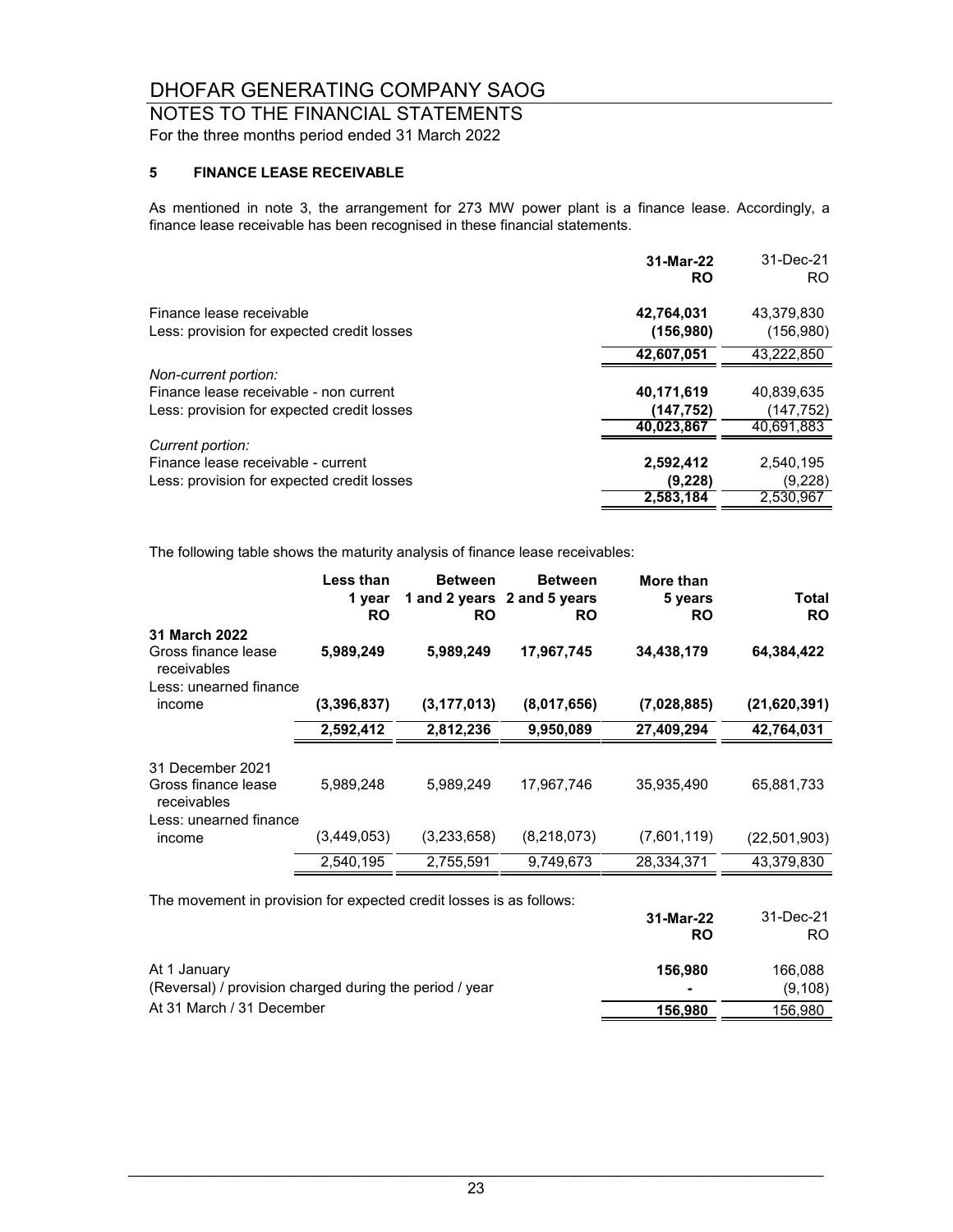### NOTES TO THE FINANCIAL STATEMENTS For the three months period ended 31 March 2022

#### **5 FINANCE LEASE RECEIVABLE**

As mentioned in note 3, the arrangement for 273 MW power plant is a finance lease. Accordingly, a finance lease receivable has been recognised in these financial statements.

|                                            | 31-Mar-22<br><b>RO</b> | 31-Dec-21<br>RO. |
|--------------------------------------------|------------------------|------------------|
| Finance lease receivable                   | 42,764,031             | 43.379.830       |
| Less: provision for expected credit losses | (156, 980)             | (156,980)        |
|                                            | 42.607.051             | 43.222.850       |
| Non-current portion:                       |                        |                  |
| Finance lease receivable - non current     | 40,171,619             | 40,839,635       |
| Less: provision for expected credit losses | (147,752)              | (147,752)        |
|                                            | 40,023,867             | 40.691.883       |
| Current portion:                           |                        |                  |
| Finance lease receivable - current         | 2,592,412              | 2,540,195        |
| Less: provision for expected credit losses | (9,228)                | (9,228)          |
|                                            | 2,583,184              | 2.530.967        |

The following table shows the maturity analysis of finance lease receivables:

|                                                                               | Less than<br>1 year<br><b>RO</b> | <b>Between</b><br><b>RO</b> | <b>Between</b><br>1 and 2 years 2 and 5 years<br><b>RO</b> | More than<br>5 years<br><b>RO</b> | Total<br><b>RO</b> |
|-------------------------------------------------------------------------------|----------------------------------|-----------------------------|------------------------------------------------------------|-----------------------------------|--------------------|
| 31 March 2022<br>Gross finance lease<br>receivables<br>Less: unearned finance | 5,989,249                        | 5,989,249                   | 17,967,745                                                 | 34,438,179                        | 64,384,422         |
| income                                                                        | (3.396.837)                      | (3, 177, 013)               | (8,017,656)                                                | (7,028,885)                       | (21,620,391)       |
|                                                                               | 2,592,412                        | 2,812,236                   | 9,950,089                                                  | 27,409,294                        | 42,764,031         |
| 31 December 2021<br>Gross finance lease<br>receivables                        | 5,989,248                        | 5,989,249                   | 17,967,746                                                 | 35,935,490                        | 65,881,733         |
| Less: unearned finance<br>income                                              | (3,449,053)                      | (3,233,658)                 | (8,218,073)                                                | (7,601,119)                       | (22, 501, 903)     |
|                                                                               | 2,540,195                        | 2,755,591                   | 9,749,673                                                  | 28,334,371                        | 43,379,830         |
| The movement in provision for expected credit losses is as follows:           |                                  |                             |                                                            | $31$ -Mar-22                      | $31-Dec-21$        |

|                                                         | 31-Mar-22<br>RO | JI-DEG-ZI<br>RO. |
|---------------------------------------------------------|-----------------|------------------|
| At 1 January                                            | 156.980         | 166,088          |
| (Reversal) / provision charged during the period / year |                 | (9, 108)         |
| At 31 March / 31 December                               | 156.980         | 156.980          |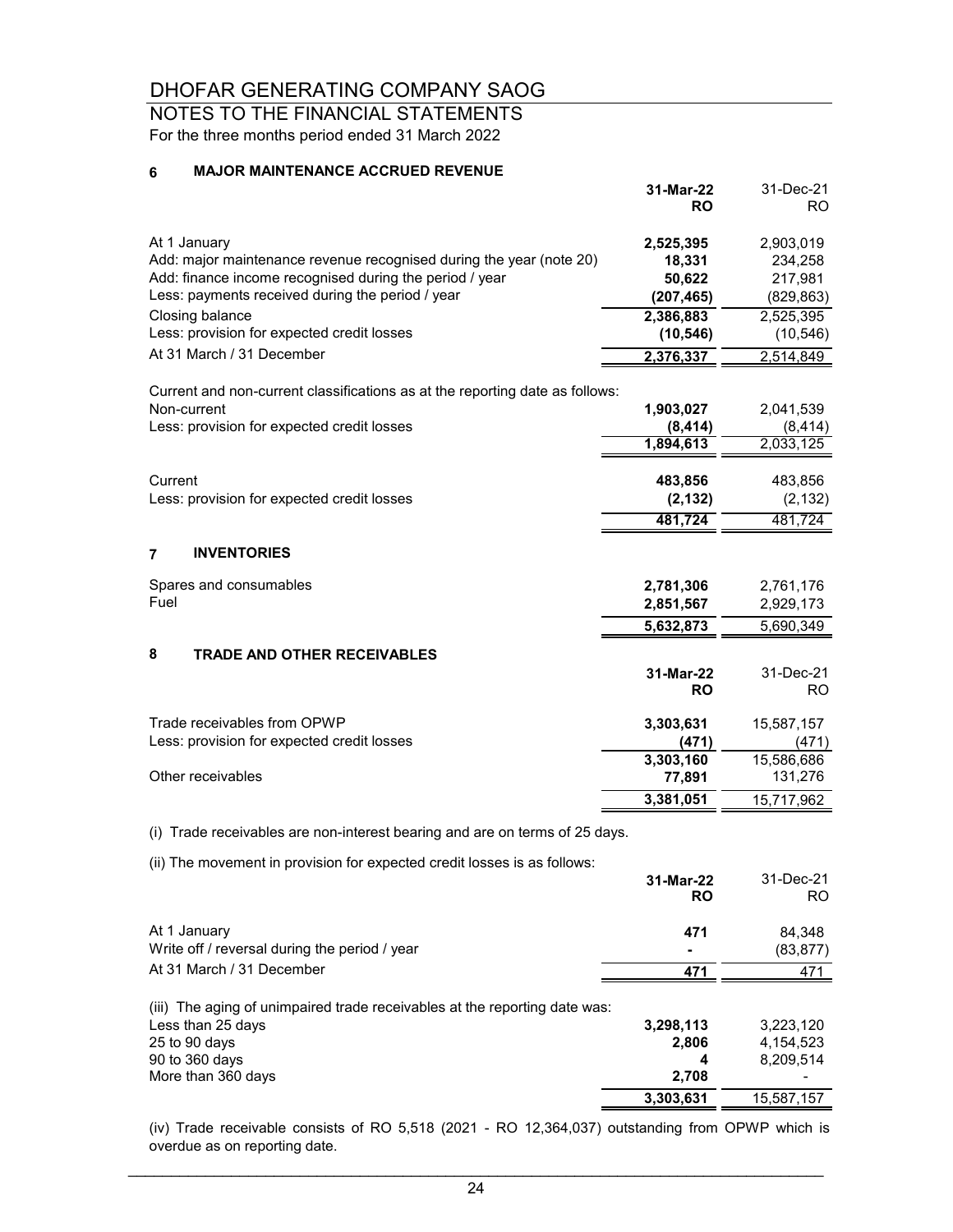### NOTES TO THE FINANCIAL STATEMENTS For the three months period ended 31 March 2022

#### **6 MAJOR MAINTENANCE ACCRUED REVENUE**

|                                                                                                                                                                                                    | 31-Mar-22<br>RO                             | 31-Dec-21<br>RO.                              |
|----------------------------------------------------------------------------------------------------------------------------------------------------------------------------------------------------|---------------------------------------------|-----------------------------------------------|
| At 1 January<br>Add: major maintenance revenue recognised during the year (note 20)<br>Add: finance income recognised during the period / year<br>Less: payments received during the period / year | 2,525,395<br>18,331<br>50,622<br>(207, 465) | 2,903,019<br>234,258<br>217,981<br>(829, 863) |
| Closing balance                                                                                                                                                                                    | 2,386,883                                   | 2,525,395                                     |
| Less: provision for expected credit losses                                                                                                                                                         | (10, 546)                                   | (10, 546)                                     |
| At 31 March / 31 December                                                                                                                                                                          | 2,376,337                                   | 2,514,849                                     |
| Current and non-current classifications as at the reporting date as follows:                                                                                                                       |                                             |                                               |
| Non-current                                                                                                                                                                                        | 1,903,027                                   | 2,041,539                                     |
| Less: provision for expected credit losses                                                                                                                                                         | (8, 414)                                    | (8, 414)                                      |
|                                                                                                                                                                                                    | 1,894,613                                   | 2,033,125                                     |
| Current                                                                                                                                                                                            | 483,856                                     | 483,856                                       |
| Less: provision for expected credit losses                                                                                                                                                         | (2, 132)                                    | (2, 132)                                      |
|                                                                                                                                                                                                    | 481,724                                     | 481,724                                       |
| $\overline{7}$<br><b>INVENTORIES</b>                                                                                                                                                               |                                             |                                               |
| Spares and consumables<br>Fuel                                                                                                                                                                     | 2,781,306<br>2,851,567                      | 2,761,176<br>2,929,173                        |
|                                                                                                                                                                                                    | 5,632,873                                   | 5,690,349                                     |
| 8<br><b>TRADE AND OTHER RECEIVABLES</b>                                                                                                                                                            |                                             |                                               |
|                                                                                                                                                                                                    | 31-Mar-22<br><b>RO</b>                      | 31-Dec-21<br><b>RO</b>                        |
| Trade receivables from OPWP<br>Less: provision for expected credit losses                                                                                                                          | 3,303,631<br>(471)                          | 15,587,157<br>(471)                           |
| Other receivables                                                                                                                                                                                  | 3,303,160<br>77,891                         | 15,586,686<br>131,276                         |
|                                                                                                                                                                                                    | 3,381,051                                   | 15,717,962                                    |
| (i) Trade receivables are non-interest bearing and are on terms of 25 days.                                                                                                                        |                                             |                                               |
| (ii) The movement in provision for expected credit losses is as follows:                                                                                                                           | 31-Mar-22<br>RO                             | 31-Dec-21<br>RO.                              |
| At 1 January<br>Write off / reversal during the period / year                                                                                                                                      | 471                                         | 84,348<br>(83, 877)                           |
| At 31 March / 31 December                                                                                                                                                                          | 471                                         | 471                                           |
|                                                                                                                                                                                                    |                                             |                                               |
| (iii) The aging of unimpaired trade receivables at the reporting date was:<br>Less than 25 days                                                                                                    | 3,298,113                                   | 3,223,120                                     |
| 25 to 90 days                                                                                                                                                                                      | 2,806                                       | 4,154,523                                     |
| 90 to 360 days                                                                                                                                                                                     | 4                                           | 8,209,514                                     |
| More than 360 days                                                                                                                                                                                 | 2,708                                       |                                               |
|                                                                                                                                                                                                    | 3,303,631                                   | 15,587,157                                    |

(iv) Trade receivable consists of RO 5,518 (2021 - RO 12,364,037) outstanding from OPWP which is overdue as on reporting date.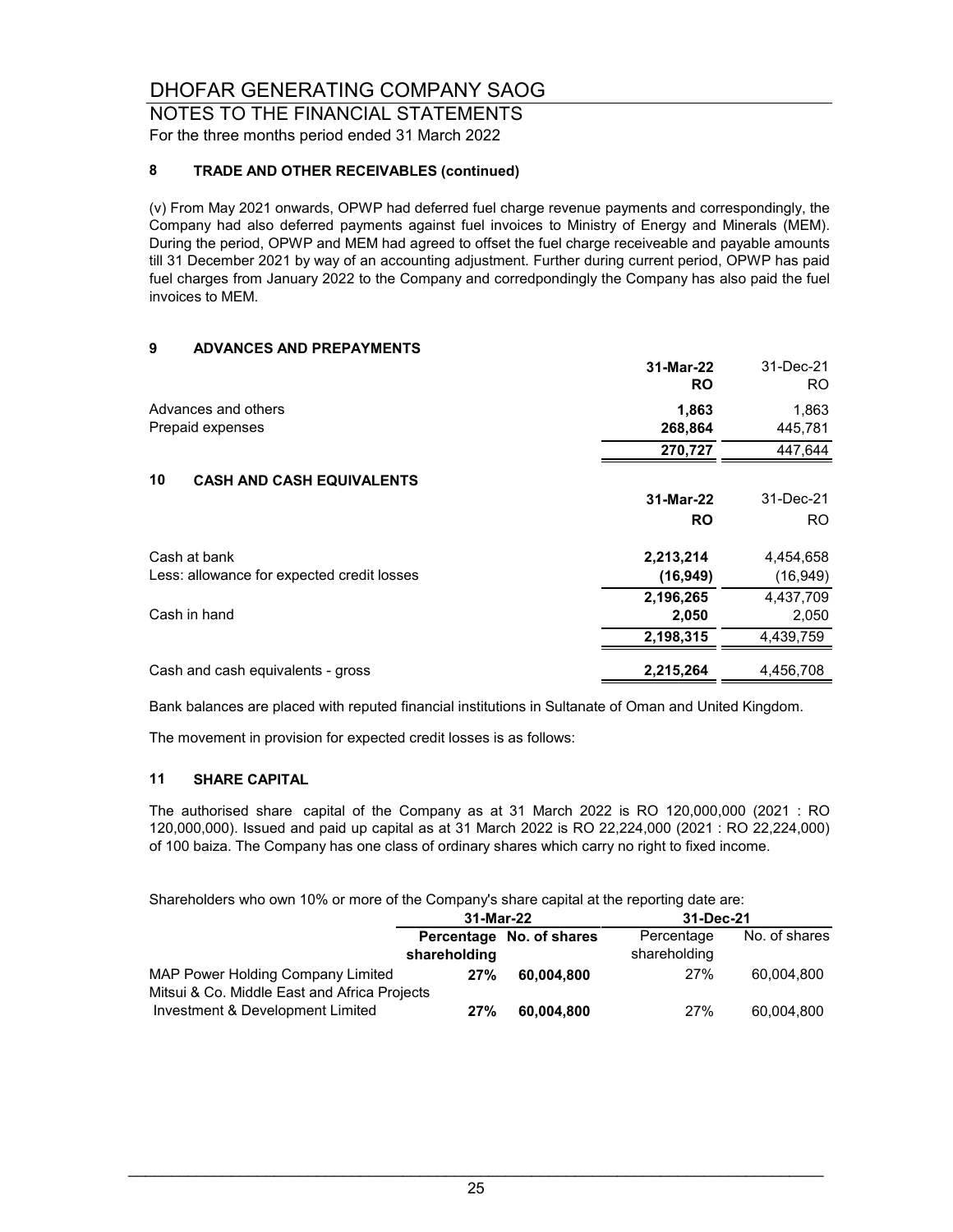#### NOTES TO THE FINANCIAL STATEMENTS For the three months period ended 31 March 2022

#### **8 TRADE AND OTHER RECEIVABLES (continued)**

(v) From May 2021 onwards, OPWP had deferred fuel charge revenue payments and correspondingly, the Company had also deferred payments against fuel invoices to Ministry of Energy and Minerals (MEM). During the period, OPWP and MEM had agreed to offset the fuel charge receiveable and payable amounts till 31 December 2021 by way of an accounting adjustment. Further during current period, OPWP has paid fuel charges from January 2022 to the Company and corredpondingly the Company has also paid the fuel invoices to MEM.

#### **9 ADVANCES AND PREPAYMENTS**

|                                            | 31-Mar-22<br><b>RO</b> | 31-Dec-21<br>RO. |
|--------------------------------------------|------------------------|------------------|
| Advances and others<br>Prepaid expenses    | 1,863<br>268,864       | 1,863<br>445,781 |
|                                            | 270,727                | 447,644          |
| 10<br><b>CASH AND CASH EQUIVALENTS</b>     |                        |                  |
|                                            | 31-Mar-22              | 31-Dec-21        |
|                                            | <b>RO</b>              | RO.              |
| Cash at bank                               | 2,213,214              | 4,454,658        |
| Less: allowance for expected credit losses | (16, 949)              | (16, 949)        |
|                                            | 2,196,265              | 4,437,709        |
| Cash in hand                               | 2,050                  | 2,050            |
|                                            | 2,198,315              | 4,439,759        |
| Cash and cash equivalents - gross          | 2,215,264              | 4.456.708        |

Bank balances are placed with reputed financial institutions in Sultanate of Oman and United Kingdom.

The movement in provision for expected credit losses is as follows:

#### **11 SHARE CAPITAL**

The authorised share capital of the Company as at 31 March 2022 is RO 120,000,000 (2021 : RO 120,000,000). Issued and paid up capital as at 31 March 2022 is RO 22,224,000 (2021 : RO 22,224,000) of 100 baiza. The Company has one class of ordinary shares which carry no right to fixed income.

Shareholders who own 10% or more of the Company's share capital at the reporting date are:

|                                                                                  | 31-Mar-22    |                          | 31-Dec-21                  |               |
|----------------------------------------------------------------------------------|--------------|--------------------------|----------------------------|---------------|
|                                                                                  | shareholding | Percentage No. of shares | Percentage<br>shareholding | No. of shares |
| MAP Power Holding Company Limited                                                | 27%          | 60.004.800               | 27%                        | 60.004.800    |
| Mitsui & Co. Middle East and Africa Projects<br>Investment & Development Limited | 27%          | 60,004,800               | 27%                        | 60,004,800    |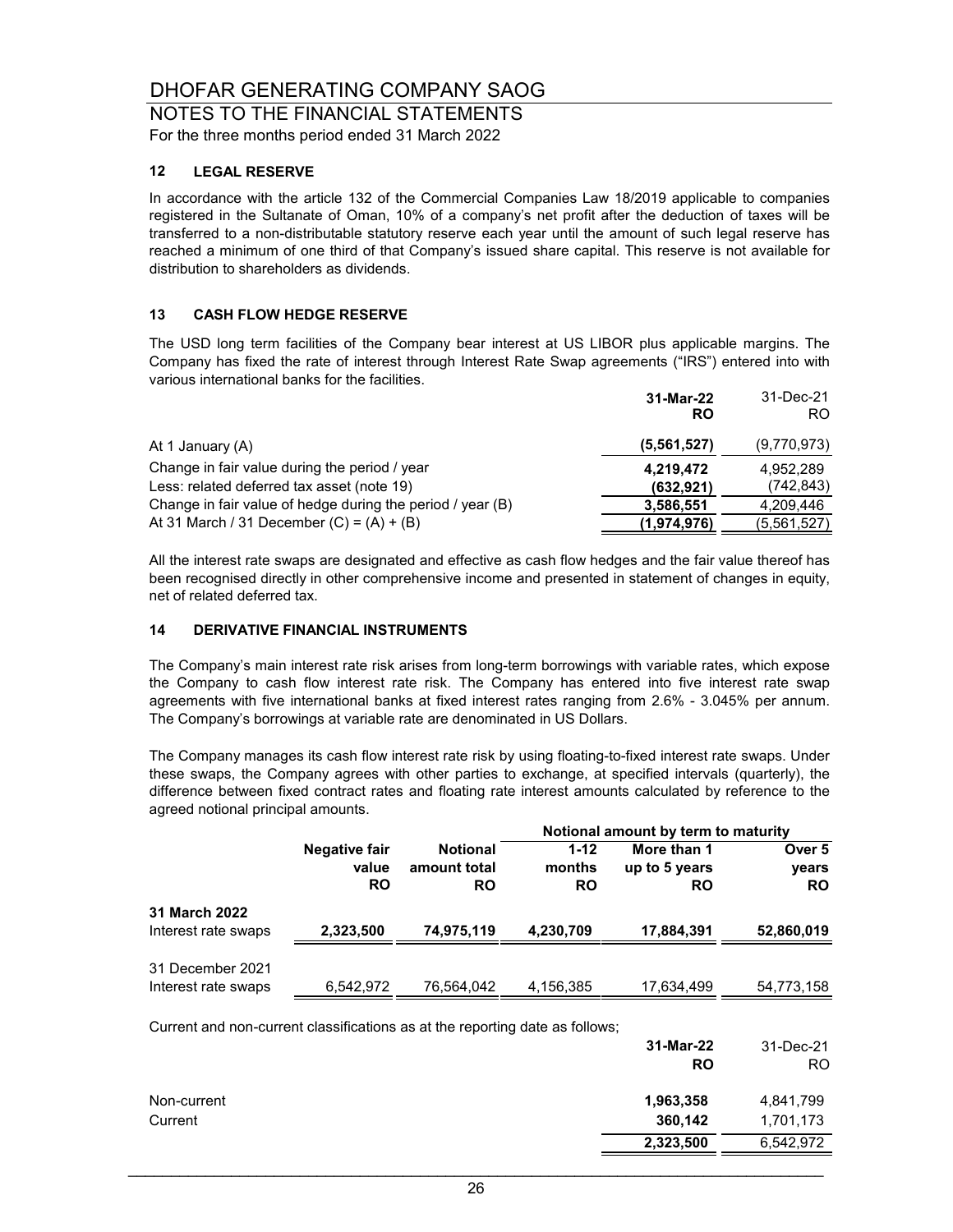#### NOTES TO THE FINANCIAL STATEMENTS For the three months period ended 31 March 2022

#### **12 LEGAL RESERVE**

In accordance with the article 132 of the Commercial Companies Law 18/2019 applicable to companies registered in the Sultanate of Oman, 10% of a company's net profit after the deduction of taxes will be transferred to a non-distributable statutory reserve each year until the amount of such legal reserve has reached a minimum of one third of that Company's issued share capital. This reserve is not available for distribution to shareholders as dividends.

#### **13 CASH FLOW HEDGE RESERVE**

The USD long term facilities of the Company bear interest at US LIBOR plus applicable margins. The Company has fixed the rate of interest through Interest Rate Swap agreements ("IRS") entered into with various international banks for the facilities.

|                                                                                             | 31-Mar-22<br>RO         | 31-Dec-21<br>RO.        |
|---------------------------------------------------------------------------------------------|-------------------------|-------------------------|
| At 1 January (A)                                                                            | (5,561,527)             | (9,770,973)             |
| Change in fair value during the period / year<br>Less: related deferred tax asset (note 19) | 4,219,472<br>(632, 921) | 4.952.289<br>(742, 843) |
| Change in fair value of hedge during the period / year (B)                                  | 3,586,551               | 4,209,446               |
| At 31 March / 31 December $(C) = (A) + (B)$                                                 | (1,974,976)             | (5,561,527)             |

All the interest rate swaps are designated and effective as cash flow hedges and the fair value thereof has been recognised directly in other comprehensive income and presented in statement of changes in equity, net of related deferred tax.

#### **14 DERIVATIVE FINANCIAL INSTRUMENTS**

The Company's main interest rate risk arises from long-term borrowings with variable rates, which expose the Company to cash flow interest rate risk. The Company has entered into five interest rate swap agreements with five international banks at fixed interest rates ranging from 2.6% - 3.045% per annum. The Company's borrowings at variable rate are denominated in US Dollars.

The Company manages its cash flow interest rate risk by using floating-to-fixed interest rate swaps. Under these swaps, the Company agrees with other parties to exchange, at specified intervals (quarterly), the difference between fixed contract rates and floating rate interest amounts calculated by reference to the agreed notional principal amounts.

|                                                                              |                      |                 |           | Notional amount by term to maturity |            |
|------------------------------------------------------------------------------|----------------------|-----------------|-----------|-------------------------------------|------------|
|                                                                              | <b>Negative fair</b> | <b>Notional</b> | $1 - 12$  | More than 1                         | Over 5     |
|                                                                              | value                | amount total    | months    | up to 5 years                       | years      |
|                                                                              | <b>RO</b>            | <b>RO</b>       | <b>RO</b> | <b>RO</b>                           | <b>RO</b>  |
| 31 March 2022                                                                |                      |                 |           |                                     |            |
| Interest rate swaps                                                          | 2,323,500            | 74,975,119      | 4,230,709 | 17,884,391                          | 52,860,019 |
| 31 December 2021                                                             |                      |                 |           |                                     |            |
|                                                                              |                      |                 |           |                                     |            |
| Interest rate swaps                                                          | 6,542,972            | 76,564,042      | 4,156,385 | 17,634,499                          | 54,773,158 |
| Current and non-current classifications as at the reporting date as follows; |                      |                 |           |                                     |            |
|                                                                              |                      |                 |           | 31-Mar-22                           | 31-Dec-21  |
|                                                                              |                      |                 |           | <b>RO</b>                           | RO.        |
| Non-current                                                                  |                      |                 |           | 1,963,358                           | 4,841,799  |
| Current                                                                      |                      |                 |           | 360,142                             | 1,701,173  |
|                                                                              |                      |                 |           | 2,323,500                           | 6,542,972  |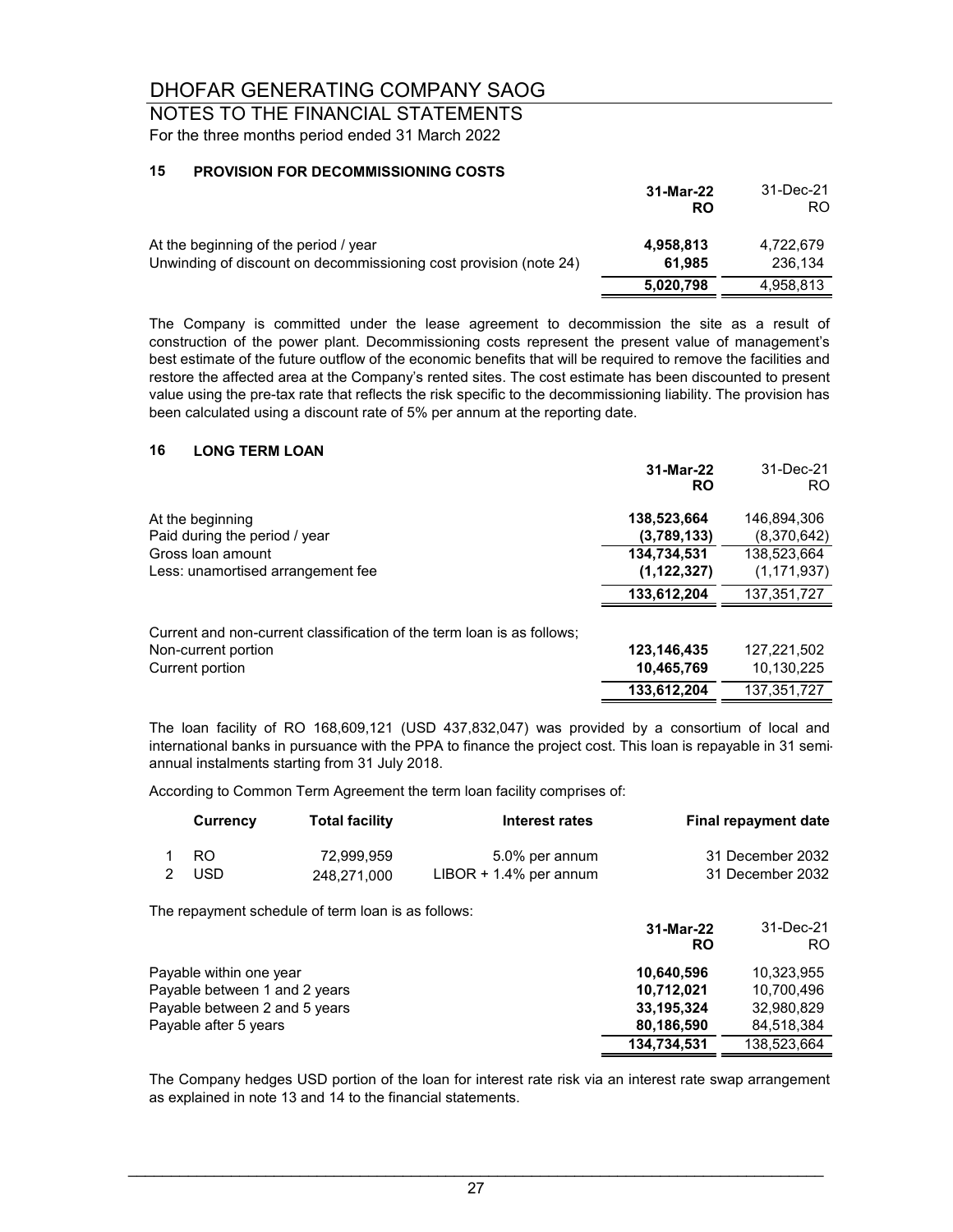NOTES TO THE FINANCIAL STATEMENTS For the three months period ended 31 March 2022

#### **15 PROVISION FOR DECOMMISSIONING COSTS**

|                                                                                                            | 31-Mar-22<br>RO     | 31-Dec-21<br>RO.     |
|------------------------------------------------------------------------------------------------------------|---------------------|----------------------|
| At the beginning of the period / year<br>Unwinding of discount on decommissioning cost provision (note 24) | 4,958,813<br>61.985 | 4.722.679<br>236.134 |
|                                                                                                            | 5,020,798           | 4,958,813            |

The Company is committed under the lease agreement to decommission the site as a result of construction of the power plant. Decommissioning costs represent the present value of management's best estimate of the future outflow of the economic benefits that will be required to remove the facilities and restore the affected area at the Company's rented sites. The cost estimate has been discounted to present value using the pre-tax rate that reflects the risk specific to the decommissioning liability. The provision has been calculated using a discount rate of 5% per annum at the reporting date.

#### **16 LONG TERM LOAN**

|                                                                        | 31-Mar-22<br><b>RO</b> | 31-Dec-21<br>RO. |
|------------------------------------------------------------------------|------------------------|------------------|
| At the beginning                                                       | 138,523,664            | 146,894,306      |
| Paid during the period / year                                          | (3,789,133)            | (8,370,642)      |
| Gross loan amount                                                      | 134,734,531            | 138,523,664      |
| Less: unamortised arrangement fee                                      | (1, 122, 327)          | (1, 171, 937)    |
|                                                                        | 133.612.204            | 137,351,727      |
| Current and non-current classification of the term loan is as follows; |                        |                  |
| Non-current portion                                                    | 123,146,435            | 127,221,502      |
| Current portion                                                        | 10,465,769             | 10,130,225       |

The loan facility of RO 168,609,121 (USD 437,832,047) was provided by a consortium of local and international banks in pursuance with the PPA to finance the project cost. This loan is repayable in 31 semiannual instalments starting from 31 July 2018.

 **133,612,204** 137,351,727

According to Common Term Agreement the term loan facility comprises of:

| Currency | <b>Total facility</b> | Interest rates            | <b>Final repayment date</b> |
|----------|-----------------------|---------------------------|-----------------------------|
| - RO     | 72.999.959            | 5.0% per annum            | 31 December 2032            |
| USD.     | 248.271.000           | $LIBOR + 1.4\%$ per annum | 31 December 2032            |

The repayment schedule of term loan is as follows:

|                               | 31-Mar-22<br><b>RO</b> | 31-Dec-21<br>RO. |
|-------------------------------|------------------------|------------------|
| Payable within one year       | 10,640,596             | 10,323,955       |
| Payable between 1 and 2 years | 10,712,021             | 10.700.496       |
| Payable between 2 and 5 years | 33,195,324             | 32,980,829       |
| Payable after 5 years         | 80,186,590             | 84.518.384       |
|                               | 134,734,531            | 138,523,664      |

The Company hedges USD portion of the loan for interest rate risk via an interest rate swap arrangement as explained in note 13 and 14 to the financial statements.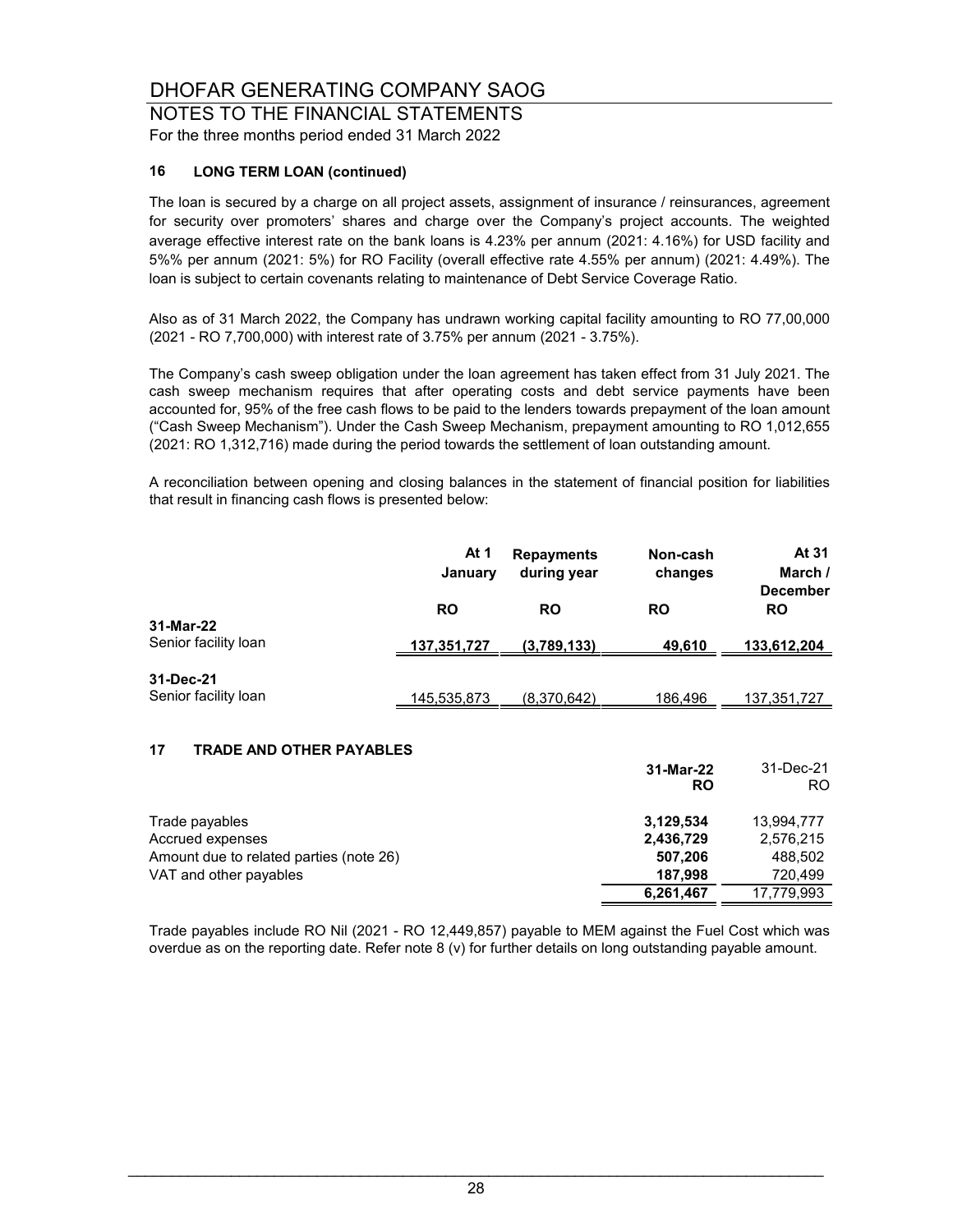NOTES TO THE FINANCIAL STATEMENTS For the three months period ended 31 March 2022

#### **16 LONG TERM LOAN (continued)**

The loan is secured by a charge on all project assets, assignment of insurance / reinsurances, agreement for security over promoters' shares and charge over the Company's project accounts. The weighted average effective interest rate on the bank loans is 4.23% per annum (2021: 4.16%) for USD facility and 5%% per annum (2021: 5%) for RO Facility (overall effective rate 4.55% per annum) (2021: 4.49%). The loan is subject to certain covenants relating to maintenance of Debt Service Coverage Ratio.

Also as of 31 March 2022, the Company has undrawn working capital facility amounting to RO 77,00,000 (2021 - RO 7,700,000) with interest rate of 3.75% per annum (2021 - 3.75%).

The Company's cash sweep obligation under the loan agreement has taken effect from 31 July 2021. The cash sweep mechanism requires that after operating costs and debt service payments have been accounted for, 95% of the free cash flows to be paid to the lenders towards prepayment of the loan amount ("Cash Sweep Mechanism"). Under the Cash Sweep Mechanism, prepayment amounting to RO 1,012,655 (2021: RO 1,312,716) made during the period towards the settlement of loan outstanding amount.

A reconciliation between opening and closing balances in the statement of financial position for liabilities that result in financing cash flows is presented below:

|                                   | At 1<br>January    | <b>Repayments</b><br>during year | Non-cash<br>changes | At 31<br>March /<br><b>December</b> |
|-----------------------------------|--------------------|----------------------------------|---------------------|-------------------------------------|
| 31-Mar-22                         | <b>RO</b>          | <b>RO</b>                        | <b>RO</b>           | <b>RO</b>                           |
| Senior facility loan              | <u>137,351,727</u> | (3,789,133)                      | 49,610              | 133,612,204                         |
| 31-Dec-21<br>Senior facility loan | 145,535,873        | (8,370,642)                      | 186,496             | 137, 351, 727                       |
|                                   |                    |                                  |                     |                                     |

#### **17 TRADE AND OTHER PAYABLES**

|                                         | 31-Mar-22<br><b>RO</b> | 31-Dec-21<br>RO. |
|-----------------------------------------|------------------------|------------------|
| Trade payables                          | 3,129,534              | 13,994,777       |
| Accrued expenses                        | 2,436,729              | 2,576,215        |
| Amount due to related parties (note 26) | 507,206                | 488,502          |
| VAT and other payables                  | 187.998                | 720.499          |
|                                         | 6,261,467              | 17.779.993       |

Trade payables include RO Nil (2021 - RO 12,449,857) payable to MEM against the Fuel Cost which was overdue as on the reporting date. Refer note 8 (v) for further details on long outstanding payable amount.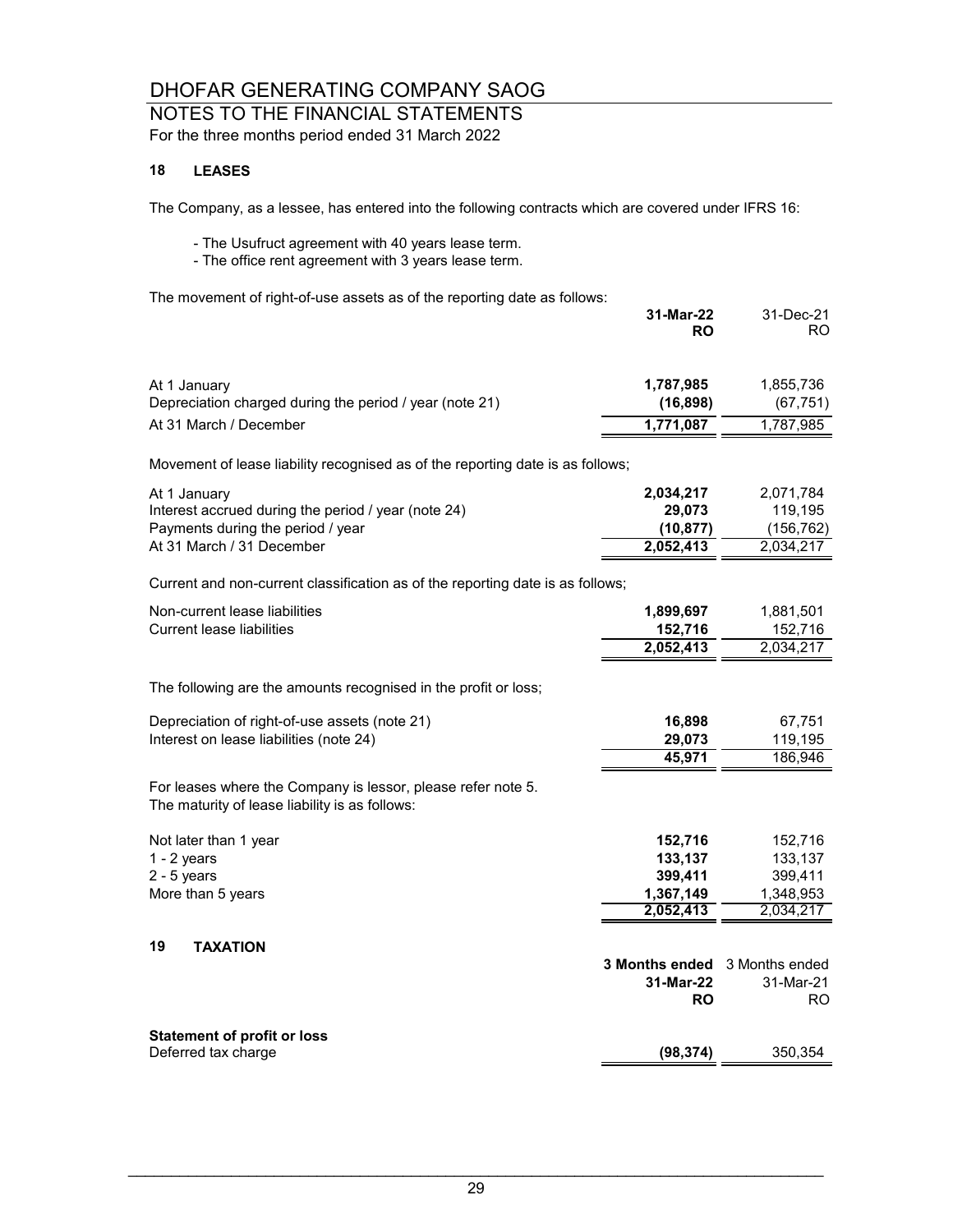## NOTES TO THE FINANCIAL STATEMENTS

For the three months period ended 31 March 2022

#### **18 LEASES**

The Company, as a lessee, has entered into the following contracts which are covered under IFRS 16:

- The Usufruct agreement with 40 years lease term.
- The office rent agreement with 3 years lease term.

The movement of right-of-use assets as of the reporting date as follows:

|                                                                                                                | 31-Mar-22<br><b>RO</b>        | 31-Dec-21<br>RO        |
|----------------------------------------------------------------------------------------------------------------|-------------------------------|------------------------|
|                                                                                                                |                               |                        |
| At 1 January<br>Depreciation charged during the period / year (note 21)                                        | 1,787,985<br>(16, 898)        | 1,855,736<br>(67, 751) |
| At 31 March / December                                                                                         | 1,771,087                     | 1,787,985              |
| Movement of lease liability recognised as of the reporting date is as follows;                                 |                               |                        |
| At 1 January                                                                                                   | 2,034,217                     | 2,071,784              |
| Interest accrued during the period / year (note 24)                                                            | 29,073                        | 119,195                |
| Payments during the period / year                                                                              | (10, 877)                     | (156, 762)             |
| At 31 March / 31 December                                                                                      | 2,052,413                     | 2,034,217              |
| Current and non-current classification as of the reporting date is as follows;                                 |                               |                        |
| Non-current lease liabilities                                                                                  | 1,899,697                     | 1,881,501              |
| <b>Current lease liabilities</b>                                                                               | 152,716                       | 152,716                |
|                                                                                                                | 2,052,413                     | 2,034,217              |
| The following are the amounts recognised in the profit or loss;                                                |                               |                        |
| Depreciation of right-of-use assets (note 21)                                                                  | 16,898                        | 67,751                 |
| Interest on lease liabilities (note 24)                                                                        | 29,073                        | 119,195                |
|                                                                                                                | 45,971                        | 186,946                |
| For leases where the Company is lessor, please refer note 5.<br>The maturity of lease liability is as follows: |                               |                        |
| Not later than 1 year                                                                                          | 152,716                       | 152,716                |
| $1 - 2$ years                                                                                                  | 133,137                       | 133,137                |
| $2 - 5$ years                                                                                                  | 399,411                       | 399,411                |
| More than 5 years                                                                                              | 1,367,149                     | 1,348,953              |
|                                                                                                                | 2,052,413                     | 2,034,217              |
| 19<br><b>TAXATION</b>                                                                                          |                               |                        |
|                                                                                                                | 3 Months ended 3 Months ended |                        |
|                                                                                                                | 31-Mar-22                     | 31-Mar-21              |
|                                                                                                                | <b>RO</b>                     | RO.                    |
| <b>Statement of profit or loss</b>                                                                             |                               |                        |
| Deferred tax charge                                                                                            | (98, 374)                     | 350,354                |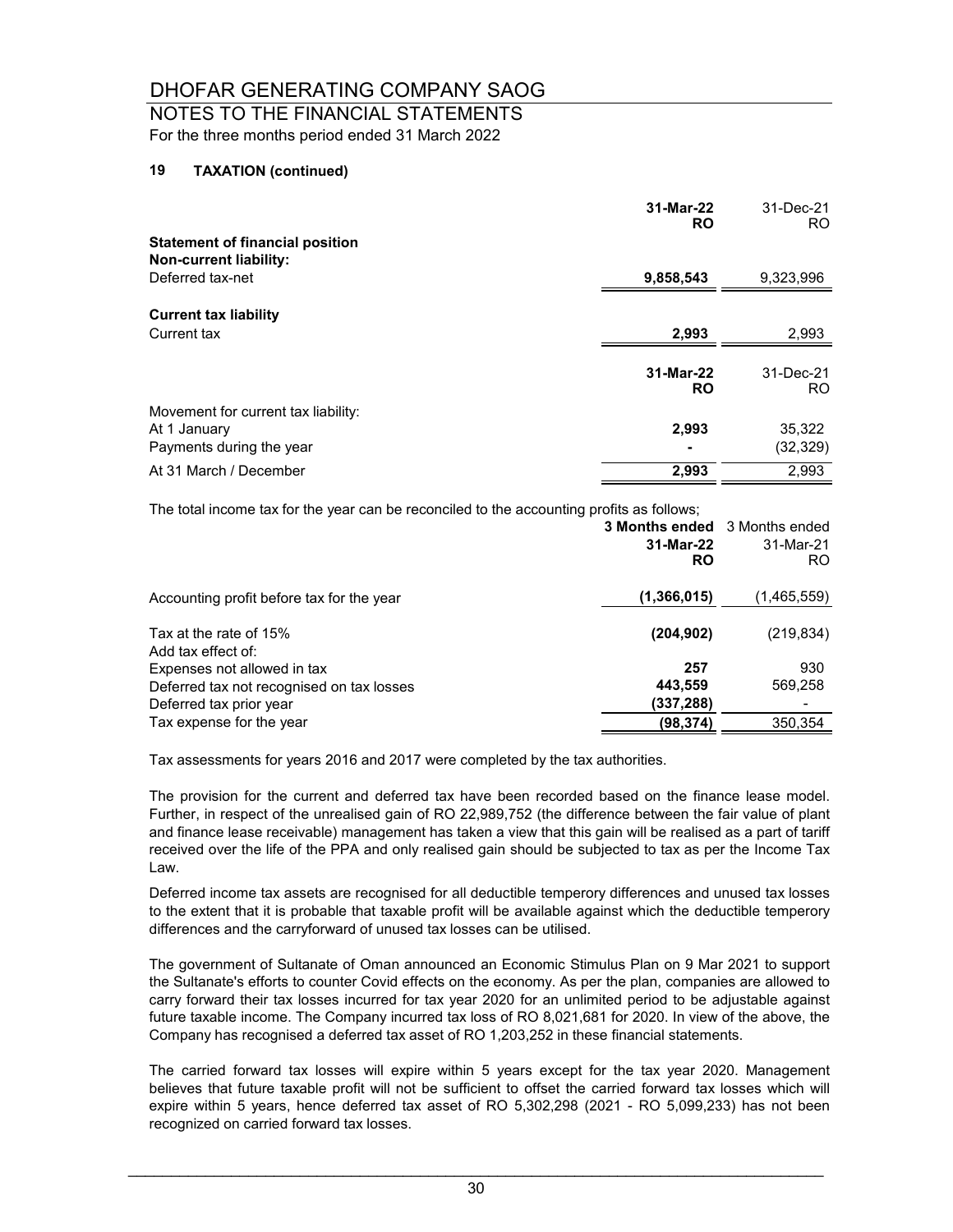#### NOTES TO THE FINANCIAL STATEMENTS For the three months period ended 31 March 2022

#### **19 TAXATION (continued)**

|                                        | 31-Mar-22<br><b>RO</b> | 31-Dec-21<br>RO. |
|----------------------------------------|------------------------|------------------|
| <b>Statement of financial position</b> |                        |                  |
| <b>Non-current liability:</b>          |                        |                  |
| Deferred tax-net                       | 9,858,543              | 9,323,996        |
| <b>Current tax liability</b>           |                        |                  |
| Current tax                            | 2,993                  | 2,993            |
|                                        |                        |                  |
|                                        | 31-Mar-22<br><b>RO</b> | 31-Dec-21<br>RO. |
|                                        |                        |                  |
| Movement for current tax liability:    |                        |                  |
| At 1 January                           | 2,993                  | 35,322           |
| Payments during the year               |                        | (32, 329)        |
| At 31 March / December                 | 2,993                  | 2,993            |

The total income tax for the year can be reconciled to the accounting profits as follows;

|                                              | <b>3 Months ended</b> 3 Months ended<br>31-Mar-22<br><b>RO</b> | 31-Mar-21<br>RO. |
|----------------------------------------------|----------------------------------------------------------------|------------------|
| Accounting profit before tax for the year    | (1,366,015)                                                    | (1,465,559)      |
| Tax at the rate of 15%<br>Add tax effect of: | (204, 902)                                                     | (219, 834)       |
| Expenses not allowed in tax                  | 257                                                            | 930              |
| Deferred tax not recognised on tax losses    | 443,559                                                        | 569,258          |
| Deferred tax prior year                      | (337, 288)                                                     |                  |
| Tax expense for the year                     | (98,374)                                                       | 350,354          |

Tax assessments for years 2016 and 2017 were completed by the tax authorities.

The provision for the current and deferred tax have been recorded based on the finance lease model. Further, in respect of the unrealised gain of RO 22,989,752 (the difference between the fair value of plant and finance lease receivable) management has taken a view that this gain will be realised as a part of tariff received over the life of the PPA and only realised gain should be subjected to tax as per the Income Tax Law.

Deferred income tax assets are recognised for all deductible temperory differences and unused tax losses to the extent that it is probable that taxable profit will be available against which the deductible temperory differences and the carryforward of unused tax losses can be utilised.

The government of Sultanate of Oman announced an Economic Stimulus Plan on 9 Mar 2021 to support the Sultanate's efforts to counter Covid effects on the economy. As per the plan, companies are allowed to carry forward their tax losses incurred for tax year 2020 for an unlimited period to be adjustable against future taxable income. The Company incurred tax loss of RO 8,021,681 for 2020. In view of the above, the Company has recognised a deferred tax asset of RO 1,203,252 in these financial statements.

The carried forward tax losses will expire within 5 years except for the tax year 2020. Management believes that future taxable profit will not be sufficient to offset the carried forward tax losses which will expire within 5 years, hence deferred tax asset of RO 5,302,298 (2021 - RO 5,099,233) has not been recognized on carried forward tax losses.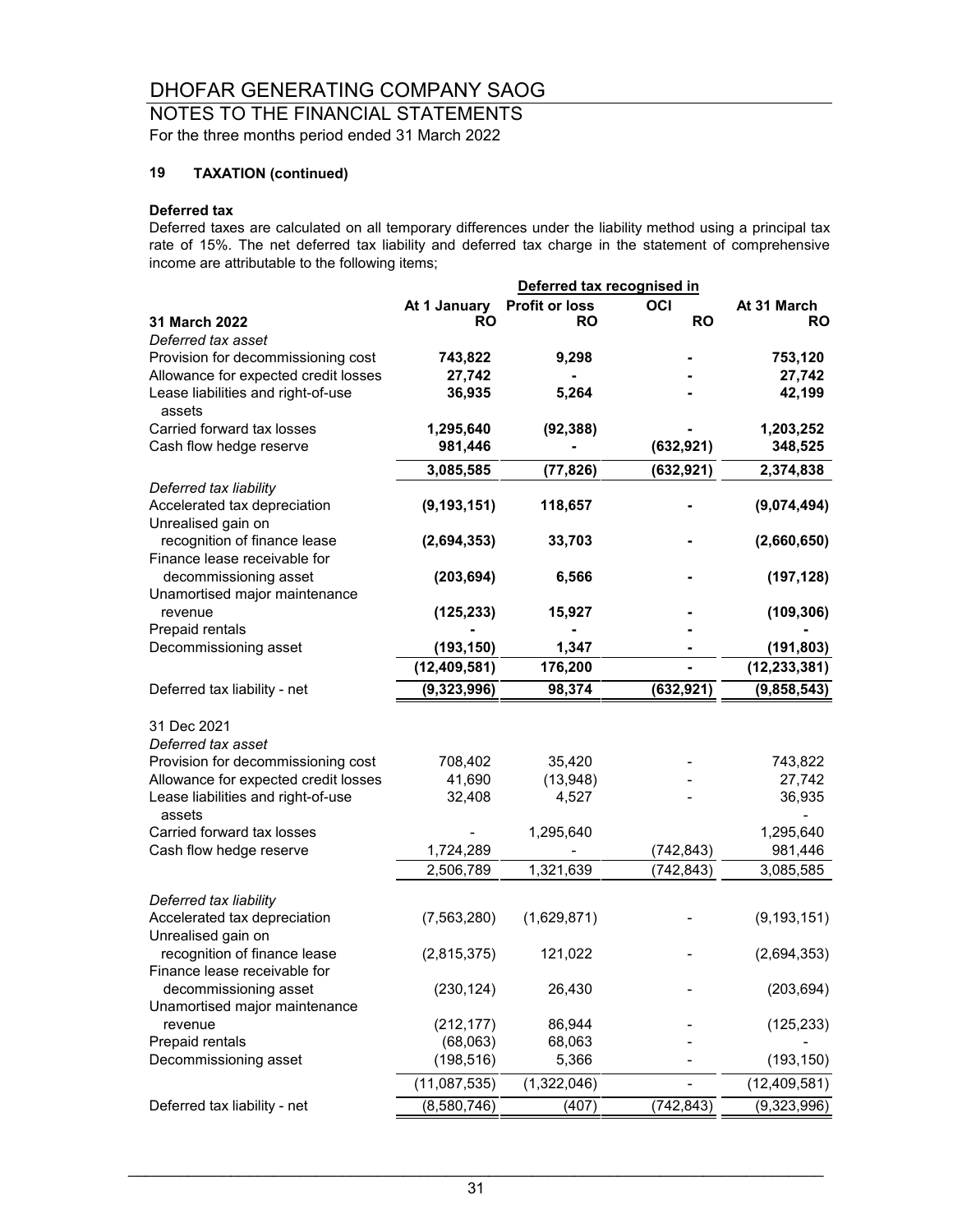### NOTES TO THE FINANCIAL STATEMENTS For the three months period ended 31 March 2022

## **19 TAXATION (continued)**

#### **Deferred tax**

Deferred taxes are calculated on all temporary differences under the liability method using a principal tax rate of 15%. The net deferred tax liability and deferred tax charge in the statement of comprehensive income are attributable to the following items;

|                                                                            |                  |                       | Deferred tax recognised in |                |  |  |
|----------------------------------------------------------------------------|------------------|-----------------------|----------------------------|----------------|--|--|
|                                                                            | At 1 January     | <b>Profit or loss</b> | OCI                        | At 31 March    |  |  |
| 31 March 2022                                                              | RO               | RO                    | <b>RO</b>                  | <b>RO</b>      |  |  |
| Deferred tax asset                                                         |                  |                       |                            |                |  |  |
| Provision for decommissioning cost                                         | 743,822          | 9,298                 |                            | 753,120        |  |  |
| Allowance for expected credit losses                                       | 27,742           |                       |                            | 27,742         |  |  |
| Lease liabilities and right-of-use<br>assets                               | 36,935           | 5,264                 |                            | 42,199         |  |  |
| Carried forward tax losses                                                 | 1,295,640        | (92, 388)             |                            | 1,203,252      |  |  |
| Cash flow hedge reserve                                                    | 981,446          |                       | (632, 921)                 | 348,525        |  |  |
|                                                                            | 3,085,585        | (77, 826)             | (632, 921)                 | 2,374,838      |  |  |
| Deferred tax liability                                                     |                  |                       |                            |                |  |  |
| Accelerated tax depreciation<br>Unrealised gain on                         | (9, 193, 151)    | 118,657               |                            | (9,074,494)    |  |  |
| recognition of finance lease<br>Finance lease receivable for               | (2,694,353)      | 33,703                |                            | (2,660,650)    |  |  |
| decommissioning asset<br>Unamortised major maintenance                     | (203, 694)       | 6,566                 |                            | (197, 128)     |  |  |
| revenue<br>Prepaid rentals                                                 | (125, 233)       | 15,927                |                            | (109, 306)     |  |  |
| Decommissioning asset                                                      | (193, 150)       | 1,347                 |                            | (191, 803)     |  |  |
|                                                                            | (12, 409, 581)   | 176,200               |                            | (12, 233, 381) |  |  |
| Deferred tax liability - net                                               | (9,323,996)      | 98,374                | (632, 921)                 | (9,858,543)    |  |  |
|                                                                            |                  |                       |                            |                |  |  |
| 31 Dec 2021                                                                |                  |                       |                            |                |  |  |
| Deferred tax asset                                                         |                  |                       |                            |                |  |  |
| Provision for decommissioning cost<br>Allowance for expected credit losses | 708,402          | 35,420                |                            | 743,822        |  |  |
| Lease liabilities and right-of-use                                         | 41,690<br>32,408 | (13,948)<br>4,527     |                            | 27,742         |  |  |
| assets                                                                     |                  |                       |                            | 36,935         |  |  |
| Carried forward tax losses                                                 |                  | 1,295,640             |                            | 1,295,640      |  |  |
| Cash flow hedge reserve                                                    | 1,724,289        |                       | (742, 843)                 | 981,446        |  |  |
|                                                                            | 2,506,789        | 1,321,639             | (742, 843)                 | 3,085,585      |  |  |
|                                                                            |                  |                       |                            |                |  |  |
| Deferred tax liability                                                     |                  |                       |                            |                |  |  |
| Accelerated tax depreciation<br>Unrealised gain on                         | (7, 563, 280)    | (1,629,871)           |                            | (9, 193, 151)  |  |  |
| recognition of finance lease<br>Finance lease receivable for               | (2,815,375)      | 121,022               |                            | (2,694,353)    |  |  |
| decommissioning asset<br>Unamortised major maintenance                     | (230, 124)       | 26,430                |                            | (203, 694)     |  |  |
| revenue                                                                    | (212, 177)       | 86,944                |                            | (125, 233)     |  |  |
| Prepaid rentals                                                            | (68,063)         | 68,063                |                            |                |  |  |
| Decommissioning asset                                                      | (198, 516)       | 5,366                 |                            | (193, 150)     |  |  |
|                                                                            | (11,087,535)     | (1,322,046)           |                            | (12,409,581)   |  |  |
| Deferred tax liability - net                                               | (8,580,746)      | (407)                 | (742, 843)                 | (9,323,996)    |  |  |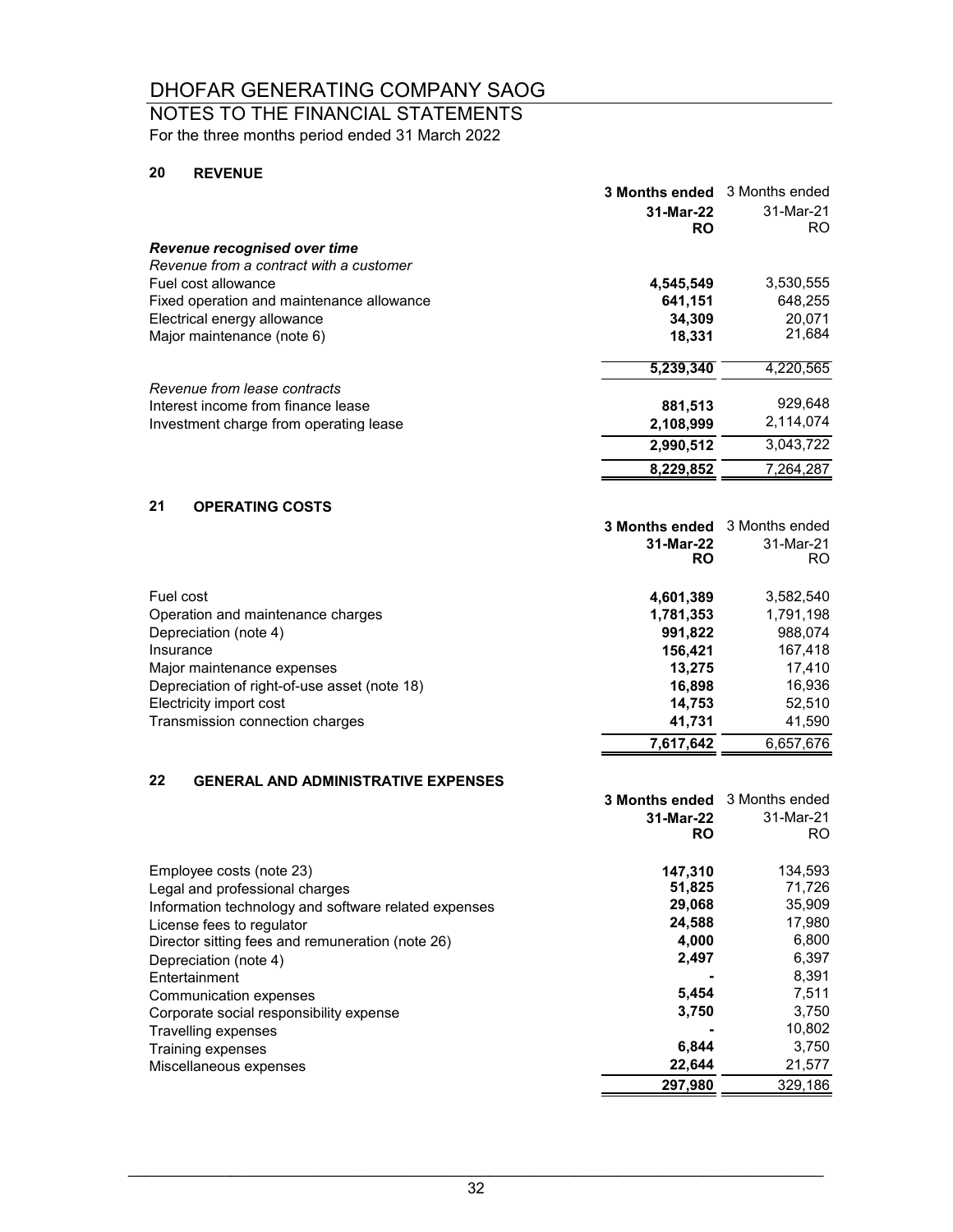### NOTES TO THE FINANCIAL STATEMENTS

For the three months period ended 31 March 2022

#### **20 REVENUE**

|                                              | <b>3 Months ended</b>  | 3 Months ended   |
|----------------------------------------------|------------------------|------------------|
|                                              | 31-Mar-22<br><b>RO</b> | 31-Mar-21<br>RO. |
| Revenue recognised over time                 |                        |                  |
| Revenue from a contract with a customer      |                        |                  |
| Fuel cost allowance                          | 4,545,549              | 3,530,555        |
| Fixed operation and maintenance allowance    | 641,151                | 648,255          |
| Electrical energy allowance                  | 34,309                 | 20.071           |
| Major maintenance (note 6)                   | 18,331                 | 21,684           |
|                                              | 5,239,340              | 4,220,565        |
| Revenue from lease contracts                 |                        |                  |
| Interest income from finance lease           | 881,513                | 929,648          |
| Investment charge from operating lease       | 2,108,999              | 2,114,074        |
|                                              | 2,990,512              | 3,043,722        |
|                                              | 8,229,852              | 7,264,287        |
| 21<br><b>OPERATING COSTS</b>                 |                        |                  |
|                                              | <b>3 Months ended</b>  | 3 Months ended   |
|                                              | 31-Mar-22<br><b>RO</b> | 31-Mar-21<br>RO. |
| Fuel cost                                    | 4,601,389              | 3,582,540        |
| Operation and maintenance charges            | 1,781,353              | 1,791,198        |
| Depreciation (note 4)                        | 991,822                | 988,074          |
| Insurance                                    | 156,421                | 167,418          |
| Major maintenance expenses                   | 13,275                 | 17,410           |
| Depreciation of right-of-use asset (note 18) | 16,898                 | 16,936           |
| Electricity import cost                      | 14,753                 | 52,510           |
| Transmission connection charges              | 41,731                 | 41,590           |
|                                              | 7,617,642              | 6,657,676        |

#### **22 GENERAL AND ADMINISTRATIVE EXPENSES**

|                                                      | <b>3 Months ended</b> | 3 Months ended |
|------------------------------------------------------|-----------------------|----------------|
|                                                      | 31-Mar-22             | 31-Mar-21      |
|                                                      | RO                    | RO.            |
|                                                      |                       |                |
| Employee costs (note 23)                             | 147,310               | 134,593        |
| Legal and professional charges                       | 51,825                | 71,726         |
| Information technology and software related expenses | 29,068                | 35,909         |
| License fees to regulator                            | 24,588                | 17,980         |
| Director sitting fees and remuneration (note 26)     | 4.000                 | 6,800          |
| Depreciation (note 4)                                | 2,497                 | 6,397          |
| Entertainment                                        |                       | 8,391          |
| Communication expenses                               | 5,454                 | 7,511          |
| Corporate social responsibility expense              | 3,750                 | 3,750          |
| Travelling expenses                                  |                       | 10,802         |
| Training expenses                                    | 6,844                 | 3,750          |
| Miscellaneous expenses                               | 22,644                | 21,577         |
|                                                      | 297.980               | 329.186        |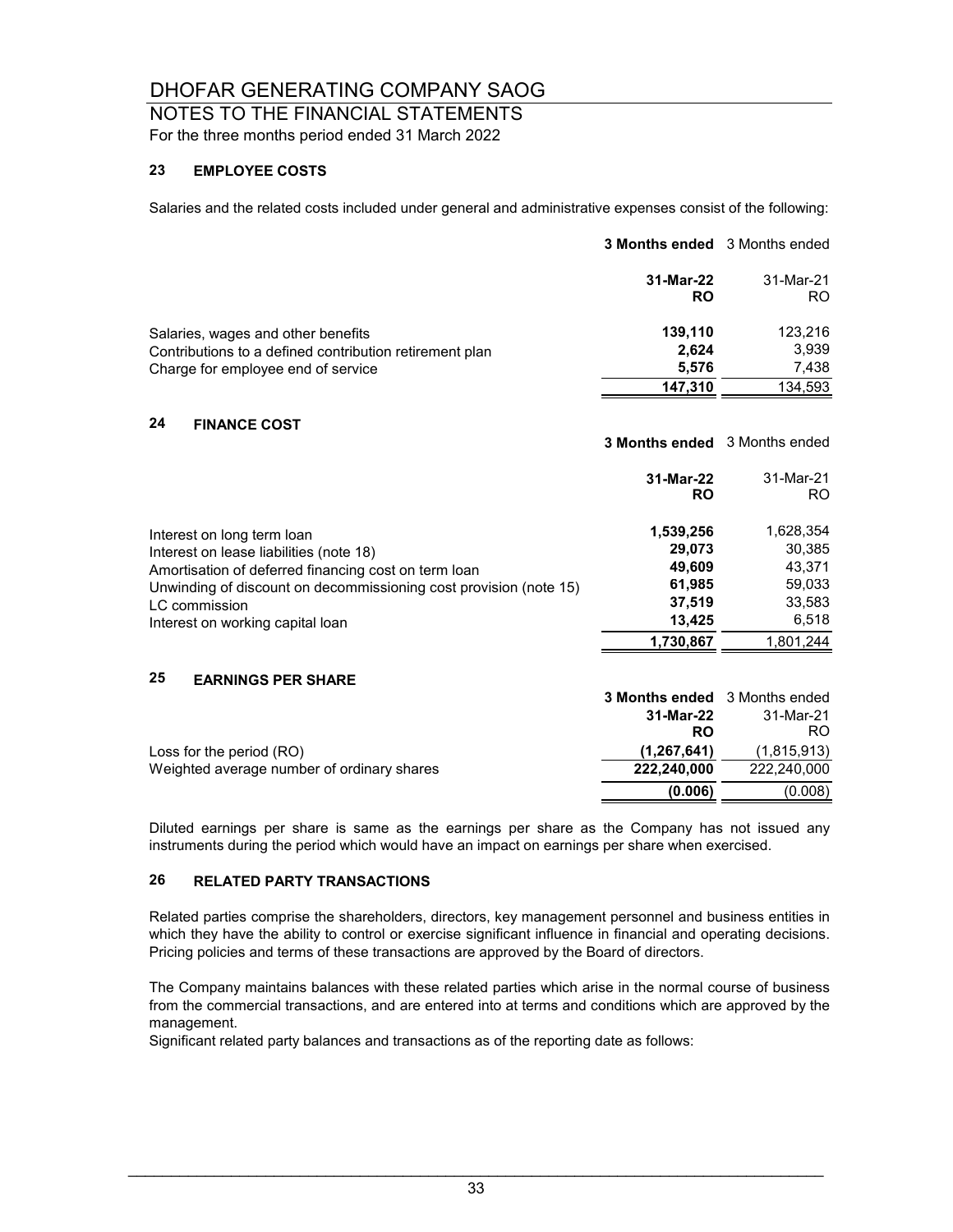NOTES TO THE FINANCIAL STATEMENTS For the three months period ended 31 March 2022

#### **23 EMPLOYEE COSTS**

Salaries and the related costs included under general and administrative expenses consist of the following:

|                                                                                                                                                                                                                                                         | <b>3 Months ended</b> 3 Months ended                                     |                                                                         |
|---------------------------------------------------------------------------------------------------------------------------------------------------------------------------------------------------------------------------------------------------------|--------------------------------------------------------------------------|-------------------------------------------------------------------------|
|                                                                                                                                                                                                                                                         | 31-Mar-22<br><b>RO</b>                                                   | 31-Mar-21<br>RO.                                                        |
| Salaries, wages and other benefits<br>Contributions to a defined contribution retirement plan<br>Charge for employee end of service                                                                                                                     | 139,110<br>2,624<br>5,576<br>147,310                                     | 123,216<br>3,939<br>7,438<br>134,593                                    |
| 24<br><b>FINANCE COST</b>                                                                                                                                                                                                                               | <b>3 Months ended</b> 3 Months ended                                     |                                                                         |
|                                                                                                                                                                                                                                                         | 31-Mar-22<br><b>RO</b>                                                   | 31-Mar-21<br>RO.                                                        |
| Interest on long term loan<br>Interest on lease liabilities (note 18)<br>Amortisation of deferred financing cost on term loan<br>Unwinding of discount on decommissioning cost provision (note 15)<br>LC commission<br>Interest on working capital loan | 1,539,256<br>29,073<br>49,609<br>61,985<br>37,519<br>13,425<br>1,730,867 | 1,628,354<br>30,385<br>43,371<br>59,033<br>33,583<br>6,518<br>1,801,244 |
| 25<br><b>EARNINGS PER SHARE</b>                                                                                                                                                                                                                         | 3 Months ended                                                           | 3 Months ended                                                          |
| Loss for the period (RO)<br>Weighted average number of ordinary shares                                                                                                                                                                                  | 31-Mar-22<br><b>RO</b><br>(1, 267, 641)<br>222,240,000                   | 31-Mar-21<br><b>RO</b><br>(1,815,913)<br>222,240,000                    |
|                                                                                                                                                                                                                                                         | (0.006)                                                                  | (0.008)                                                                 |

Diluted earnings per share is same as the earnings per share as the Company has not issued any instruments during the period which would have an impact on earnings per share when exercised.

#### **26 RELATED PARTY TRANSACTIONS**

Related parties comprise the shareholders, directors, key management personnel and business entities in which they have the ability to control or exercise significant influence in financial and operating decisions. Pricing policies and terms of these transactions are approved by the Board of directors.

The Company maintains balances with these related parties which arise in the normal course of business from the commercial transactions, and are entered into at terms and conditions which are approved by the management.

Significant related party balances and transactions as of the reporting date as follows: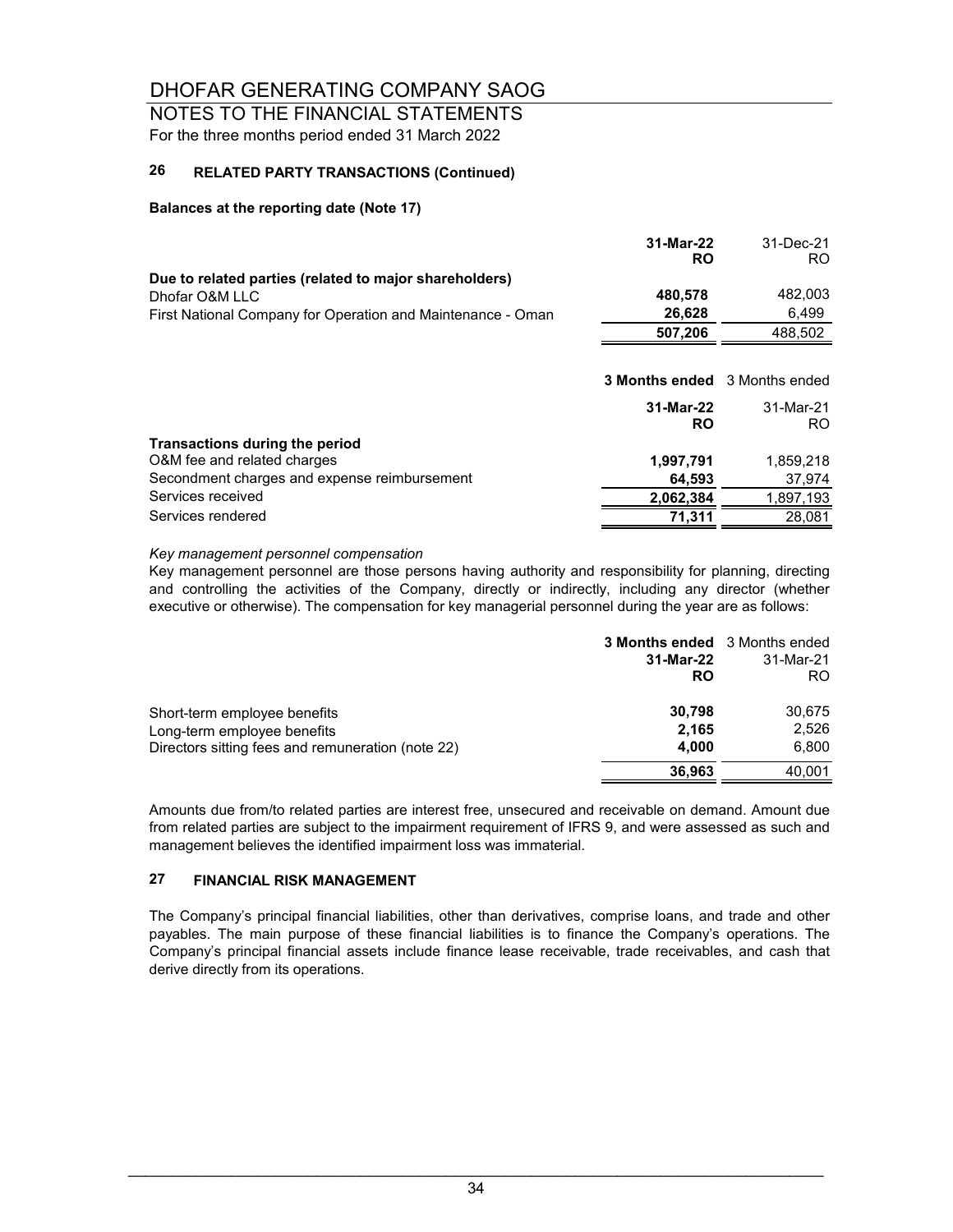#### NOTES TO THE FINANCIAL STATEMENTS For the three months period ended 31 March 2022

#### **26 RELATED PARTY TRANSACTIONS (Continued)**

#### **Balances at the reporting date (Note 17)**

|                                                             | 31-Mar-22<br><b>RO</b>               | 31-Dec-21<br>RO. |
|-------------------------------------------------------------|--------------------------------------|------------------|
| Due to related parties (related to major shareholders)      |                                      |                  |
| Dhofar O&M LLC                                              | 480,578                              | 482,003          |
| First National Company for Operation and Maintenance - Oman | 26,628                               | 6,499            |
|                                                             | 507,206                              | 488,502          |
|                                                             |                                      |                  |
|                                                             | <b>3 Months ended</b> 3 Months ended |                  |
|                                                             | 31-Mar-22<br><b>RO</b>               | 31-Mar-21<br>RO. |
| Transactions during the period                              |                                      |                  |
| O&M fee and related charges                                 | 1,997,791                            | 1,859,218        |
| Secondment charges and expense reimbursement                | 64,593                               | 37,974           |
| Services received                                           | 2,062,384                            | 1,897,193        |
| Services rendered                                           | 71.311                               | 28,081           |

#### *Key management personnel compensation*

Key management personnel are those persons having authority and responsibility for planning, directing and controlling the activities of the Company, directly or indirectly, including any director (whether executive or otherwise). The compensation for key managerial personnel during the year are as follows:

|                                                   | <b>3 Months ended</b> 3 Months ended<br>31-Mar-22<br><b>RO</b> | 31-Mar-21<br>RO. |
|---------------------------------------------------|----------------------------------------------------------------|------------------|
| Short-term employee benefits                      | 30.798                                                         | 30,675           |
| Long-term employee benefits                       | 2.165                                                          | 2.526            |
| Directors sitting fees and remuneration (note 22) | 4.000                                                          | 6.800            |
|                                                   | 36.963                                                         | 40,001           |

Amounts due from/to related parties are interest free, unsecured and receivable on demand. Amount due from related parties are subject to the impairment requirement of IFRS 9, and were assessed as such and management believes the identified impairment loss was immaterial.

#### **27 FINANCIAL RISK MANAGEMENT**

The Company's principal financial liabilities, other than derivatives, comprise loans, and trade and other payables. The main purpose of these financial liabilities is to finance the Company's operations. The Company's principal financial assets include finance lease receivable, trade receivables, and cash that derive directly from its operations.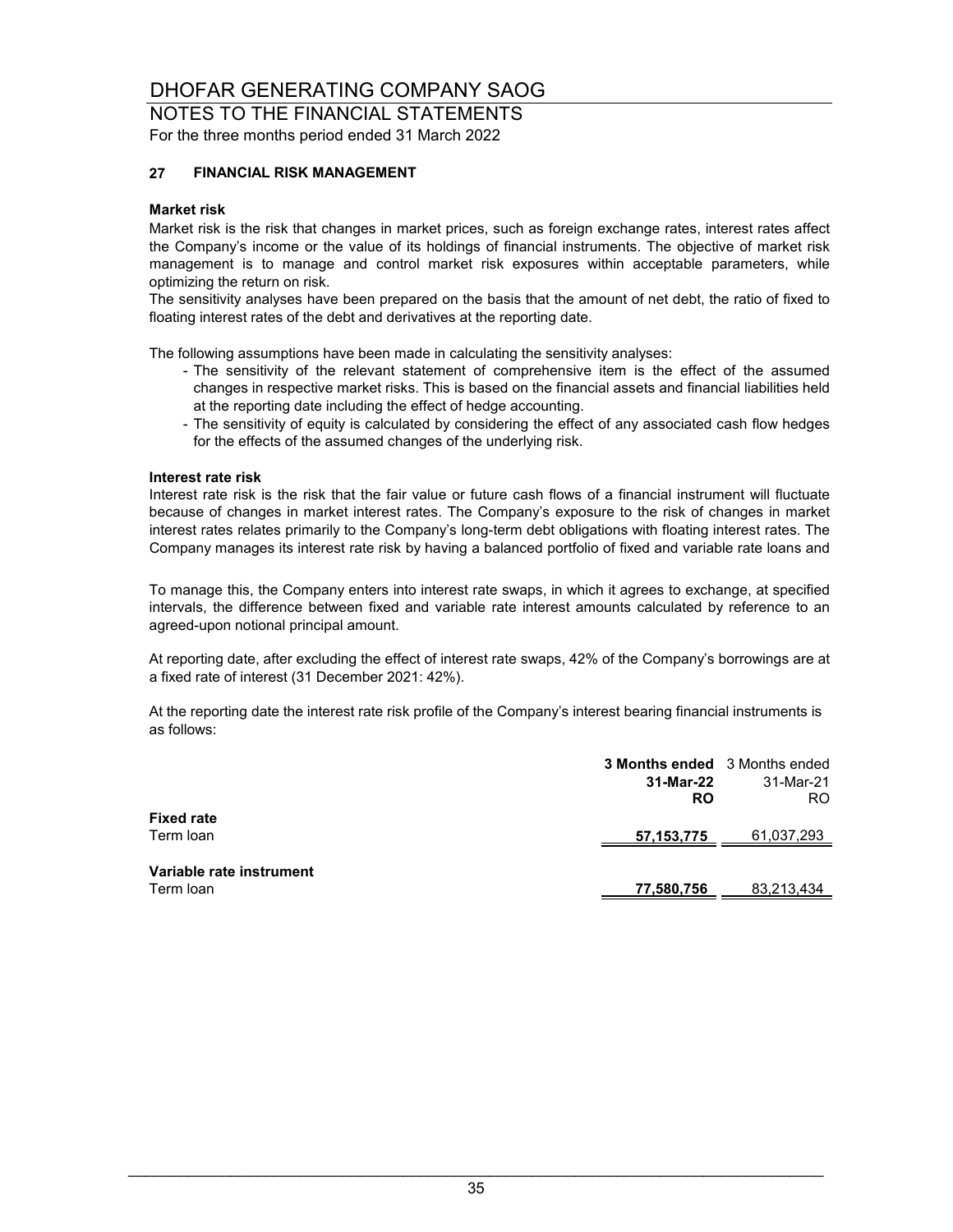NOTES TO THE FINANCIAL STATEMENTS For the three months period ended 31 March 2022

#### **27 FINANCIAL RISK MANAGEMENT**

#### **Market risk**

Market risk is the risk that changes in market prices, such as foreign exchange rates, interest rates affect the Company's income or the value of its holdings of financial instruments. The objective of market risk management is to manage and control market risk exposures within acceptable parameters, while optimizing the return on risk.

The sensitivity analyses have been prepared on the basis that the amount of net debt, the ratio of fixed to floating interest rates of the debt and derivatives at the reporting date.

The following assumptions have been made in calculating the sensitivity analyses:

- The sensitivity of the relevant statement of comprehensive item is the effect of the assumed changes in respective market risks. This is based on the financial assets and financial liabilities held at the reporting date including the effect of hedge accounting.
- The sensitivity of equity is calculated by considering the effect of any associated cash flow hedges for the effects of the assumed changes of the underlying risk.

#### **Interest rate risk**

Interest rate risk is the risk that the fair value or future cash flows of a financial instrument will fluctuate because of changes in market interest rates. The Company's exposure to the risk of changes in market interest rates relates primarily to the Company's long-term debt obligations with floating interest rates. The Company manages its interest rate risk by having a balanced portfolio of fixed and variable rate loans and

To manage this, the Company enters into interest rate swaps, in which it agrees to exchange, at specified intervals, the difference between fixed and variable rate interest amounts calculated by reference to an agreed-upon notional principal amount.

At reporting date, after excluding the effect of interest rate swaps, 42% of the Company's borrowings are at a fixed rate of interest (31 December 2021: 42%).

At the reporting date the interest rate risk profile of the Company's interest bearing financial instruments is as follows:

|                                       | <b>3 Months ended</b> 3 Months ended |            |
|---------------------------------------|--------------------------------------|------------|
|                                       | 31-Mar-22                            | 31-Mar-21  |
|                                       | <b>RO</b>                            | RO.        |
| <b>Fixed rate</b>                     |                                      |            |
| Term loan                             | 57, 153, 775                         | 61.037.293 |
|                                       |                                      |            |
|                                       |                                      |            |
|                                       |                                      |            |
| Variable rate instrument<br>Term loan | 77,580,756                           | 83,213,434 |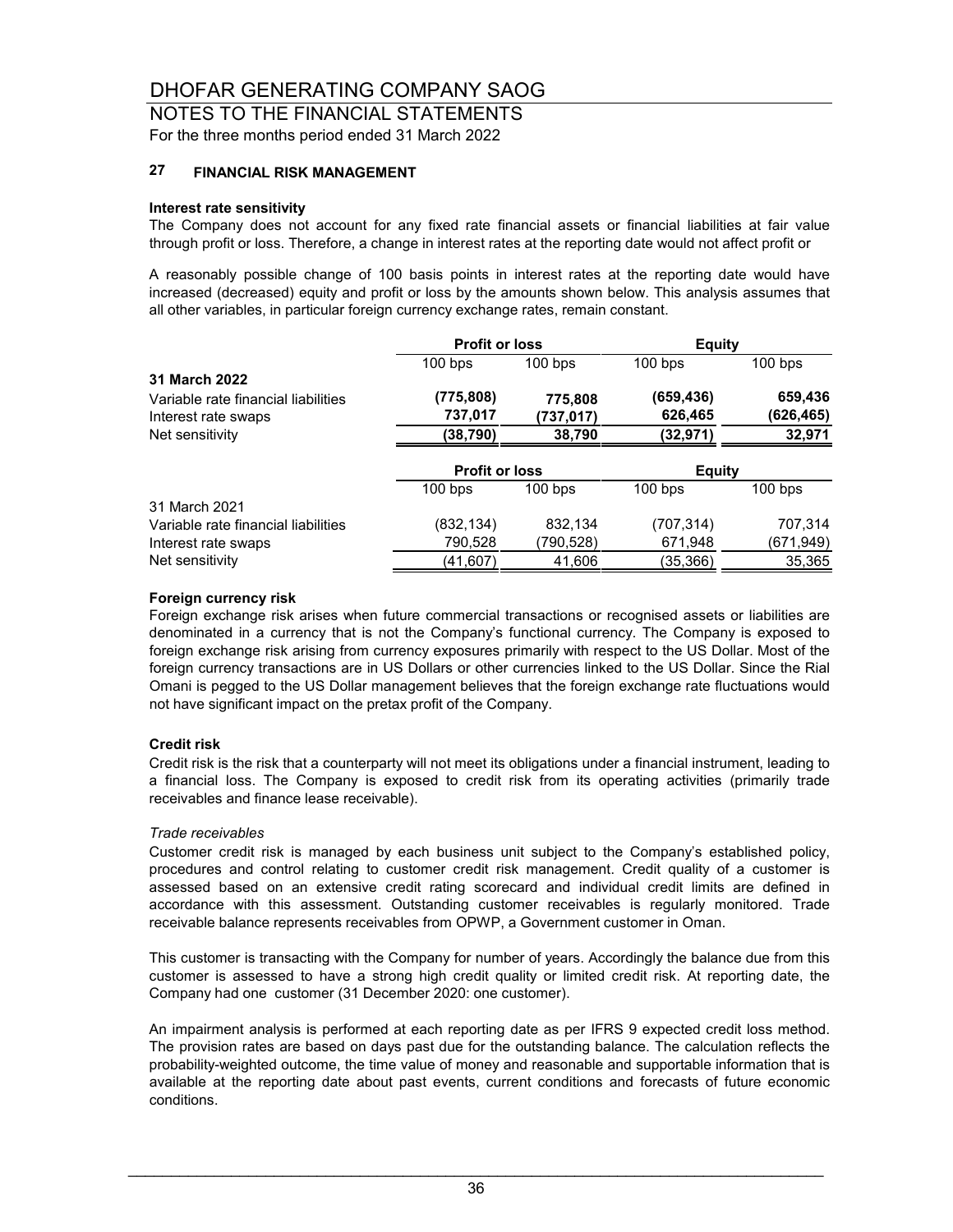#### NOTES TO THE FINANCIAL STATEMENTS For the three months period ended 31 March 2022

#### **27 FINANCIAL RISK MANAGEMENT**

#### **Interest rate sensitivity**

The Company does not account for any fixed rate financial assets or financial liabilities at fair value through profit or loss. Therefore, a change in interest rates at the reporting date would not affect profit or

A reasonably possible change of 100 basis points in interest rates at the reporting date would have increased (decreased) equity and profit or loss by the amounts shown below. This analysis assumes that all other variables, in particular foreign currency exchange rates, remain constant.

|                                     | <b>Profit or loss</b> |           | Equity        |            |
|-------------------------------------|-----------------------|-----------|---------------|------------|
|                                     | $100$ bps             | $100$ bps | $100$ bps     | $100$ bps  |
| 31 March 2022                       |                       |           |               |            |
| Variable rate financial liabilities | (775, 808)            | 775,808   | (659, 436)    | 659,436    |
| Interest rate swaps                 | 737,017               | (737,017) | 626,465       | (626, 465) |
| Net sensitivity                     | (38, 790)             | 38,790    | (32,971)      | 32,971     |
|                                     | <b>Profit or loss</b> |           | <b>Equity</b> |            |
|                                     | $100$ bps             | $100$ bps | $100$ bps     | $100$ bps  |
| 31 March 2021                       |                       |           |               |            |
| Variable rate financial liabilities | (832, 134)            | 832,134   | (707, 314)    | 707,314    |
| Interest rate swaps                 | 790,528               | (790,528) | 671,948       | (671,949)  |
| Net sensitivity                     | (41,607)              | 41,606    | (35,366)      | 35,365     |

#### **Foreign currency risk**

Foreign exchange risk arises when future commercial transactions or recognised assets or liabilities are denominated in a currency that is not the Company's functional currency. The Company is exposed to foreign exchange risk arising from currency exposures primarily with respect to the US Dollar. Most of the foreign currency transactions are in US Dollars or other currencies linked to the US Dollar. Since the Rial Omani is pegged to the US Dollar management believes that the foreign exchange rate fluctuations would not have significant impact on the pretax profit of the Company.

#### **Credit risk**

Credit risk is the risk that a counterparty will not meet its obligations under a financial instrument, leading to a financial loss. The Company is exposed to credit risk from its operating activities (primarily trade receivables and finance lease receivable).

#### *Trade receivables*

Customer credit risk is managed by each business unit subject to the Company's established policy, procedures and control relating to customer credit risk management. Credit quality of a customer is assessed based on an extensive credit rating scorecard and individual credit limits are defined in accordance with this assessment. Outstanding customer receivables is regularly monitored. Trade receivable balance represents receivables from OPWP, a Government customer in Oman.

This customer is transacting with the Company for number of years. Accordingly the balance due from this customer is assessed to have a strong high credit quality or limited credit risk. At reporting date, the Company had one customer (31 December 2020: one customer).

An impairment analysis is performed at each reporting date as per IFRS 9 expected credit loss method. The provision rates are based on days past due for the outstanding balance. The calculation reflects the probability-weighted outcome, the time value of money and reasonable and supportable information that is available at the reporting date about past events, current conditions and forecasts of future economic conditions.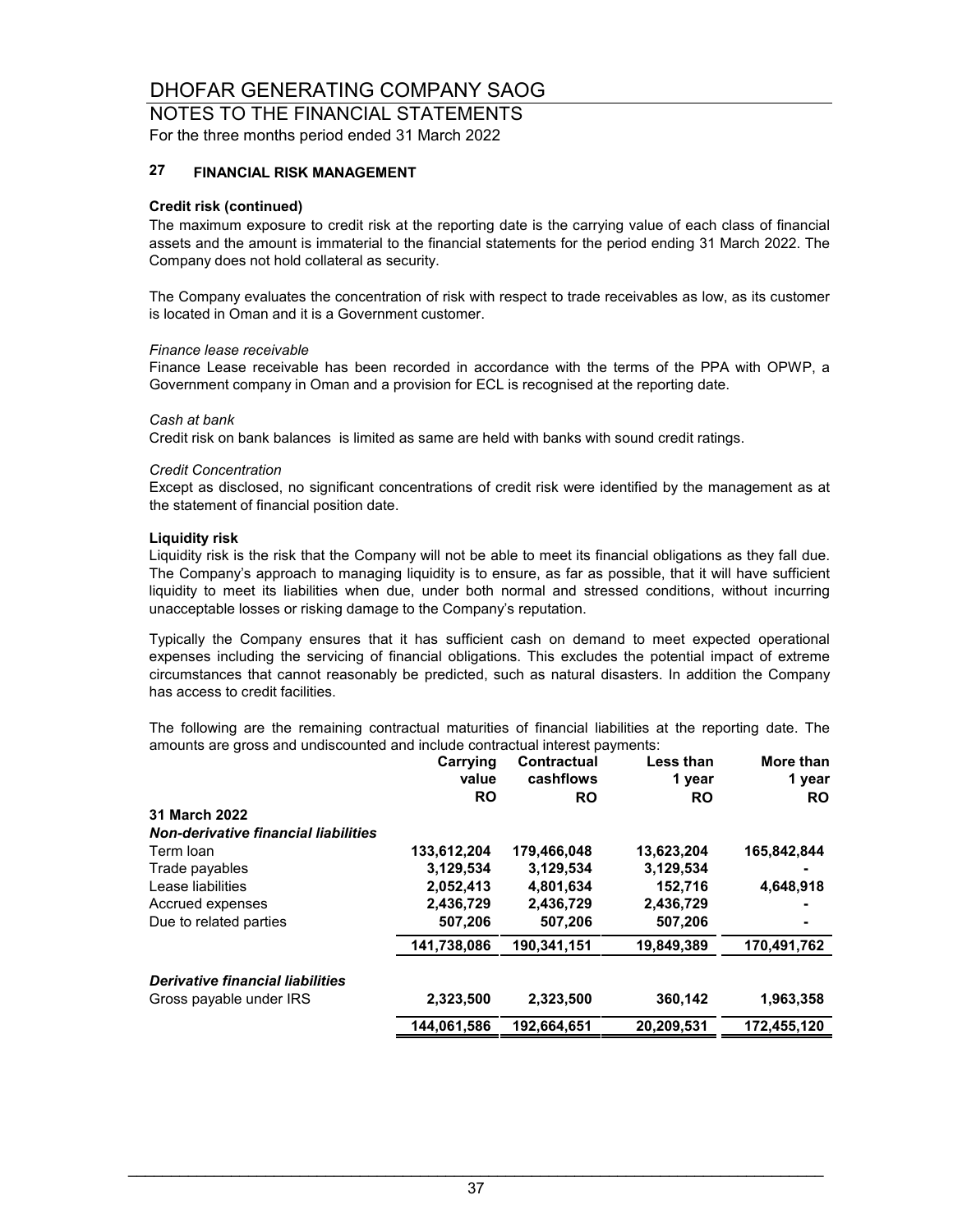#### NOTES TO THE FINANCIAL STATEMENTS For the three months period ended 31 March 2022

#### **27 FINANCIAL RISK MANAGEMENT**

#### **Credit risk (continued)**

The maximum exposure to credit risk at the reporting date is the carrying value of each class of financial assets and the amount is immaterial to the financial statements for the period ending 31 March 2022. The Company does not hold collateral as security.

The Company evaluates the concentration of risk with respect to trade receivables as low, as its customer is located in Oman and it is a Government customer.

#### *Finance lease receivable*

Finance Lease receivable has been recorded in accordance with the terms of the PPA with OPWP, a Government company in Oman and a provision for ECL is recognised at the reporting date.

#### *Cash at bank*

Credit risk on bank balances is limited as same are held with banks with sound credit ratings.

#### *Credit Concentration*

Except as disclosed, no significant concentrations of credit risk were identified by the management as at the statement of financial position date.

#### **Liquidity risk**

Liquidity risk is the risk that the Company will not be able to meet its financial obligations as they fall due. The Company's approach to managing liquidity is to ensure, as far as possible, that it will have sufficient liquidity to meet its liabilities when due, under both normal and stressed conditions, without incurring unacceptable losses or risking damage to the Company's reputation.

Typically the Company ensures that it has sufficient cash on demand to meet expected operational expenses including the servicing of financial obligations. This excludes the potential impact of extreme circumstances that cannot reasonably be predicted, such as natural disasters. In addition the Company has access to credit facilities.

The following are the remaining contractual maturities of financial liabilities at the reporting date. The amounts are gross and undiscounted and include contractual interest payments:

|                                             | Carrying<br>value | <b>Contractual</b><br>cashflows | Less than<br>1 year | More than<br>1 year |
|---------------------------------------------|-------------------|---------------------------------|---------------------|---------------------|
|                                             | <b>RO</b>         | <b>RO</b>                       | <b>RO</b>           | <b>RO</b>           |
| 31 March 2022                               |                   |                                 |                     |                     |
| <b>Non-derivative financial liabilities</b> |                   |                                 |                     |                     |
| Term loan                                   | 133,612,204       | 179,466,048                     | 13,623,204          | 165,842,844         |
| Trade payables                              | 3,129,534         | 3,129,534                       | 3,129,534           |                     |
| Lease liabilities                           | 2,052,413         | 4,801,634                       | 152,716             | 4,648,918           |
| Accrued expenses                            | 2,436,729         | 2,436,729                       | 2,436,729           |                     |
| Due to related parties                      | 507,206           | 507,206                         | 507,206             |                     |
|                                             | 141,738,086       | 190.341.151                     | 19,849,389          | 170,491,762         |
| Derivative financial liabilities            |                   |                                 |                     |                     |
| Gross payable under IRS                     | 2,323,500         | 2.323.500                       | 360,142             | 1.963.358           |
|                                             | 144.061.586       | 192.664.651                     | 20.209.531          | 172.455.120         |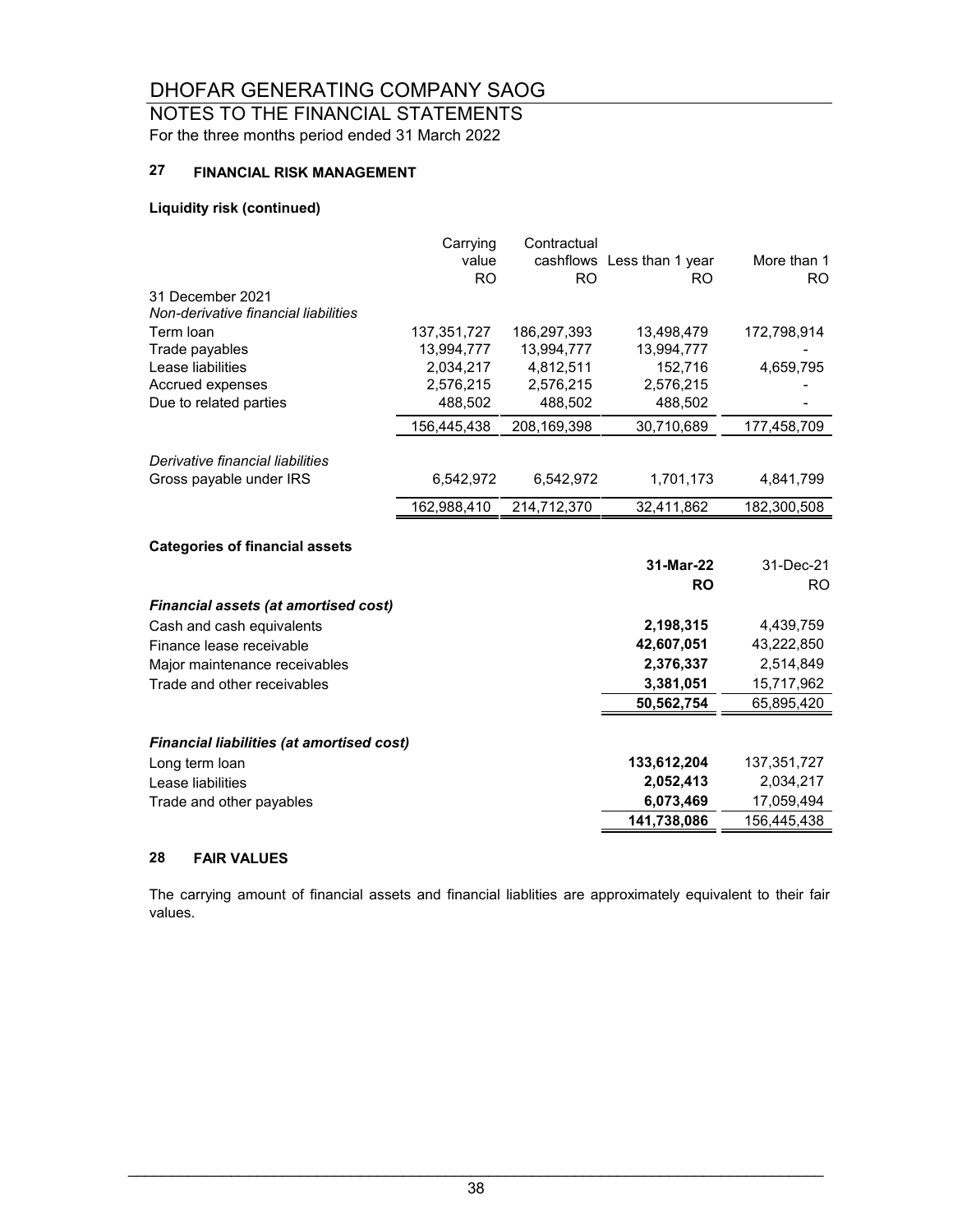NOTES TO THE FINANCIAL STATEMENTS For the three months period ended 31 March 2022

#### **27 FINANCIAL RISK MANAGEMENT**

#### **Liquidity risk (continued)**

|                                                  | Carrying    | Contractual    |                            |                |
|--------------------------------------------------|-------------|----------------|----------------------------|----------------|
|                                                  | value       |                | cashflows Less than 1 year | More than 1    |
|                                                  | <b>RO</b>   | R <sub>O</sub> | <b>RO</b>                  | R <sub>O</sub> |
| 31 December 2021                                 |             |                |                            |                |
| Non-derivative financial liabilities             |             |                |                            |                |
| Term loan                                        | 137,351,727 | 186,297,393    | 13,498,479                 | 172,798,914    |
| Trade payables                                   | 13,994,777  | 13,994,777     | 13,994,777                 |                |
| Lease liabilities                                | 2,034,217   | 4,812,511      | 152,716                    | 4,659,795      |
| Accrued expenses                                 | 2,576,215   | 2,576,215      | 2,576,215                  |                |
| Due to related parties                           | 488,502     | 488,502        | 488,502                    |                |
|                                                  | 156,445,438 | 208, 169, 398  | 30,710,689                 | 177,458,709    |
| Derivative financial liabilities                 |             |                |                            |                |
| Gross payable under IRS                          | 6,542,972   | 6,542,972      | 1,701,173                  | 4,841,799      |
|                                                  | 162,988,410 | 214,712,370    | 32,411,862                 | 182,300,508    |
|                                                  |             |                |                            |                |
| <b>Categories of financial assets</b>            |             |                |                            |                |
|                                                  |             |                | 31-Mar-22                  | 31-Dec-21      |
|                                                  |             |                | <b>RO</b>                  | R <sub>O</sub> |
| <b>Financial assets (at amortised cost)</b>      |             |                |                            |                |
| Cash and cash equivalents                        |             |                | 2,198,315                  | 4,439,759      |
| Finance lease receivable                         |             |                | 42,607,051                 | 43,222,850     |
| Major maintenance receivables                    |             |                | 2,376,337                  | 2,514,849      |
| Trade and other receivables                      |             |                | 3,381,051                  | 15,717,962     |
|                                                  |             |                | 50,562,754                 | 65,895,420     |
|                                                  |             |                |                            |                |
| <b>Financial liabilities (at amortised cost)</b> |             |                |                            |                |
| Long term loan                                   |             |                | 133,612,204                | 137,351,727    |
| Lease liabilities                                |             |                | 2,052,413                  | 2,034,217      |
| Trade and other payables                         |             |                | 6,073,469                  | 17,059,494     |
|                                                  |             |                | 141,738,086                | 156,445,438    |
|                                                  |             |                |                            |                |

#### **28 FAIR VALUES**

The carrying amount of financial assets and financial liablities are approximately equivalent to their fair values.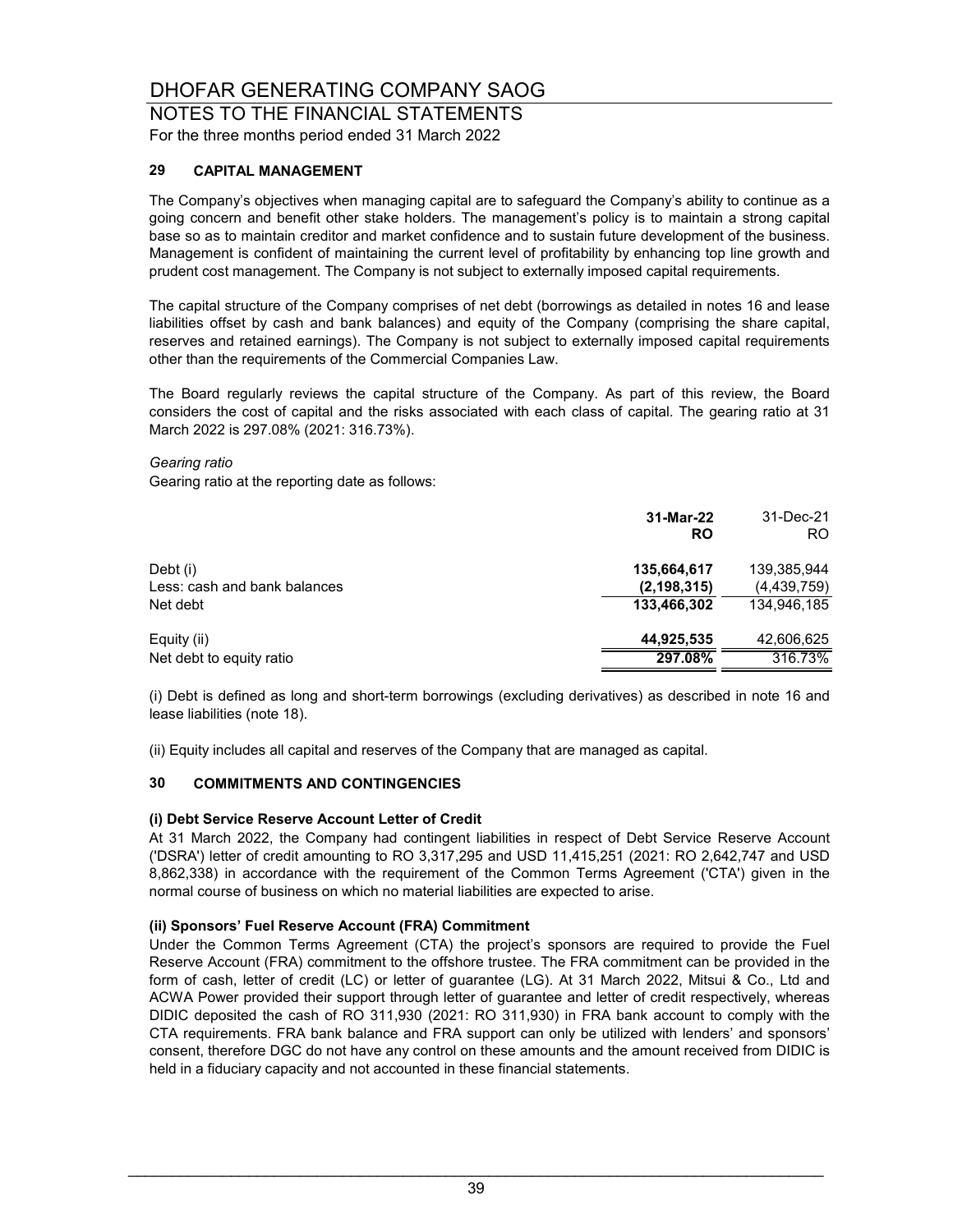NOTES TO THE FINANCIAL STATEMENTS For the three months period ended 31 March 2022

#### **29 CAPITAL MANAGEMENT**

The Company's objectives when managing capital are to safeguard the Company's ability to continue as a going concern and benefit other stake holders. The management's policy is to maintain a strong capital base so as to maintain creditor and market confidence and to sustain future development of the business. Management is confident of maintaining the current level of profitability by enhancing top line growth and prudent cost management. The Company is not subject to externally imposed capital requirements.

The capital structure of the Company comprises of net debt (borrowings as detailed in notes 16 and lease liabilities offset by cash and bank balances) and equity of the Company (comprising the share capital, reserves and retained earnings). The Company is not subject to externally imposed capital requirements other than the requirements of the Commercial Companies Law.

The Board regularly reviews the capital structure of the Company. As part of this review, the Board considers the cost of capital and the risks associated with each class of capital. The gearing ratio at 31 March 2022 is 297.08% (2021: 316.73%).

#### *Gearing ratio*

Gearing ratio at the reporting date as follows:

|                                          | 31-Mar-22<br>RO              | 31-Dec-21<br>RO.           |
|------------------------------------------|------------------------------|----------------------------|
| Debt (i)<br>Less: cash and bank balances | 135,664,617<br>(2, 198, 315) | 139,385,944<br>(4,439,759) |
| Net debt                                 | 133,466,302                  | 134,946,185                |
| Equity (ii)                              | 44.925.535                   | 42,606,625                 |
| Net debt to equity ratio                 | 297.08%                      | 316.73%                    |

(i) Debt is defined as long and short-term borrowings (excluding derivatives) as described in note 16 and lease liabilities (note 18).

(ii) Equity includes all capital and reserves of the Company that are managed as capital.

#### **30 COMMITMENTS AND CONTINGENCIES**

#### **(i) Debt Service Reserve Account Letter of Credit**

At 31 March 2022, the Company had contingent liabilities in respect of Debt Service Reserve Account ('DSRA') letter of credit amounting to RO 3,317,295 and USD 11,415,251 (2021: RO 2,642,747 and USD 8,862,338) in accordance with the requirement of the Common Terms Agreement ('CTA') given in the normal course of business on which no material liabilities are expected to arise.

#### **(ii) Sponsors' Fuel Reserve Account (FRA) Commitment**

Under the Common Terms Agreement (CTA) the project's sponsors are required to provide the Fuel Reserve Account (FRA) commitment to the offshore trustee. The FRA commitment can be provided in the form of cash, letter of credit (LC) or letter of guarantee (LG). At 31 March 2022, Mitsui & Co., Ltd and ACWA Power provided their support through letter of guarantee and letter of credit respectively, whereas DIDIC deposited the cash of RO 311,930 (2021: RO 311,930) in FRA bank account to comply with the CTA requirements. FRA bank balance and FRA support can only be utilized with lenders' and sponsors' consent, therefore DGC do not have any control on these amounts and the amount received from DIDIC is held in a fiduciary capacity and not accounted in these financial statements.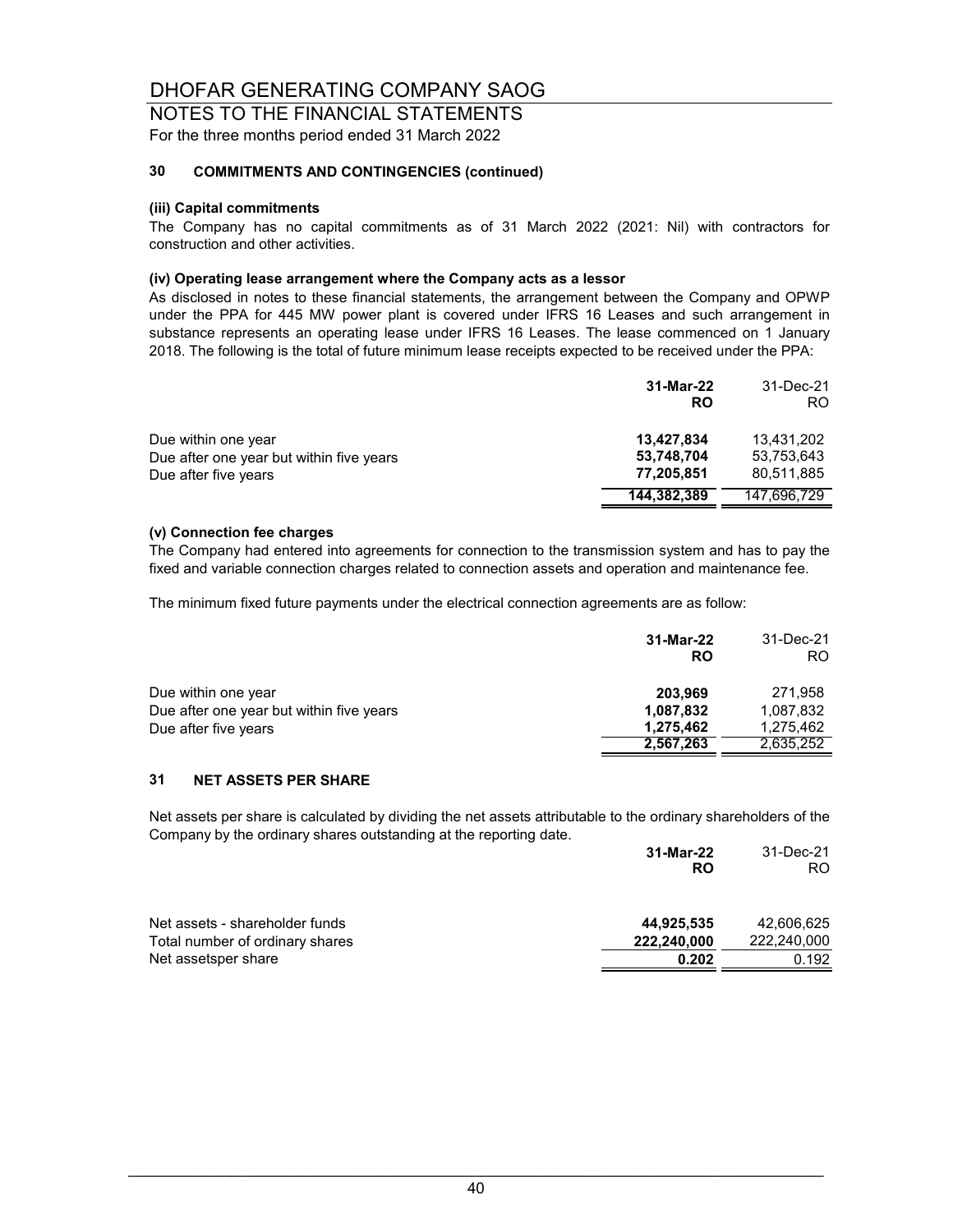NOTES TO THE FINANCIAL STATEMENTS For the three months period ended 31 March 2022

#### **30 COMMITMENTS AND CONTINGENCIES (continued)**

#### **(iii) Capital commitments**

The Company has no capital commitments as of 31 March 2022 (2021: Nil) with contractors for construction and other activities.

#### **(iv) Operating lease arrangement where the Company acts as a lessor**

As disclosed in notes to these financial statements, the arrangement between the Company and OPWP under the PPA for 445 MW power plant is covered under IFRS 16 Leases and such arrangement in substance represents an operating lease under IFRS 16 Leases. The lease commenced on 1 January 2018. The following is the total of future minimum lease receipts expected to be received under the PPA:

|                                                                 | 31-Mar-22<br><b>RO</b>   | 31-Dec-21<br>RO.         |
|-----------------------------------------------------------------|--------------------------|--------------------------|
| Due within one year<br>Due after one year but within five years | 13,427,834<br>53,748,704 | 13.431.202<br>53,753,643 |
| Due after five years                                            | 77,205,851               | 80,511,885               |
|                                                                 | 144,382,389              | 147,696,729              |

#### **(v) Connection fee charges**

The Company had entered into agreements for connection to the transmission system and has to pay the fixed and variable connection charges related to connection assets and operation and maintenance fee.

The minimum fixed future payments under the electrical connection agreements are as follow:

| 31-Mar-22<br>RO | 31-Dec-21<br>RO. |
|-----------------|------------------|
| 203,969         | 271.958          |
| 1,087,832       | 1,087,832        |
| 1,275,462       | 1,275,462        |
| 2,567,263       | 2,635,252        |
|                 |                  |

#### **31 NET ASSETS PER SHARE**

Net assets per share is calculated by dividing the net assets attributable to the ordinary shareholders of the Company by the ordinary shares outstanding at the reporting date.

|                                 | 31-Mar-22<br>RO | 31-Dec-21<br>RO. |
|---------------------------------|-----------------|------------------|
| Net assets - shareholder funds  | 44,925,535      | 42,606,625       |
| Total number of ordinary shares | 222,240,000     | 222.240.000      |
| Net assetsper share             | 0.202           | 0.192            |